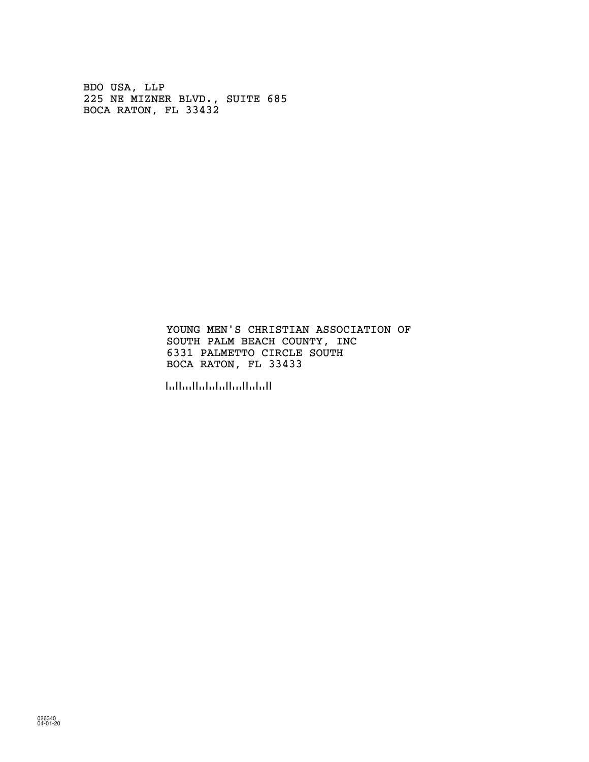BDO USA, LLP 225 NE MIZNER BLVD., SUITE 685 BOCA RATON, FL 33432

> SOUTH PALM BEACH COUNTY, INC 6331 PALMETTO CIRCLE SOUTH YOUNG MEN'S CHRISTIAN ASSOCIATION OF BOCA RATON, FL 33433

!334334!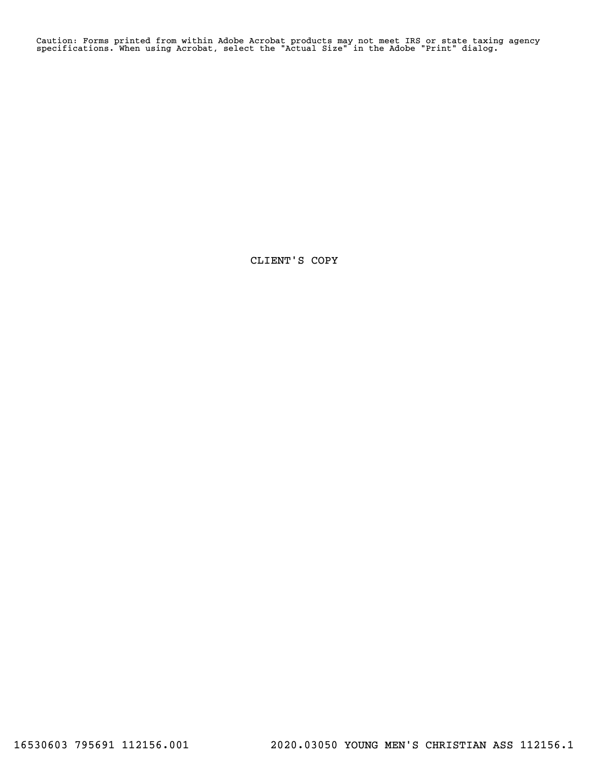Caution: Forms printed from within Adobe Acrobat products may not meet IRS or state taxing agency specifications. When using Acrobat, select the "Actual Size" in the Adobe "Print" dialog.

CLIENT'S COPY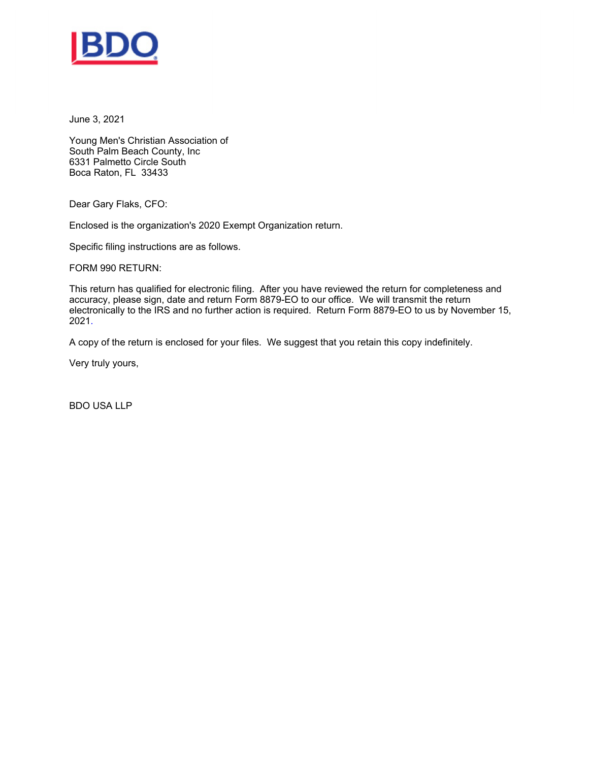

June 3, 2021

Young Men's Christian Association of South Palm Beach County, Inc 6331 Palmetto Circle South Boca Raton, FL 33433

Dear Gary Flaks, CFO:

Enclosed is the organization's 2020 Exempt Organization return.

Specific filing instructions are as follows.

FORM 990 RETURN:

This return has qualified for electronic filing. After you have reviewed the return for completeness and accuracy, please sign, date and return Form 8879-EO to our office. We will transmit the return electronically to the IRS and no further action is required. Return Form 8879-EO to us by November 15, 2021.

A copy of the return is enclosed for your files. We suggest that you retain this copy indefinitely.

Very truly yours,

BDO USA LLP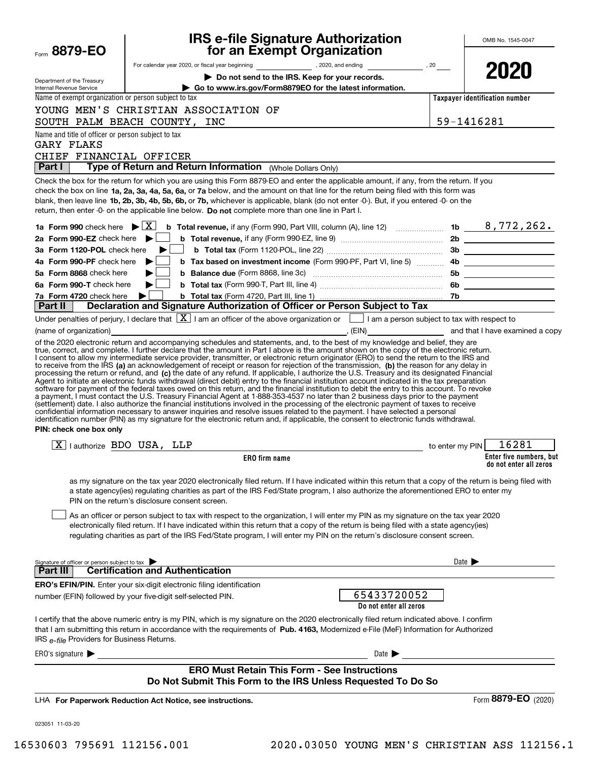|                                                                         | <b>IRS e-file Signature Authorization</b>                                                                                                                                                                                                                                                                                                                                                                                                                                                                                                                                                                                                                                                                                                                                                                                                         |                 | OMB No. 1545-0047                                 |
|-------------------------------------------------------------------------|---------------------------------------------------------------------------------------------------------------------------------------------------------------------------------------------------------------------------------------------------------------------------------------------------------------------------------------------------------------------------------------------------------------------------------------------------------------------------------------------------------------------------------------------------------------------------------------------------------------------------------------------------------------------------------------------------------------------------------------------------------------------------------------------------------------------------------------------------|-----------------|---------------------------------------------------|
| Form 8879-EO                                                            | for an Exempt Organization                                                                                                                                                                                                                                                                                                                                                                                                                                                                                                                                                                                                                                                                                                                                                                                                                        |                 |                                                   |
|                                                                         |                                                                                                                                                                                                                                                                                                                                                                                                                                                                                                                                                                                                                                                                                                                                                                                                                                                   |                 | 2020                                              |
| Department of the Treasury<br><b>Internal Revenue Service</b>           | Do not send to the IRS. Keep for your records.<br>Go to www.irs.gov/Form8879EO for the latest information.                                                                                                                                                                                                                                                                                                                                                                                                                                                                                                                                                                                                                                                                                                                                        |                 |                                                   |
| Name of exempt organization or person subject to tax                    |                                                                                                                                                                                                                                                                                                                                                                                                                                                                                                                                                                                                                                                                                                                                                                                                                                                   |                 | Taxpayer identification number                    |
|                                                                         | YOUNG MEN'S CHRISTIAN ASSOCIATION OF                                                                                                                                                                                                                                                                                                                                                                                                                                                                                                                                                                                                                                                                                                                                                                                                              |                 |                                                   |
|                                                                         | SOUTH PALM BEACH COUNTY, INC                                                                                                                                                                                                                                                                                                                                                                                                                                                                                                                                                                                                                                                                                                                                                                                                                      |                 | 59-1416281                                        |
| Name and title of officer or person subject to tax<br><b>GARY FLAKS</b> |                                                                                                                                                                                                                                                                                                                                                                                                                                                                                                                                                                                                                                                                                                                                                                                                                                                   |                 |                                                   |
| CHIEF FINANCIAL OFFICER                                                 |                                                                                                                                                                                                                                                                                                                                                                                                                                                                                                                                                                                                                                                                                                                                                                                                                                                   |                 |                                                   |
| Part I                                                                  | Type of Return and Return Information (Whole Dollars Only)                                                                                                                                                                                                                                                                                                                                                                                                                                                                                                                                                                                                                                                                                                                                                                                        |                 |                                                   |
|                                                                         | Check the box for the return for which you are using this Form 8879-EO and enter the applicable amount, if any, from the return. If you<br>check the box on line 1a, 2a, 3a, 4a, 5a, 6a, or 7a below, and the amount on that line for the return being filed with this form was<br>blank, then leave line 1b, 2b, 3b, 4b, 5b, 6b, or 7b, whichever is applicable, blank (do not enter -0-). But, if you entered -0- on the<br>return, then enter -0- on the applicable line below. Do not complete more than one line in Part I.                                                                                                                                                                                                                                                                                                                  |                 |                                                   |
|                                                                         |                                                                                                                                                                                                                                                                                                                                                                                                                                                                                                                                                                                                                                                                                                                                                                                                                                                   |                 |                                                   |
| 2a Form 990-EZ check here $\blacktriangleright$                         |                                                                                                                                                                                                                                                                                                                                                                                                                                                                                                                                                                                                                                                                                                                                                                                                                                                   |                 |                                                   |
| 3a Form 1120-POL check here                                             | ▶                                                                                                                                                                                                                                                                                                                                                                                                                                                                                                                                                                                                                                                                                                                                                                                                                                                 |                 |                                                   |
| 4a Form 990-PF check here                                               | ▶                                                                                                                                                                                                                                                                                                                                                                                                                                                                                                                                                                                                                                                                                                                                                                                                                                                 |                 |                                                   |
| 5a Form 8868 check here                                                 |                                                                                                                                                                                                                                                                                                                                                                                                                                                                                                                                                                                                                                                                                                                                                                                                                                                   |                 |                                                   |
| 6a Form 990-T check here                                                | ▶∣                                                                                                                                                                                                                                                                                                                                                                                                                                                                                                                                                                                                                                                                                                                                                                                                                                                |                 |                                                   |
| 7a Form 4720 check here<br>Part II                                      | ▶<br>Declaration and Signature Authorization of Officer or Person Subject to Tax                                                                                                                                                                                                                                                                                                                                                                                                                                                                                                                                                                                                                                                                                                                                                                  |                 |                                                   |
|                                                                         | Under penalties of perjury, I declare that $\boxed{\mathbf{X}}$ I am an officer of the above organization or $\boxed{\phantom{\mathbf{1}}}$ I am a person subject to tax with respect to                                                                                                                                                                                                                                                                                                                                                                                                                                                                                                                                                                                                                                                          |                 |                                                   |
| (name of organization)                                                  |                                                                                                                                                                                                                                                                                                                                                                                                                                                                                                                                                                                                                                                                                                                                                                                                                                                   |                 |                                                   |
| PIN: check one box only                                                 | Agent to initiate an electronic funds withdrawal (direct debit) entry to the financial institution account indicated in the tax preparation<br>software for payment of the federal taxes owed on this return, and the financial institution to debit the entry to this account. To revoke<br>a payment, I must contact the U.S. Treasury Financial Agent at 1-888-353-4537 no later than 2 business days prior to the payment<br>(settlement) date. I also authorize the financial institutions involved in the processing of the electronic payment of taxes to receive<br>confidential information necessary to answer inquiries and resolve issues related to the payment. I have selected a personal<br>identification number (PIN) as my signature for the electronic return and, if applicable, the consent to electronic funds withdrawal. |                 |                                                   |
| $\boxed{\text{X}}$   authorize BDO USA, LLP                             |                                                                                                                                                                                                                                                                                                                                                                                                                                                                                                                                                                                                                                                                                                                                                                                                                                                   | to enter my PIN | 16281                                             |
|                                                                         | ERO firm name                                                                                                                                                                                                                                                                                                                                                                                                                                                                                                                                                                                                                                                                                                                                                                                                                                     |                 | Enter five numbers, but<br>do not enter all zeros |
|                                                                         | as my signature on the tax year 2020 electronically filed return. If I have indicated within this return that a copy of the return is being filed with<br>a state agency(ies) regulating charities as part of the IRS Fed/State program, I also authorize the aforementioned ERO to enter my<br>PIN on the return's disclosure consent screen.<br>As an officer or person subject to tax with respect to the organization, I will enter my PIN as my signature on the tax year 2020<br>electronically filed return. If I have indicated within this return that a copy of the return is being filed with a state agency(ies)<br>regulating charities as part of the IRS Fed/State program, I will enter my PIN on the return's disclosure consent screen.                                                                                         |                 |                                                   |
| Signature of officer or person subject to tax<br>Part III               | <b>Certification and Authentication</b>                                                                                                                                                                                                                                                                                                                                                                                                                                                                                                                                                                                                                                                                                                                                                                                                           |                 | Date $\blacktriangleright$                        |
|                                                                         | <b>ERO's EFIN/PIN.</b> Enter your six-digit electronic filing identification                                                                                                                                                                                                                                                                                                                                                                                                                                                                                                                                                                                                                                                                                                                                                                      |                 |                                                   |
|                                                                         | 65433720052<br>number (EFIN) followed by your five-digit self-selected PIN.<br>Do not enter all zeros                                                                                                                                                                                                                                                                                                                                                                                                                                                                                                                                                                                                                                                                                                                                             |                 |                                                   |
| IRS e-file Providers for Business Returns.                              | I certify that the above numeric entry is my PIN, which is my signature on the 2020 electronically filed return indicated above. I confirm<br>that I am submitting this return in accordance with the requirements of Pub. 4163, Modernized e-File (MeF) Information for Authorized                                                                                                                                                                                                                                                                                                                                                                                                                                                                                                                                                               |                 |                                                   |
| ERO's signature $\blacktriangleright$                                   | Date $\blacktriangleright$                                                                                                                                                                                                                                                                                                                                                                                                                                                                                                                                                                                                                                                                                                                                                                                                                        |                 |                                                   |
|                                                                         | <b>ERO Must Retain This Form - See Instructions</b><br>Do Not Submit This Form to the IRS Unless Requested To Do So                                                                                                                                                                                                                                                                                                                                                                                                                                                                                                                                                                                                                                                                                                                               |                 |                                                   |
|                                                                         | LHA For Paperwork Reduction Act Notice, see instructions.                                                                                                                                                                                                                                                                                                                                                                                                                                                                                                                                                                                                                                                                                                                                                                                         |                 | Form 8879-EO (2020)                               |
| 023051 11-03-20                                                         |                                                                                                                                                                                                                                                                                                                                                                                                                                                                                                                                                                                                                                                                                                                                                                                                                                                   |                 |                                                   |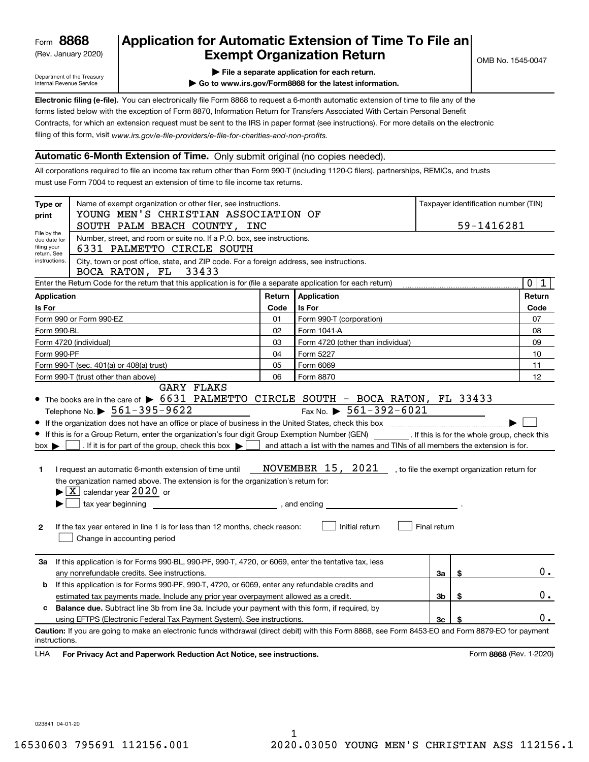(Rev. January 2020)

# **Application for Automatic Extension of Time To File an Exempt Organization Return**

Department of the Treasury Internal Revenue Service

**| File a separate application for each return.**

**| Go to www.irs.gov/Form8868 for the latest information.**

**Electronic filing (e-file).**  You can electronically file Form 8868 to request a 6-month automatic extension of time to file any of the filing of this form, visit www.irs.gov/e-file-providers/e-file-for-charities-and-non-profits. forms listed below with the exception of Form 8870, Information Return for Transfers Associated With Certain Personal Benefit Contracts, for which an extension request must be sent to the IRS in paper format (see instructions). For more details on the electronic

#### **Automatic 6-Month Extension of Time.** Only submit original (no copies needed).

All corporations required to file an income tax return other than Form 990-T (including 1120-C filers), partnerships, REMICs, and trusts must use Form 7004 to request an extension of time to file income tax returns.

| Type or<br>print                                          | Name of exempt organization or other filer, see instructions.<br>YOUNG MEN'S CHRISTIAN ASSOCIATION OF                                                                                                                                                                                                                                                                                                                                                                                                                                                                                                           |        |                                                                                                                                                                                                             |              | Taxpayer identification number (TIN) |                         |  |
|-----------------------------------------------------------|-----------------------------------------------------------------------------------------------------------------------------------------------------------------------------------------------------------------------------------------------------------------------------------------------------------------------------------------------------------------------------------------------------------------------------------------------------------------------------------------------------------------------------------------------------------------------------------------------------------------|--------|-------------------------------------------------------------------------------------------------------------------------------------------------------------------------------------------------------------|--------------|--------------------------------------|-------------------------|--|
|                                                           | SOUTH PALM BEACH COUNTY, INC                                                                                                                                                                                                                                                                                                                                                                                                                                                                                                                                                                                    |        |                                                                                                                                                                                                             |              |                                      | 59-1416281              |  |
| File by the<br>due date for<br>filing your<br>return. See | Number, street, and room or suite no. If a P.O. box, see instructions.<br>6331 PALMETTO CIRCLE SOUTH                                                                                                                                                                                                                                                                                                                                                                                                                                                                                                            |        |                                                                                                                                                                                                             |              |                                      |                         |  |
| instructions.                                             | City, town or post office, state, and ZIP code. For a foreign address, see instructions.<br>BOCA RATON, FL 33433                                                                                                                                                                                                                                                                                                                                                                                                                                                                                                |        |                                                                                                                                                                                                             |              |                                      |                         |  |
|                                                           | Enter the Return Code for the return that this application is for (file a separate application for each return)                                                                                                                                                                                                                                                                                                                                                                                                                                                                                                 |        |                                                                                                                                                                                                             |              |                                      | 0 1                     |  |
| Application                                               |                                                                                                                                                                                                                                                                                                                                                                                                                                                                                                                                                                                                                 | Return | Application                                                                                                                                                                                                 |              |                                      | Return                  |  |
| Is For                                                    |                                                                                                                                                                                                                                                                                                                                                                                                                                                                                                                                                                                                                 | Code   | Is For                                                                                                                                                                                                      |              |                                      | Code                    |  |
|                                                           | Form 990 or Form 990-EZ                                                                                                                                                                                                                                                                                                                                                                                                                                                                                                                                                                                         | 01     | Form 990-T (corporation)                                                                                                                                                                                    |              |                                      | 07                      |  |
| Form 990-BL                                               |                                                                                                                                                                                                                                                                                                                                                                                                                                                                                                                                                                                                                 | 02     | Form 1041-A                                                                                                                                                                                                 |              |                                      | 08                      |  |
|                                                           | Form 4720 (individual)                                                                                                                                                                                                                                                                                                                                                                                                                                                                                                                                                                                          | 03     | Form 4720 (other than individual)                                                                                                                                                                           |              |                                      | 09                      |  |
| Form 990-PF                                               |                                                                                                                                                                                                                                                                                                                                                                                                                                                                                                                                                                                                                 | 04     | Form 5227                                                                                                                                                                                                   |              |                                      | 10                      |  |
| Form 990-T (sec. 401(a) or 408(a) trust)                  |                                                                                                                                                                                                                                                                                                                                                                                                                                                                                                                                                                                                                 |        | Form 6069                                                                                                                                                                                                   |              |                                      | 11                      |  |
| 06<br>Form 990-T (trust other than above)<br>Form 8870    |                                                                                                                                                                                                                                                                                                                                                                                                                                                                                                                                                                                                                 |        |                                                                                                                                                                                                             |              | 12                                   |                         |  |
| $box \blacktriangleright$<br>1.<br>$\mathbf{2}$           | Telephone No. $\triangleright$ 561-395-9622<br>• If this is for a Group Return, enter the organization's four digit Group Exemption Number (GEN) _________. If this is for the whole group, check this<br>. If it is for part of the group, check this box $\blacktriangleright$<br>I request an automatic 6-month extension of time until<br>the organization named above. The extension is for the organization's return for:<br>$\blacktriangleright$ $\boxed{\text{X}}$ calendar year 2020 or<br>If the tax year entered in line 1 is for less than 12 months, check reason:<br>Change in accounting period |        | Fax No. $\triangleright$ 561-392-6021<br>and attach a list with the names and TINs of all members the extension is for.<br>NOVEMBER 15, 2021 , to file the exempt organization return for<br>Initial return | Final return |                                      |                         |  |
| За                                                        | If this application is for Forms 990-BL, 990-PF, 990-T, 4720, or 6069, enter the tentative tax, less<br>any nonrefundable credits. See instructions.                                                                                                                                                                                                                                                                                                                                                                                                                                                            |        |                                                                                                                                                                                                             | За           | \$                                   | $0$ .                   |  |
| b                                                         | If this application is for Forms 990-PF, 990-T, 4720, or 6069, enter any refundable credits and                                                                                                                                                                                                                                                                                                                                                                                                                                                                                                                 |        |                                                                                                                                                                                                             |              |                                      |                         |  |
|                                                           | estimated tax payments made. Include any prior year overpayment allowed as a credit.                                                                                                                                                                                                                                                                                                                                                                                                                                                                                                                            |        |                                                                                                                                                                                                             | 3b           | \$                                   | 0.                      |  |
| c.                                                        | Balance due. Subtract line 3b from line 3a. Include your payment with this form, if required, by                                                                                                                                                                                                                                                                                                                                                                                                                                                                                                                |        |                                                                                                                                                                                                             |              |                                      |                         |  |
|                                                           | using EFTPS (Electronic Federal Tax Payment System). See instructions.                                                                                                                                                                                                                                                                                                                                                                                                                                                                                                                                          |        |                                                                                                                                                                                                             | Зc           | \$                                   | 0.                      |  |
| instructions.<br>LHA                                      | Caution: If you are going to make an electronic funds withdrawal (direct debit) with this Form 8868, see Form 8453-EO and Form 8879-EO for payment<br>For Privacy Act and Paperwork Reduction Act Notice, see instructions.                                                                                                                                                                                                                                                                                                                                                                                     |        |                                                                                                                                                                                                             |              |                                      | Form 8868 (Rev. 1-2020) |  |

023841 04-01-20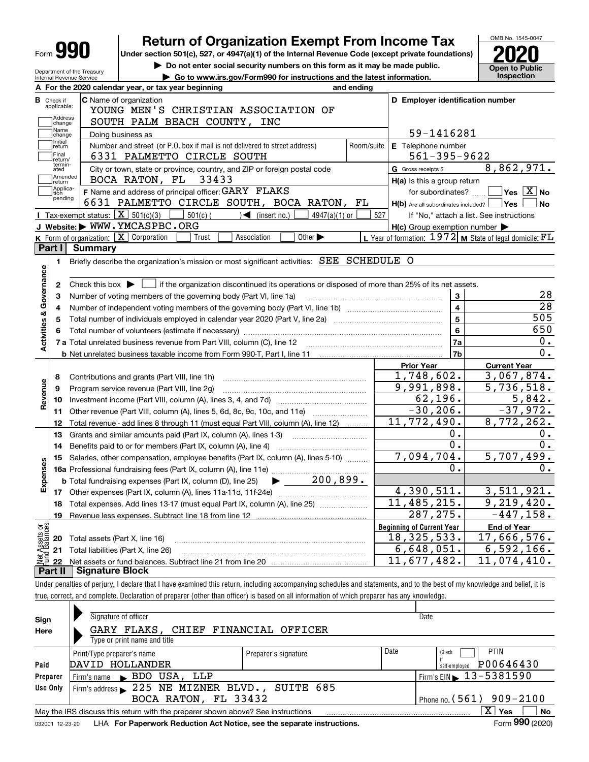| <b>Form 990</b>                                                  | <b>Return of Organization Exempt From Income Tax</b>                                                                                             |            |                                                                       | OMB No. 1545-0047                                                                                                                                                        |
|------------------------------------------------------------------|--------------------------------------------------------------------------------------------------------------------------------------------------|------------|-----------------------------------------------------------------------|--------------------------------------------------------------------------------------------------------------------------------------------------------------------------|
|                                                                  | Under section 501(c), 527, or 4947(a)(1) of the Internal Revenue Code (except private foundations)                                               |            |                                                                       |                                                                                                                                                                          |
|                                                                  | Do not enter social security numbers on this form as it may be made public.                                                                      |            |                                                                       | Open to Public                                                                                                                                                           |
| Department of the Treasury<br>Internal Revenue Service           | Go to www.irs.gov/Form990 for instructions and the latest information.                                                                           |            |                                                                       | <b>Inspection</b>                                                                                                                                                        |
|                                                                  | A For the 2020 calendar year, or tax year beginning                                                                                              | and ending |                                                                       |                                                                                                                                                                          |
| <b>B</b> Check if<br>applicable:                                 | <b>C</b> Name of organization                                                                                                                    |            | D Employer identification number                                      |                                                                                                                                                                          |
| Address                                                          | YOUNG MEN'S CHRISTIAN ASSOCIATION OF                                                                                                             |            |                                                                       |                                                                                                                                                                          |
| change<br>Name                                                   | SOUTH PALM BEACH COUNTY, INC                                                                                                                     |            |                                                                       |                                                                                                                                                                          |
| change<br>Initial                                                | Doing business as                                                                                                                                |            | 59-1416281                                                            |                                                                                                                                                                          |
| return<br>Final                                                  | Number and street (or P.O. box if mail is not delivered to street address)                                                                       | Room/suite | E Telephone number                                                    |                                                                                                                                                                          |
| return/<br>termin-                                               | 6331 PALMETTO CIRCLE SOUTH                                                                                                                       |            | $561 - 395 - 9622$                                                    | 8,862,971.                                                                                                                                                               |
| ated<br>Amended                                                  | City or town, state or province, country, and ZIP or foreign postal code<br>BOCA RATON, FL 33433                                                 |            | G Gross receipts \$                                                   |                                                                                                                                                                          |
| return<br> Applica-                                              | F Name and address of principal officer: GARY FLAKS                                                                                              |            | H(a) Is this a group return                                           | $\sqrt{}$ Yes $\sqrt{}$ X $\sqrt{}$ No                                                                                                                                   |
| tion<br>pending                                                  | 6631 PALMETTO CIRCLE SOUTH, BOCA RATON, FL                                                                                                       |            | for subordinates?<br>$H(b)$ Are all subordinates included? $\Box$ Yes | No                                                                                                                                                                       |
|                                                                  | Tax-exempt status: $\boxed{\mathbf{X}}$ 501(c)(3) $\boxed{\mathbf{X}}$<br>$501(c)$ $\left(\right)$ $\left(\right)$ (insert no.)<br>4947(a)(1) or | 527        |                                                                       | If "No," attach a list. See instructions                                                                                                                                 |
|                                                                  | J Website: WWW.YMCASPBC.ORG                                                                                                                      |            | $H(c)$ Group exemption number $\blacktriangleright$                   |                                                                                                                                                                          |
|                                                                  | K Form of organization: X Corporation<br>Other $\blacktriangleright$<br>Association<br>Trust                                                     |            | L Year of formation: $1972$ M State of legal domicile: $FL$           |                                                                                                                                                                          |
| Part I I                                                         | <b>Summary</b>                                                                                                                                   |            |                                                                       |                                                                                                                                                                          |
| 1.                                                               | Briefly describe the organization's mission or most significant activities: SEE SCHEDULE O                                                       |            |                                                                       |                                                                                                                                                                          |
|                                                                  |                                                                                                                                                  |            |                                                                       |                                                                                                                                                                          |
| Activities & Governance<br>2                                     | Check this box $\triangleright$ $\blacksquare$ if the organization discontinued its operations or disposed of more than 25% of its net assets.   |            |                                                                       |                                                                                                                                                                          |
| з                                                                | Number of voting members of the governing body (Part VI, line 1a)                                                                                |            | 3                                                                     | 28                                                                                                                                                                       |
| 4                                                                |                                                                                                                                                  |            | $\overline{4}$                                                        | 28                                                                                                                                                                       |
| 5                                                                |                                                                                                                                                  |            | 5                                                                     | 505                                                                                                                                                                      |
| 6                                                                |                                                                                                                                                  |            | 6                                                                     | 650                                                                                                                                                                      |
|                                                                  | 7 a Total unrelated business revenue from Part VIII, column (C), line 12                                                                         |            | 7a                                                                    |                                                                                                                                                                          |
|                                                                  |                                                                                                                                                  |            |                                                                       |                                                                                                                                                                          |
|                                                                  |                                                                                                                                                  |            |                                                                       |                                                                                                                                                                          |
|                                                                  |                                                                                                                                                  |            | 7b                                                                    |                                                                                                                                                                          |
|                                                                  |                                                                                                                                                  |            | <b>Prior Year</b>                                                     | <b>Current Year</b>                                                                                                                                                      |
| 8                                                                | Contributions and grants (Part VIII, line 1h)                                                                                                    |            | 1,748,602.                                                            |                                                                                                                                                                          |
| 9                                                                | Program service revenue (Part VIII, line 2g)                                                                                                     |            | 9,991,898.                                                            |                                                                                                                                                                          |
| 10                                                               |                                                                                                                                                  |            | 62, 196.                                                              |                                                                                                                                                                          |
| 11                                                               | Other revenue (Part VIII, column (A), lines 5, 6d, 8c, 9c, 10c, and 11e)                                                                         |            | $-30, 206.$                                                           |                                                                                                                                                                          |
| 12                                                               | Total revenue - add lines 8 through 11 (must equal Part VIII, column (A), line 12)                                                               |            | 11,772,490.                                                           |                                                                                                                                                                          |
| 13                                                               | Grants and similar amounts paid (Part IX, column (A), lines 1-3)                                                                                 |            | 0.                                                                    |                                                                                                                                                                          |
| 14                                                               | Benefits paid to or for members (Part IX, column (A), line 4)                                                                                    |            | 0.                                                                    |                                                                                                                                                                          |
| 15                                                               | Salaries, other compensation, employee benefits (Part IX, column (A), lines 5-10)                                                                |            | 7,094,704.                                                            |                                                                                                                                                                          |
|                                                                  |                                                                                                                                                  |            | 0.                                                                    |                                                                                                                                                                          |
|                                                                  | $\blacktriangleright$ 200,899.<br><b>b</b> Total fundraising expenses (Part IX, column (D), line 25)                                             |            |                                                                       |                                                                                                                                                                          |
| 17                                                               |                                                                                                                                                  |            | 4,390,511.                                                            |                                                                                                                                                                          |
| 18                                                               | Total expenses. Add lines 13-17 (must equal Part IX, column (A), line 25)                                                                        |            | $\overline{11,485,215}$ .                                             |                                                                                                                                                                          |
| 19                                                               |                                                                                                                                                  |            | 287, 275.                                                             |                                                                                                                                                                          |
|                                                                  |                                                                                                                                                  |            | <b>Beginning of Current Year</b>                                      | <b>End of Year</b>                                                                                                                                                       |
| ŵ<br>20                                                          | Total assets (Part X, line 16)                                                                                                                   |            | 18, 325, 533.                                                         | 0.<br>0.<br>3,067,874.<br>5,736,518.<br>5,842.<br>$-37,972.$<br>8,772,262.<br>0.<br>$0$ .<br>5,707,499.<br>0.<br>3,511,921.<br>9,219,420.<br>$-447, 158.$<br>17,666,576. |
| Revenue<br>Expense<br>Net Assets or<br>Fund Balances<br>21<br>22 | Total liabilities (Part X, line 26)                                                                                                              |            | $\overline{6,648,051}$ .<br>11,677,482.                               | 6,592,166.<br>$\overline{11}$ , 074, 410.                                                                                                                                |

true, correct, and complete. Declaration of preparer (other than officer) is based on all information of which preparer has any knowledge.

| Sign            | Signature of officer                                                            | Date                       |      |                                                 |  |  |  |  |  |  |  |
|-----------------|---------------------------------------------------------------------------------|----------------------------|------|-------------------------------------------------|--|--|--|--|--|--|--|
| Here            | GARY FLAKS, CHIEF FINANCIAL OFFICER                                             |                            |      |                                                 |  |  |  |  |  |  |  |
|                 | Type or print name and title                                                    |                            |      |                                                 |  |  |  |  |  |  |  |
|                 | Print/Type preparer's name                                                      | Preparer's signature       | Date | <b>PTIN</b><br>Check                            |  |  |  |  |  |  |  |
| Paid            | DAVID HOLLANDER                                                                 |                            |      | P00646430<br>self-employed                      |  |  |  |  |  |  |  |
| Preparer        | BDO USA, LLP<br>Firm's name                                                     |                            |      | $1$ Firm's EIN $\blacktriangleright$ 13-5381590 |  |  |  |  |  |  |  |
| Use Only        | Firm's address 225 NE MIZNER BLVD., SUITE 685                                   |                            |      |                                                 |  |  |  |  |  |  |  |
|                 | BOCA RATON, FL 33432                                                            | Phone no. $(561)$ 909-2100 |      |                                                 |  |  |  |  |  |  |  |
|                 | May the IRS discuss this return with the preparer shown above? See instructions |                            |      | $\mathbf{x}$<br><b>No</b><br>Yes                |  |  |  |  |  |  |  |
| 032001 12-23-20 | LHA For Paperwork Reduction Act Notice, see the separate instructions.          |                            |      | Form 990 (2020)                                 |  |  |  |  |  |  |  |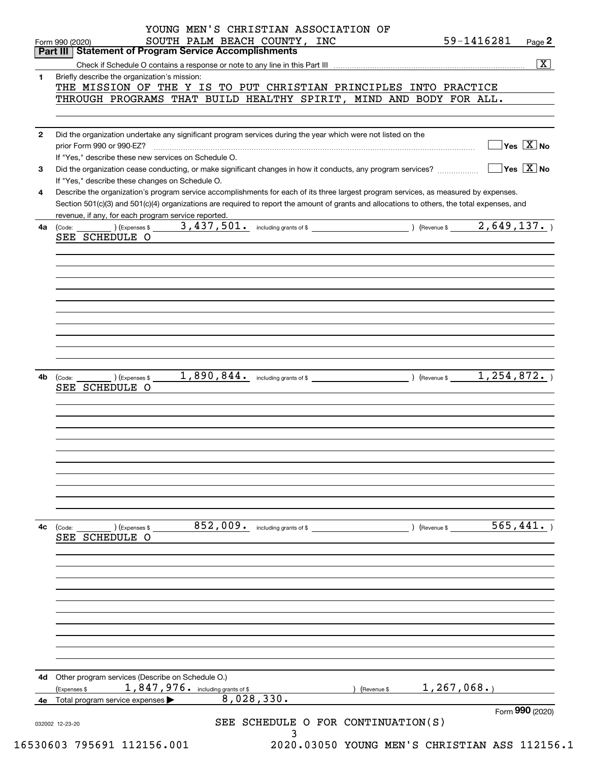|              | SOUTH PALM BEACH COUNTY, INC<br>Form 990 (2020)                                                                                                                 |               | 59-1416281                             | Page 2                  |
|--------------|-----------------------------------------------------------------------------------------------------------------------------------------------------------------|---------------|----------------------------------------|-------------------------|
|              | Part III   Statement of Program Service Accomplishments                                                                                                         |               |                                        |                         |
|              |                                                                                                                                                                 |               |                                        | $\overline{\mathbf{x}}$ |
| 1            | Briefly describe the organization's mission:                                                                                                                    |               |                                        |                         |
|              | THE MISSION OF THE Y IS TO PUT CHRISTIAN PRINCIPLES INTO PRACTICE                                                                                               |               |                                        |                         |
|              | THROUGH PROGRAMS THAT BUILD HEALTHY SPIRIT, MIND AND BODY FOR ALL.                                                                                              |               |                                        |                         |
|              |                                                                                                                                                                 |               |                                        |                         |
|              |                                                                                                                                                                 |               |                                        |                         |
| $\mathbf{2}$ | Did the organization undertake any significant program services during the year which were not listed on the                                                    |               | $\sqrt{}$ Yes $\sqrt{}$ X $\sqrt{}$ No |                         |
|              | prior Form 990 or 990-EZ?                                                                                                                                       |               |                                        |                         |
|              | If "Yes," describe these new services on Schedule O.                                                                                                            |               | $\sqrt{}$ Yes $\sqrt{}$ X $\sqrt{}$ No |                         |
| 3            | Did the organization cease conducting, or make significant changes in how it conducts, any program services?<br>If "Yes," describe these changes on Schedule O. |               |                                        |                         |
| 4            | Describe the organization's program service accomplishments for each of its three largest program services, as measured by expenses.                            |               |                                        |                         |
|              | Section 501(c)(3) and 501(c)(4) organizations are required to report the amount of grants and allocations to others, the total expenses, and                    |               |                                        |                         |
|              | revenue, if any, for each program service reported.                                                                                                             |               |                                        |                         |
| 4a           | (Code:                                                                                                                                                          |               |                                        |                         |
|              | SEE SCHEDULE O                                                                                                                                                  |               |                                        |                         |
|              |                                                                                                                                                                 |               |                                        |                         |
|              |                                                                                                                                                                 |               |                                        |                         |
|              |                                                                                                                                                                 |               |                                        |                         |
|              |                                                                                                                                                                 |               |                                        |                         |
|              |                                                                                                                                                                 |               |                                        |                         |
|              |                                                                                                                                                                 |               |                                        |                         |
|              |                                                                                                                                                                 |               |                                        |                         |
|              |                                                                                                                                                                 |               |                                        |                         |
|              |                                                                                                                                                                 |               |                                        |                         |
|              |                                                                                                                                                                 |               |                                        |                         |
|              |                                                                                                                                                                 |               |                                        |                         |
| 4b           | ) (Expenses \$<br>(Code:                                                                                                                                        |               |                                        |                         |
|              | SEE SCHEDULE O                                                                                                                                                  |               |                                        |                         |
|              |                                                                                                                                                                 |               |                                        |                         |
|              |                                                                                                                                                                 |               |                                        |                         |
|              |                                                                                                                                                                 |               |                                        |                         |
|              |                                                                                                                                                                 |               |                                        |                         |
|              |                                                                                                                                                                 |               |                                        |                         |
|              |                                                                                                                                                                 |               |                                        |                         |
|              |                                                                                                                                                                 |               |                                        |                         |
|              |                                                                                                                                                                 |               |                                        |                         |
|              |                                                                                                                                                                 |               |                                        |                         |
|              |                                                                                                                                                                 |               |                                        |                         |
|              |                                                                                                                                                                 |               |                                        |                         |
|              |                                                                                                                                                                 |               |                                        |                         |
| 4с           | 852,009. including grants of \$<br>) (Expenses \$<br>(Code:                                                                                                     | ) (Revenue \$ | 565,441.                               |                         |
|              | SEE SCHEDULE O                                                                                                                                                  |               |                                        |                         |
|              |                                                                                                                                                                 |               |                                        |                         |
|              |                                                                                                                                                                 |               |                                        |                         |
|              |                                                                                                                                                                 |               |                                        |                         |
|              |                                                                                                                                                                 |               |                                        |                         |
|              |                                                                                                                                                                 |               |                                        |                         |
|              |                                                                                                                                                                 |               |                                        |                         |
|              |                                                                                                                                                                 |               |                                        |                         |
|              |                                                                                                                                                                 |               |                                        |                         |
|              |                                                                                                                                                                 |               |                                        |                         |
|              |                                                                                                                                                                 |               |                                        |                         |
|              |                                                                                                                                                                 |               |                                        |                         |
| 4d           | Other program services (Describe on Schedule O.)                                                                                                                |               |                                        |                         |
|              | 1,847,976. including grants of \$<br>(Expenses \$<br>Revenue \$                                                                                                 | 1, 267, 068.  |                                        |                         |
|              | 8,028,330.<br>4e Total program service expenses                                                                                                                 |               |                                        |                         |
|              |                                                                                                                                                                 |               | Form 990 (2020)                        |                         |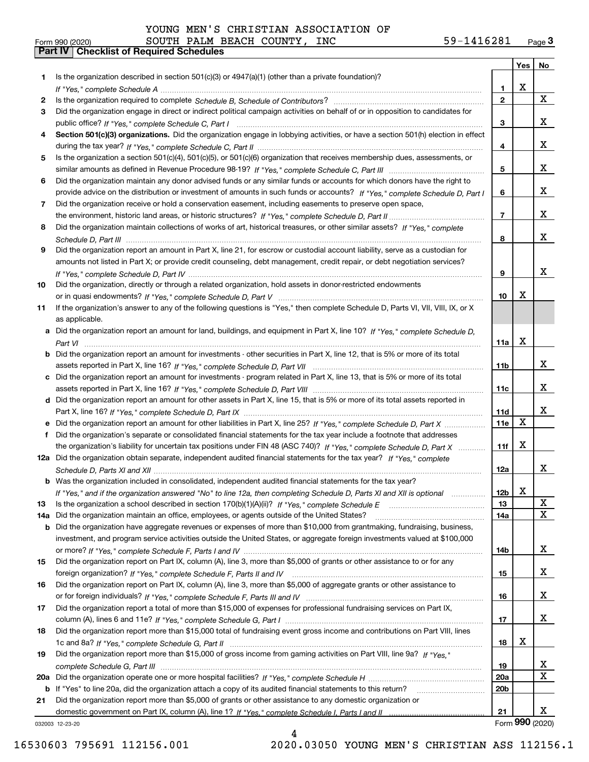|     |                                                                                                                                  |                 | Yes | No              |
|-----|----------------------------------------------------------------------------------------------------------------------------------|-----------------|-----|-----------------|
| 1   | Is the organization described in section 501(c)(3) or 4947(a)(1) (other than a private foundation)?                              |                 |     |                 |
|     |                                                                                                                                  | 1.              | X   |                 |
| 2   |                                                                                                                                  | $\overline{2}$  |     | X               |
| 3   | Did the organization engage in direct or indirect political campaign activities on behalf of or in opposition to candidates for  |                 |     |                 |
|     |                                                                                                                                  | 3               |     | x               |
| 4   | Section 501(c)(3) organizations. Did the organization engage in lobbying activities, or have a section 501(h) election in effect |                 |     |                 |
|     |                                                                                                                                  | 4               |     | x               |
| 5   | Is the organization a section 501(c)(4), 501(c)(5), or 501(c)(6) organization that receives membership dues, assessments, or     |                 |     |                 |
|     |                                                                                                                                  | 5               |     | X               |
| 6   | Did the organization maintain any donor advised funds or any similar funds or accounts for which donors have the right to        |                 |     |                 |
|     | provide advice on the distribution or investment of amounts in such funds or accounts? If "Yes," complete Schedule D, Part I     | 6               |     | X               |
| 7   | Did the organization receive or hold a conservation easement, including easements to preserve open space,                        |                 |     |                 |
|     |                                                                                                                                  | $\overline{7}$  |     | x               |
| 8   | Did the organization maintain collections of works of art, historical treasures, or other similar assets? If "Yes," complete     |                 |     |                 |
|     |                                                                                                                                  | 8               |     | x               |
| 9   | Did the organization report an amount in Part X, line 21, for escrow or custodial account liability, serve as a custodian for    |                 |     |                 |
|     | amounts not listed in Part X; or provide credit counseling, debt management, credit repair, or debt negotiation services?        |                 |     |                 |
|     |                                                                                                                                  | 9               |     | x               |
| 10  | Did the organization, directly or through a related organization, hold assets in donor-restricted endowments                     |                 |     |                 |
|     |                                                                                                                                  | 10              | X   |                 |
| 11  | If the organization's answer to any of the following questions is "Yes," then complete Schedule D, Parts VI, VII, VIII, IX, or X |                 |     |                 |
|     | as applicable.                                                                                                                   |                 |     |                 |
|     | a Did the organization report an amount for land, buildings, and equipment in Part X, line 10? If "Yes," complete Schedule D,    |                 |     |                 |
|     |                                                                                                                                  | 11a             | X   |                 |
| b   | Did the organization report an amount for investments - other securities in Part X, line 12, that is 5% or more of its total     |                 |     |                 |
|     |                                                                                                                                  | 11 <sub>b</sub> |     | x               |
|     | c Did the organization report an amount for investments - program related in Part X, line 13, that is 5% or more of its total    |                 |     | x               |
|     |                                                                                                                                  | 11c             |     |                 |
|     | d Did the organization report an amount for other assets in Part X, line 15, that is 5% or more of its total assets reported in  | 11d             |     | x               |
|     | e Did the organization report an amount for other liabilities in Part X, line 25? If "Yes," complete Schedule D, Part X          | 11e             | X   |                 |
| f   | Did the organization's separate or consolidated financial statements for the tax year include a footnote that addresses          |                 |     |                 |
|     | the organization's liability for uncertain tax positions under FIN 48 (ASC 740)? If "Yes," complete Schedule D, Part X           | 11f             | X   |                 |
|     | 12a Did the organization obtain separate, independent audited financial statements for the tax year? If "Yes," complete          |                 |     |                 |
|     |                                                                                                                                  | 12a             |     | x               |
|     | <b>b</b> Was the organization included in consolidated, independent audited financial statements for the tax year?               |                 |     |                 |
|     | If "Yes," and if the organization answered "No" to line 12a, then completing Schedule D, Parts XI and XII is optional            | 12D             | A   |                 |
| 13  | Is the organization a school described in section $170(b)(1)(A)(ii)?$ If "Yes," complete Schedule E                              | 13              |     | X               |
| 14a | Did the organization maintain an office, employees, or agents outside of the United States?                                      | 14a             |     | X               |
| b   | Did the organization have aggregate revenues or expenses of more than \$10,000 from grantmaking, fundraising, business,          |                 |     |                 |
|     | investment, and program service activities outside the United States, or aggregate foreign investments valued at \$100,000       |                 |     |                 |
|     |                                                                                                                                  | 14b             |     | x               |
| 15  | Did the organization report on Part IX, column (A), line 3, more than \$5,000 of grants or other assistance to or for any        |                 |     |                 |
|     |                                                                                                                                  | 15              |     | x               |
| 16  | Did the organization report on Part IX, column (A), line 3, more than \$5,000 of aggregate grants or other assistance to         |                 |     |                 |
|     |                                                                                                                                  | 16              |     | x               |
| 17  | Did the organization report a total of more than \$15,000 of expenses for professional fundraising services on Part IX,          |                 |     |                 |
|     |                                                                                                                                  | 17              |     | x               |
| 18  | Did the organization report more than \$15,000 total of fundraising event gross income and contributions on Part VIII, lines     |                 |     |                 |
|     |                                                                                                                                  | 18              | х   |                 |
| 19  | Did the organization report more than \$15,000 of gross income from gaming activities on Part VIII, line 9a? If "Yes."           |                 |     |                 |
|     |                                                                                                                                  | 19              |     | x               |
|     |                                                                                                                                  | <b>20a</b>      |     | $\mathbf X$     |
| b   | If "Yes" to line 20a, did the organization attach a copy of its audited financial statements to this return?                     | 20 <sub>b</sub> |     |                 |
| 21  | Did the organization report more than \$5,000 of grants or other assistance to any domestic organization or                      |                 |     |                 |
|     |                                                                                                                                  | 21              |     | х               |
|     | 032003 12-23-20                                                                                                                  |                 |     | Form 990 (2020) |

4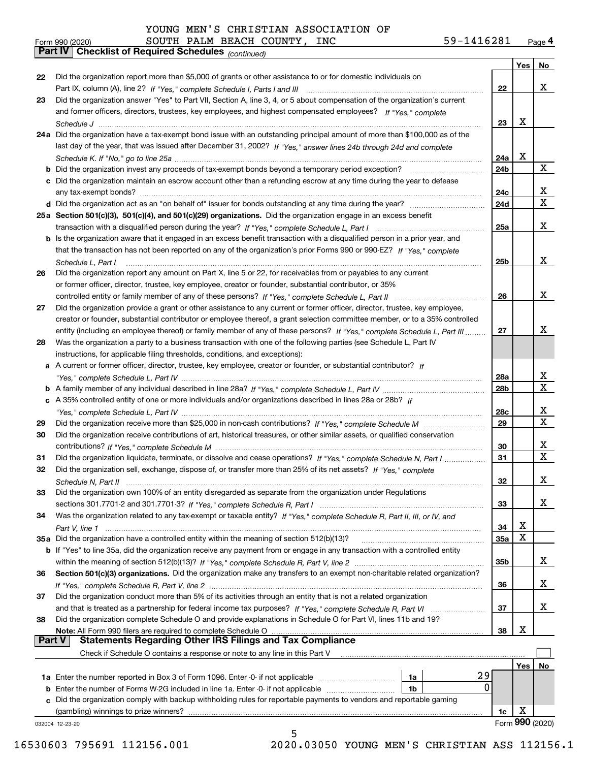*(continued)*

| Form 990 (2020) |                                                            |  | SOUTH PALM BEACH COUNTY, | INC | 59-1416281 | Page $\mathsf 4$ |
|-----------------|------------------------------------------------------------|--|--------------------------|-----|------------|------------------|
|                 | <b>Part IV Checklist of Required Schedules</b> (continued) |  |                          |     |            |                  |

|               |                                                                                                                              |            | Yes | No                      |
|---------------|------------------------------------------------------------------------------------------------------------------------------|------------|-----|-------------------------|
| 22            | Did the organization report more than \$5,000 of grants or other assistance to or for domestic individuals on                |            |     |                         |
|               |                                                                                                                              | 22         |     | x                       |
| 23            | Did the organization answer "Yes" to Part VII, Section A, line 3, 4, or 5 about compensation of the organization's current   |            |     |                         |
|               | and former officers, directors, trustees, key employees, and highest compensated employees? If "Yes," complete               |            |     |                         |
|               |                                                                                                                              | 23         | х   |                         |
|               | 24a Did the organization have a tax-exempt bond issue with an outstanding principal amount of more than \$100,000 as of the  |            |     |                         |
|               | last day of the year, that was issued after December 31, 2002? If "Yes," answer lines 24b through 24d and complete           |            |     |                         |
|               |                                                                                                                              | 24a        | x   |                         |
|               | <b>b</b> Did the organization invest any proceeds of tax-exempt bonds beyond a temporary period exception?                   | 24b        |     | X                       |
|               | c Did the organization maintain an escrow account other than a refunding escrow at any time during the year to defease       |            |     |                         |
|               |                                                                                                                              | 24c        |     | x                       |
|               |                                                                                                                              | 24d        |     | $\overline{\mathbf{x}}$ |
|               | 25a Section 501(c)(3), 501(c)(4), and 501(c)(29) organizations. Did the organization engage in an excess benefit             |            |     |                         |
|               |                                                                                                                              | 25a        |     | x                       |
|               | b Is the organization aware that it engaged in an excess benefit transaction with a disqualified person in a prior year, and |            |     |                         |
|               | that the transaction has not been reported on any of the organization's prior Forms 990 or 990-EZ? If "Yes," complete        |            |     |                         |
|               | Schedule L. Part I                                                                                                           | 25b        |     | x                       |
| 26            | Did the organization report any amount on Part X, line 5 or 22, for receivables from or payables to any current              |            |     |                         |
|               | or former officer, director, trustee, key employee, creator or founder, substantial contributor, or 35%                      |            |     |                         |
|               |                                                                                                                              | 26         |     | x                       |
| 27            | Did the organization provide a grant or other assistance to any current or former officer, director, trustee, key employee,  |            |     |                         |
|               | creator or founder, substantial contributor or employee thereof, a grant selection committee member, or to a 35% controlled  |            |     |                         |
|               | entity (including an employee thereof) or family member of any of these persons? If "Yes," complete Schedule L, Part III     | 27         |     | х                       |
| 28            | Was the organization a party to a business transaction with one of the following parties (see Schedule L, Part IV            |            |     |                         |
|               | instructions, for applicable filing thresholds, conditions, and exceptions):                                                 |            |     |                         |
|               | a A current or former officer, director, trustee, key employee, creator or founder, or substantial contributor? If           |            |     |                         |
|               |                                                                                                                              | 28a        |     | x                       |
|               |                                                                                                                              | 28b        |     | $\mathbf x$             |
|               | c A 35% controlled entity of one or more individuals and/or organizations described in lines 28a or 28b? If                  |            |     |                         |
|               |                                                                                                                              | 28c        |     | x                       |
| 29            |                                                                                                                              | 29         |     | $\mathbf X$             |
| 30            | Did the organization receive contributions of art, historical treasures, or other similar assets, or qualified conservation  |            |     |                         |
|               |                                                                                                                              | 30         |     | x                       |
| 31            | Did the organization liquidate, terminate, or dissolve and cease operations? If "Yes," complete Schedule N, Part I           | 31         |     | $\mathbf X$             |
| 32            | Did the organization sell, exchange, dispose of, or transfer more than 25% of its net assets? If "Yes," complete             |            |     |                         |
|               |                                                                                                                              | 32         |     | х                       |
| 33            | Did the organization own 100% of an entity disregarded as separate from the organization under Regulations                   |            |     |                         |
|               |                                                                                                                              | 33         |     | X                       |
| 34            | Was the organization related to any tax-exempt or taxable entity? If "Yes," complete Schedule R, Part II, III, or IV, and    |            |     |                         |
|               |                                                                                                                              | 34         | х   |                         |
|               | 35a Did the organization have a controlled entity within the meaning of section 512(b)(13)?                                  | <b>35a</b> | X   |                         |
|               | b If "Yes" to line 35a, did the organization receive any payment from or engage in any transaction with a controlled entity  |            |     |                         |
|               |                                                                                                                              | 35b        |     | x                       |
| 36            | Section 501(c)(3) organizations. Did the organization make any transfers to an exempt non-charitable related organization?   |            |     |                         |
|               |                                                                                                                              | 36         |     | x                       |
| 37            | Did the organization conduct more than 5% of its activities through an entity that is not a related organization             |            |     |                         |
|               | and that is treated as a partnership for federal income tax purposes? If "Yes," complete Schedule R, Part VI                 | 37         |     | X                       |
| 38            | Did the organization complete Schedule O and provide explanations in Schedule O for Part VI, lines 11b and 19?               |            |     |                         |
| <b>Part V</b> | Note: All Form 990 filers are required to complete Schedule O                                                                | 38         | х   |                         |
|               | <b>Statements Regarding Other IRS Filings and Tax Compliance</b>                                                             |            |     |                         |
|               | Check if Schedule O contains a response or note to any line in this Part V                                                   |            |     |                         |
|               |                                                                                                                              |            | Yes | No                      |
|               | 29<br>1a Enter the number reported in Box 3 of Form 1096. Enter -0- if not applicable<br>1a                                  |            |     |                         |
|               | 0<br><b>b</b> Enter the number of Forms W-2G included in line 1a. Enter -0- if not applicable <i>manumumumum</i><br>1b       |            |     |                         |
|               | c Did the organization comply with backup withholding rules for reportable payments to vendors and reportable gaming         |            |     |                         |
|               | (gambling) winnings to prize winners?                                                                                        | 1c         | х   |                         |
|               | 032004 12-23-20                                                                                                              |            |     | Form 990 (2020)         |
|               | 5                                                                                                                            |            |     |                         |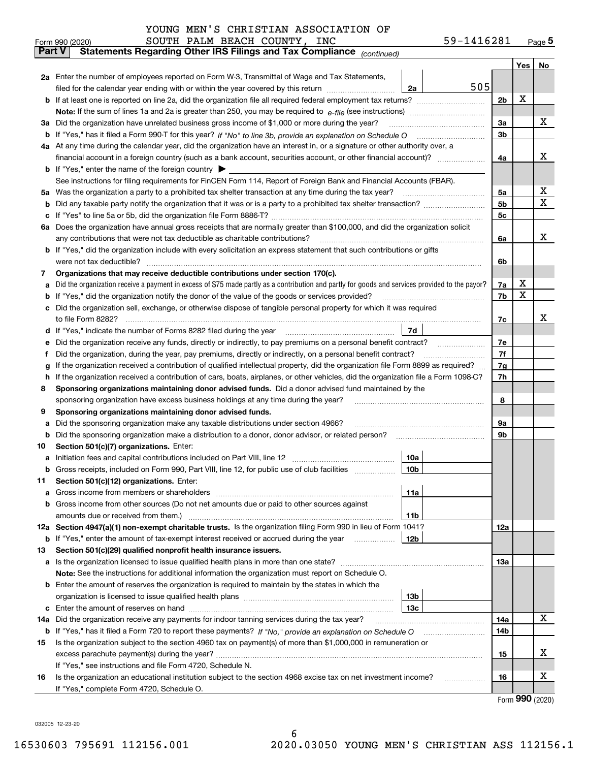| YOUNG MEN'S CHRISTIAN ASSOCIATION OF |  |  |  |  |  |
|--------------------------------------|--|--|--|--|--|
|--------------------------------------|--|--|--|--|--|

|     | SOUTH PALM BEACH COUNTY, INC<br>Form 990 (2020)                                                                                                 | 59-1416281 |     | Page $5$ |  |  |  |
|-----|-------------------------------------------------------------------------------------------------------------------------------------------------|------------|-----|----------|--|--|--|
|     | Part V<br>Statements Regarding Other IRS Filings and Tax Compliance (continued)                                                                 |            |     |          |  |  |  |
|     |                                                                                                                                                 |            | Yes | No       |  |  |  |
|     | 2a Enter the number of employees reported on Form W-3, Transmittal of Wage and Tax Statements,                                                  |            |     |          |  |  |  |
|     | filed for the calendar year ending with or within the year covered by this return<br>2a                                                         | 505        |     |          |  |  |  |
|     |                                                                                                                                                 | 2b         | х   |          |  |  |  |
|     |                                                                                                                                                 |            |     |          |  |  |  |
|     | 3a Did the organization have unrelated business gross income of \$1,000 or more during the year?                                                | 3a         |     | х        |  |  |  |
|     |                                                                                                                                                 | 3b         |     |          |  |  |  |
|     | 4a At any time during the calendar year, did the organization have an interest in, or a signature or other authority over, a                    |            |     |          |  |  |  |
|     |                                                                                                                                                 | 4a         |     | х        |  |  |  |
|     | <b>b</b> If "Yes," enter the name of the foreign country $\triangleright$                                                                       |            |     |          |  |  |  |
|     | See instructions for filing requirements for FinCEN Form 114, Report of Foreign Bank and Financial Accounts (FBAR).                             |            |     |          |  |  |  |
| 5a  | Was the organization a party to a prohibited tax shelter transaction at any time during the tax year?                                           | 5а         |     | х        |  |  |  |
| b   |                                                                                                                                                 |            |     |          |  |  |  |
| с   |                                                                                                                                                 | 5c         |     |          |  |  |  |
|     | 6a Does the organization have annual gross receipts that are normally greater than \$100,000, and did the organization solicit                  |            |     |          |  |  |  |
|     | any contributions that were not tax deductible as charitable contributions? [[[[[[[[[[[[[[[[[[[[[[[]]]]]]]]]]]                                  | 6a         |     | х        |  |  |  |
|     | <b>b</b> If "Yes," did the organization include with every solicitation an express statement that such contributions or gifts                   |            |     |          |  |  |  |
|     |                                                                                                                                                 | 6b         |     |          |  |  |  |
| 7   | Organizations that may receive deductible contributions under section 170(c).                                                                   |            |     |          |  |  |  |
| а   | Did the organization receive a payment in excess of \$75 made partly as a contribution and partly for goods and services provided to the payor? | 7a         | х   |          |  |  |  |
| b   | If "Yes," did the organization notify the donor of the value of the goods or services provided?                                                 | 7b         | X   |          |  |  |  |
| с   | Did the organization sell, exchange, or otherwise dispose of tangible personal property for which it was required                               |            |     |          |  |  |  |
|     |                                                                                                                                                 | 7c         |     | х        |  |  |  |
| d   | 7d                                                                                                                                              |            |     |          |  |  |  |
| е   |                                                                                                                                                 | 7e         |     |          |  |  |  |
| f   | Did the organization, during the year, pay premiums, directly or indirectly, on a personal benefit contract?                                    | 7f         |     |          |  |  |  |
| g   | If the organization received a contribution of qualified intellectual property, did the organization file Form 8899 as required?                | 7g         |     |          |  |  |  |
| h   | If the organization received a contribution of cars, boats, airplanes, or other vehicles, did the organization file a Form 1098-C?              | 7h         |     |          |  |  |  |
| 8   | Sponsoring organizations maintaining donor advised funds. Did a donor advised fund maintained by the                                            |            |     |          |  |  |  |
|     | sponsoring organization have excess business holdings at any time during the year?                                                              | 8          |     |          |  |  |  |
| 9   | Sponsoring organizations maintaining donor advised funds.                                                                                       |            |     |          |  |  |  |
| а   | Did the sponsoring organization make any taxable distributions under section 4966?                                                              | 9а         |     |          |  |  |  |
| b   | Did the sponsoring organization make a distribution to a donor, donor advisor, or related person?                                               | 9b         |     |          |  |  |  |
| 10  | Section 501(c)(7) organizations. Enter:                                                                                                         |            |     |          |  |  |  |
|     | 10a                                                                                                                                             |            |     |          |  |  |  |
|     | 10b <br>Gross receipts, included on Form 990, Part VIII, line 12, for public use of club facilities                                             |            |     |          |  |  |  |
| 11  | Section 501(c)(12) organizations. Enter:                                                                                                        |            |     |          |  |  |  |
| а   | 11a                                                                                                                                             |            |     |          |  |  |  |
| b   | Gross income from other sources (Do not net amounts due or paid to other sources against                                                        |            |     |          |  |  |  |
|     | 11b                                                                                                                                             |            |     |          |  |  |  |
|     | 12a Section 4947(a)(1) non-exempt charitable trusts. Is the organization filing Form 990 in lieu of Form 1041?                                  | 12a        |     |          |  |  |  |
|     | 12b<br><b>b</b> If "Yes," enter the amount of tax-exempt interest received or accrued during the year                                           |            |     |          |  |  |  |
| 13  | Section 501(c)(29) qualified nonprofit health insurance issuers.                                                                                |            |     |          |  |  |  |
| а   | Is the organization licensed to issue qualified health plans in more than one state?                                                            | 13a        |     |          |  |  |  |
|     | Note: See the instructions for additional information the organization must report on Schedule O.                                               |            |     |          |  |  |  |
| b   | Enter the amount of reserves the organization is required to maintain by the states in which the                                                |            |     |          |  |  |  |
|     | 13 <sub>b</sub>                                                                                                                                 |            |     |          |  |  |  |
| c   | 13 <sub>c</sub>                                                                                                                                 |            |     |          |  |  |  |
| 14a | Did the organization receive any payments for indoor tanning services during the tax year?                                                      | 14a        |     | х        |  |  |  |
|     | <b>b</b> If "Yes," has it filed a Form 720 to report these payments? If "No," provide an explanation on Schedule O                              | 14b        |     |          |  |  |  |
| 15  | Is the organization subject to the section 4960 tax on payment(s) of more than \$1,000,000 in remuneration or                                   |            |     |          |  |  |  |
|     |                                                                                                                                                 | 15         |     | х        |  |  |  |
|     | If "Yes," see instructions and file Form 4720, Schedule N.                                                                                      |            |     |          |  |  |  |
| 16  | Is the organization an educational institution subject to the section 4968 excise tax on net investment income?                                 | 16         |     | х        |  |  |  |
|     | If "Yes," complete Form 4720, Schedule O.                                                                                                       |            |     |          |  |  |  |

Form (2020) **990**

032005 12-23-20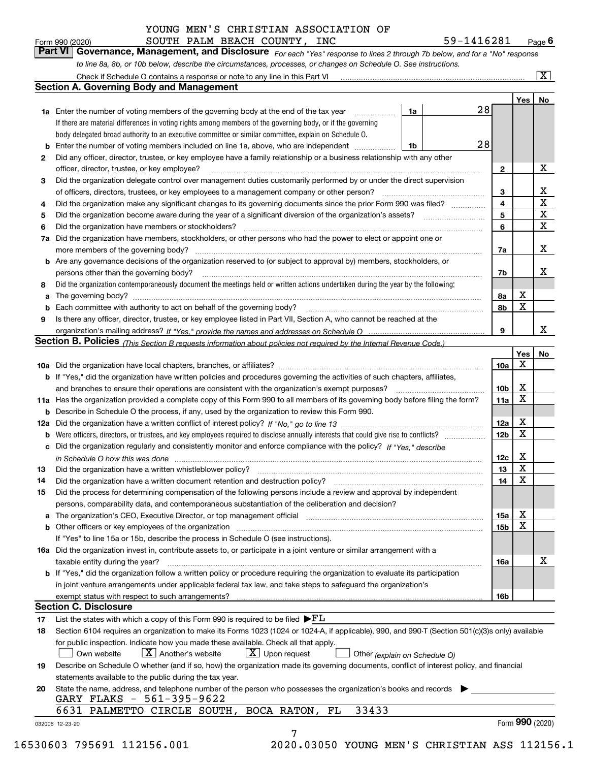|    | SOUTH PALM BEACH COUNTY, INC<br>Form 990 (2020)                                                                                                                                                                                         |    | 59-1416281 |                 |                         | $Page$ 6                |
|----|-----------------------------------------------------------------------------------------------------------------------------------------------------------------------------------------------------------------------------------------|----|------------|-----------------|-------------------------|-------------------------|
|    | Part VI<br>Governance, Management, and Disclosure For each "Yes" response to lines 2 through 7b below, and for a "No" response                                                                                                          |    |            |                 |                         |                         |
|    | to line 8a, 8b, or 10b below, describe the circumstances, processes, or changes on Schedule O. See instructions.                                                                                                                        |    |            |                 |                         |                         |
|    | Check if Schedule O contains a response or note to any line in this Part VI                                                                                                                                                             |    |            |                 |                         | $\overline{\mathbf{x}}$ |
|    | <b>Section A. Governing Body and Management</b>                                                                                                                                                                                         |    |            |                 |                         |                         |
|    |                                                                                                                                                                                                                                         |    |            |                 | Yes                     | No                      |
|    | <b>1a</b> Enter the number of voting members of the governing body at the end of the tax year                                                                                                                                           | 1a | 28         |                 |                         |                         |
|    | If there are material differences in voting rights among members of the governing body, or if the governing                                                                                                                             |    |            |                 |                         |                         |
|    | body delegated broad authority to an executive committee or similar committee, explain on Schedule O.                                                                                                                                   |    |            |                 |                         |                         |
|    | Enter the number of voting members included on line 1a, above, who are independent                                                                                                                                                      | 1b | 28         |                 |                         |                         |
| 2  | Did any officer, director, trustee, or key employee have a family relationship or a business relationship with any other                                                                                                                |    |            |                 |                         |                         |
|    | officer, director, trustee, or key employee?                                                                                                                                                                                            |    |            | 2               |                         | х                       |
| 3  | Did the organization delegate control over management duties customarily performed by or under the direct supervision                                                                                                                   |    |            |                 |                         |                         |
|    | of officers, directors, trustees, or key employees to a management company or other person?                                                                                                                                             |    |            | 3               |                         | х                       |
| 4  | Did the organization make any significant changes to its governing documents since the prior Form 990 was filed?                                                                                                                        |    |            | 4               |                         | X                       |
| 5  |                                                                                                                                                                                                                                         |    |            | 5               |                         | X                       |
| 6  | Did the organization have members or stockholders?                                                                                                                                                                                      |    |            | 6               |                         | X                       |
| 7a | Did the organization have members, stockholders, or other persons who had the power to elect or appoint one or                                                                                                                          |    |            |                 |                         |                         |
|    | more members of the governing body?                                                                                                                                                                                                     |    |            | 7a              |                         | х                       |
|    | <b>b</b> Are any governance decisions of the organization reserved to (or subject to approval by) members, stockholders, or                                                                                                             |    |            |                 |                         |                         |
|    | persons other than the governing body?                                                                                                                                                                                                  |    |            | 7b              |                         | х                       |
| 8  | Did the organization contemporaneously document the meetings held or written actions undertaken during the year by the following:                                                                                                       |    |            |                 |                         |                         |
| a  |                                                                                                                                                                                                                                         |    |            | 8а              | х                       |                         |
| b  | Each committee with authority to act on behalf of the governing body?                                                                                                                                                                   |    |            | 8b              | X                       |                         |
| 9  | Is there any officer, director, trustee, or key employee listed in Part VII, Section A, who cannot be reached at the                                                                                                                    |    |            |                 |                         |                         |
|    |                                                                                                                                                                                                                                         |    |            | 9               |                         | x                       |
|    | Section B. Policies <sub>(This</sub> Section B requests information about policies not required by the Internal Revenue Code.)                                                                                                          |    |            |                 |                         |                         |
|    |                                                                                                                                                                                                                                         |    |            | 10a             | Yes<br>X                | No                      |
|    | b If "Yes," did the organization have written policies and procedures governing the activities of such chapters, affiliates,                                                                                                            |    | .          |                 |                         |                         |
|    | and branches to ensure their operations are consistent with the organization's exempt purposes?                                                                                                                                         |    |            | 10 <sub>b</sub> | X                       |                         |
|    | 11a Has the organization provided a complete copy of this Form 990 to all members of its governing body before filing the form?                                                                                                         |    |            | 11a             | X                       |                         |
|    | <b>b</b> Describe in Schedule O the process, if any, used by the organization to review this Form 990.                                                                                                                                  |    |            |                 |                         |                         |
|    |                                                                                                                                                                                                                                         |    |            | 12a             | X                       |                         |
|    | <b>b</b> Were officers, directors, or trustees, and key employees required to disclose annually interests that could give rise to conflicts?                                                                                            |    |            | 12 <sub>b</sub> | X                       |                         |
|    | Did the organization regularly and consistently monitor and enforce compliance with the policy? If "Yes." describe                                                                                                                      |    |            |                 |                         |                         |
|    | in Schedule O how this was done manufactured and continuum control of the state of the state of the state of t                                                                                                                          |    |            | 12c             | х                       |                         |
|    |                                                                                                                                                                                                                                         |    |            | 13              | $\overline{\textbf{X}}$ |                         |
| 14 | Did the organization have a written document retention and destruction policy?                                                                                                                                                          |    |            | 14              | X                       |                         |
| 15 | Did the process for determining compensation of the following persons include a review and approval by independent                                                                                                                      |    |            |                 |                         |                         |
|    | persons, comparability data, and contemporaneous substantiation of the deliberation and decision?                                                                                                                                       |    |            |                 |                         |                         |
| a  | The organization's CEO, Executive Director, or top management official manufactured content content of the organization's CEO, Executive Director, or top management official                                                           |    |            | 15a             | х                       |                         |
|    |                                                                                                                                                                                                                                         |    |            | 15 <sub>b</sub> | X                       |                         |
|    | If "Yes" to line 15a or 15b, describe the process in Schedule O (see instructions).                                                                                                                                                     |    |            |                 |                         |                         |
|    | 16a Did the organization invest in, contribute assets to, or participate in a joint venture or similar arrangement with a                                                                                                               |    |            |                 |                         |                         |
|    | taxable entity during the year?                                                                                                                                                                                                         |    |            | 16a             |                         | х                       |
|    | b If "Yes," did the organization follow a written policy or procedure requiring the organization to evaluate its participation                                                                                                          |    |            |                 |                         |                         |
|    | in joint venture arrangements under applicable federal tax law, and take steps to safeguard the organization's                                                                                                                          |    |            |                 |                         |                         |
|    |                                                                                                                                                                                                                                         |    |            | 16b             |                         |                         |
|    | <b>Section C. Disclosure</b>                                                                                                                                                                                                            |    |            |                 |                         |                         |
| 17 | List the states with which a copy of this Form 990 is required to be filed $\blacktriangleright$ $FL$                                                                                                                                   |    |            |                 |                         |                         |
| 18 | Section 6104 requires an organization to make its Forms 1023 (1024 or 1024-A, if applicable), 990, and 990-T (Section 501(c)(3)s only) available<br>for public inspection. Indicate how you made these available. Check all that apply. |    |            |                 |                         |                         |
|    | $X$ Another's website<br>$X$ Upon request<br>Own website<br>Other (explain on Schedule O)                                                                                                                                               |    |            |                 |                         |                         |
| 19 | Describe on Schedule O whether (and if so, how) the organization made its governing documents, conflict of interest policy, and financial                                                                                               |    |            |                 |                         |                         |
|    | statements available to the public during the tax year.                                                                                                                                                                                 |    |            |                 |                         |                         |
| 20 | State the name, address, and telephone number of the person who possesses the organization's books and records                                                                                                                          |    |            |                 |                         |                         |
|    | GARY FLAKS - 561-395-9622                                                                                                                                                                                                               |    |            |                 |                         |                         |
|    | 33433<br>6631 PALMETTO CIRCLE SOUTH, BOCA RATON,<br>FL                                                                                                                                                                                  |    |            |                 |                         |                         |
|    | 032006 12-23-20                                                                                                                                                                                                                         |    |            |                 |                         | Form 990 (2020)         |
|    |                                                                                                                                                                                                                                         |    |            |                 |                         |                         |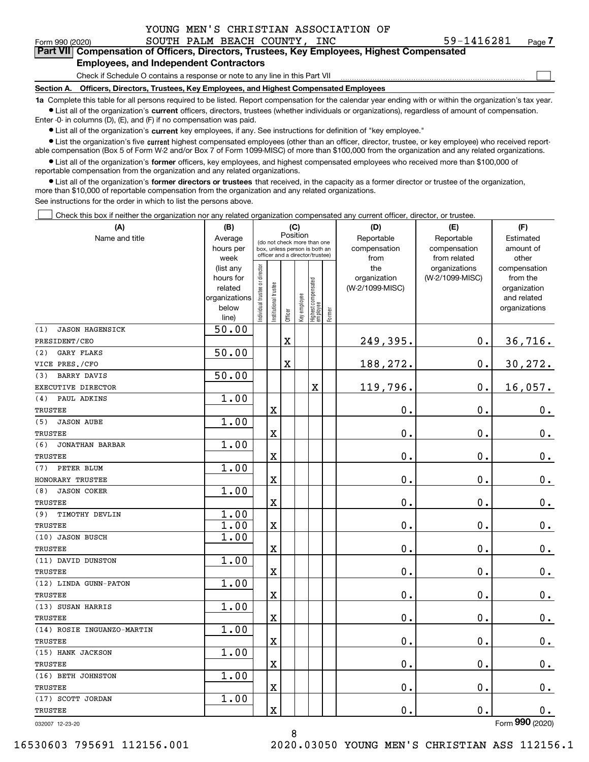|  | YOUNG MEN'S CHRISTIAN ASSOCIATION OF |  |
|--|--------------------------------------|--|
|--|--------------------------------------|--|

 $\mathcal{L}^{\text{max}}$ 

| Form 990 (2020) |                                               |  | SOUTH PALM BEACH COUNTY, INC | 59-1416281                                                                                 | Page 7 |
|-----------------|-----------------------------------------------|--|------------------------------|--------------------------------------------------------------------------------------------|--------|
|                 |                                               |  |                              | Part VII Compensation of Officers, Directors, Trustees, Key Employees, Highest Compensated |        |
|                 | <b>Employees, and Independent Contractors</b> |  |                              |                                                                                            |        |

**s, and Independent Contractors** 

Check if Schedule O contains a response or note to any line in this Part VII

**Section A. Officers, Directors, Trustees, Key Employees, and Highest Compensated Employees**

**1a**  Complete this table for all persons required to be listed. Report compensation for the calendar year ending with or within the organization's tax year. **•** List all of the organization's current officers, directors, trustees (whether individuals or organizations), regardless of amount of compensation.

Enter -0- in columns (D), (E), and (F) if no compensation was paid.

 $\bullet$  List all of the organization's  $\,$ current key employees, if any. See instructions for definition of "key employee."

**•** List the organization's five current highest compensated employees (other than an officer, director, trustee, or key employee) who received reportable compensation (Box 5 of Form W-2 and/or Box 7 of Form 1099-MISC) of more than \$100,000 from the organization and any related organizations.

**•** List all of the organization's former officers, key employees, and highest compensated employees who received more than \$100,000 of reportable compensation from the organization and any related organizations.

**former directors or trustees**  ¥ List all of the organization's that received, in the capacity as a former director or trustee of the organization, more than \$10,000 of reportable compensation from the organization and any related organizations.

See instructions for the order in which to list the persons above.

Check this box if neither the organization nor any related organization compensated any current officer, director, or trustee.  $\mathcal{L}^{\text{max}}$ 

| (A)                           | (C)<br>(B)             |                               |                         |             |              |                                                                  |        | (D)                 | (E)                              | (F)                      |
|-------------------------------|------------------------|-------------------------------|-------------------------|-------------|--------------|------------------------------------------------------------------|--------|---------------------|----------------------------------|--------------------------|
| Name and title                | Average                |                               |                         | Position    |              | (do not check more than one                                      |        | Reportable          | Reportable                       | Estimated                |
|                               | hours per              |                               |                         |             |              | box, unless person is both an<br>officer and a director/trustee) |        | compensation        | compensation                     | amount of                |
|                               | week                   |                               |                         |             |              |                                                                  |        | from                | from related                     | other                    |
|                               | (list any<br>hours for |                               |                         |             |              |                                                                  |        | the<br>organization | organizations<br>(W-2/1099-MISC) | compensation<br>from the |
|                               | related                |                               |                         |             |              |                                                                  |        | (W-2/1099-MISC)     |                                  | organization             |
|                               | organizations          |                               |                         |             |              |                                                                  |        |                     |                                  | and related              |
|                               | below                  | ndividual trustee or director | nstitutional trustee    |             | key employee |                                                                  |        |                     |                                  | organizations            |
|                               | line)                  |                               |                         | Officer     |              | Highest compensated<br>  employee                                | Former |                     |                                  |                          |
| <b>JASON HAGENSICK</b><br>(1) | 50.00                  |                               |                         |             |              |                                                                  |        |                     |                                  |                          |
| PRESIDENT/CEO                 |                        |                               |                         | $\mathbf X$ |              |                                                                  |        | 249,395.            | $\mathbf 0$ .                    | 36,716.                  |
| <b>GARY FLAKS</b><br>(2)      | 50.00                  |                               |                         |             |              |                                                                  |        |                     |                                  |                          |
| VICE PRES./CFO                |                        |                               |                         | $\mathbf X$ |              |                                                                  |        | 188,272.            | $\mathbf 0$ .                    | 30, 272.                 |
| <b>BARRY DAVIS</b><br>(3)     | 50.00                  |                               |                         |             |              |                                                                  |        |                     |                                  |                          |
| EXECUTIVE DIRECTOR            |                        |                               |                         |             |              | X                                                                |        | 119,796.            | $\mathbf{0}$ .                   | 16,057.                  |
| (4)<br>PAUL ADKINS            | 1.00                   |                               |                         |             |              |                                                                  |        |                     |                                  |                          |
| TRUSTEE                       |                        |                               | X                       |             |              |                                                                  |        | 0.                  | 0.                               | 0.                       |
| (5)<br><b>JASON AUBE</b>      | 1.00                   |                               |                         |             |              |                                                                  |        |                     |                                  |                          |
| <b>TRUSTEE</b>                |                        |                               | $\overline{\textbf{X}}$ |             |              |                                                                  |        | 0.                  | $\mathbf 0$ .                    | $0_{.}$                  |
| (6)<br><b>JONATHAN BARBAR</b> | 1.00                   |                               |                         |             |              |                                                                  |        |                     |                                  |                          |
| <b>TRUSTEE</b>                |                        |                               | X                       |             |              |                                                                  |        | 0.                  | 0.                               | $\mathbf 0$ .            |
| PETER BLUM<br>(7)             | 1.00                   |                               |                         |             |              |                                                                  |        |                     |                                  |                          |
| HONORARY TRUSTEE              |                        |                               | $\overline{\textbf{X}}$ |             |              |                                                                  |        | 0.                  | $\mathbf 0$ .                    | $\mathbf 0$ .            |
| <b>JASON COKER</b><br>(8)     | 1.00                   |                               |                         |             |              |                                                                  |        |                     |                                  |                          |
| <b>TRUSTEE</b>                |                        |                               | $\overline{\mathbf{X}}$ |             |              |                                                                  |        | 0.                  | 0.                               | $\mathbf 0$ .            |
| (9)<br>TIMOTHY DEVLIN         | 1.00                   |                               |                         |             |              |                                                                  |        |                     |                                  |                          |
| <b>TRUSTEE</b>                | 1.00                   |                               | $\mathbf X$             |             |              |                                                                  |        | $\mathbf 0$ .       | $\mathbf 0$ .                    | $\mathbf 0$ .            |
| (10) JASON BUSCH              | 1.00                   |                               |                         |             |              |                                                                  |        |                     |                                  |                          |
| <b>TRUSTEE</b>                |                        |                               | X                       |             |              |                                                                  |        | $\mathbf 0$ .       | 0.                               | $0_{.}$                  |
| (11) DAVID DUNSTON            | 1.00                   |                               |                         |             |              |                                                                  |        |                     |                                  |                          |
| <b>TRUSTEE</b>                |                        |                               | $\mathbf X$             |             |              |                                                                  |        | 0.                  | $\mathbf 0$ .                    | $\mathbf 0$ .            |
| (12) LINDA GUNN-PATON         | 1.00                   |                               |                         |             |              |                                                                  |        |                     |                                  |                          |
| <b>TRUSTEE</b>                |                        |                               | $\overline{\textbf{X}}$ |             |              |                                                                  |        | 0.                  | 0.                               | $0_{.}$                  |
| (13) SUSAN HARRIS             | 1.00                   |                               |                         |             |              |                                                                  |        |                     |                                  |                          |
| <b>TRUSTEE</b>                |                        |                               | X                       |             |              |                                                                  |        | 0.                  | $\mathbf 0$ .                    | $0_{.}$                  |
| (14) ROSIE INGUANZO-MARTIN    | 1.00                   |                               |                         |             |              |                                                                  |        |                     |                                  |                          |
| TRUSTEE                       |                        |                               | $\overline{\textbf{X}}$ |             |              |                                                                  |        | 0.                  | 0.                               | $0$ .                    |
| (15) HANK JACKSON             | 1.00                   |                               |                         |             |              |                                                                  |        |                     |                                  |                          |
| <b>TRUSTEE</b>                |                        |                               | $\overline{\mathbf{X}}$ |             |              |                                                                  |        | 0.                  | 0.                               | $\mathbf 0$ .            |
| (16) BETH JOHNSTON            | 1.00                   |                               |                         |             |              |                                                                  |        |                     |                                  |                          |
| TRUSTEE                       |                        |                               | $\overline{\textbf{X}}$ |             |              |                                                                  |        | $0$ .               | $\mathbf 0$ .                    | $0_{.}$                  |
| (17) SCOTT JORDAN             | 1.00                   |                               |                         |             |              |                                                                  |        |                     |                                  |                          |
| TRUSTEE                       |                        |                               | $\overline{\mathbf{X}}$ |             |              |                                                                  |        | 0.                  | 0.                               | $\mathbf 0$ .            |

8

032007 12-23-20

Form (2020) **990**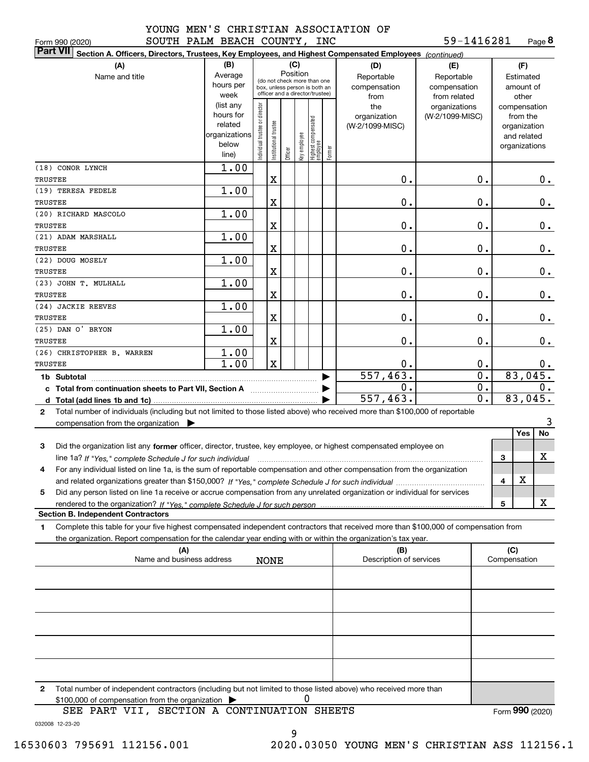**8**59-1416281

| SOUTH PALM BEACH COUNTY, INC<br>Form 990 (2020)                                                                                                                                                                                                                                |                                                                          |                               |                      |          |              |                                                                                                 |                       |                                                                                     | 59-1416281                                                                            |                                      |                                                                                    | Page 8         |
|--------------------------------------------------------------------------------------------------------------------------------------------------------------------------------------------------------------------------------------------------------------------------------|--------------------------------------------------------------------------|-------------------------------|----------------------|----------|--------------|-------------------------------------------------------------------------------------------------|-----------------------|-------------------------------------------------------------------------------------|---------------------------------------------------------------------------------------|--------------------------------------|------------------------------------------------------------------------------------|----------------|
| <b>Part VII</b><br>Section A. Officers, Directors, Trustees, Key Employees, and Highest Compensated Employees (continued)                                                                                                                                                      |                                                                          |                               |                      |          |              |                                                                                                 |                       |                                                                                     |                                                                                       |                                      |                                                                                    |                |
| (A)<br>Name and title                                                                                                                                                                                                                                                          | (B)<br>Average<br>hours per<br>week<br>(list any<br>hours for<br>related | ndividual trustee or director |                      | Position | (C)          | (do not check more than one<br>box, unless person is both an<br>officer and a director/trustee) |                       | (D)<br>Reportable<br>compensation<br>from<br>the<br>organization<br>(W-2/1099-MISC) | (E)<br>Reportable<br>compensation<br>from related<br>organizations<br>(W-2/1099-MISC) |                                      | (F)<br>Estimated<br>amount of<br>other<br>compensation<br>from the<br>organization |                |
|                                                                                                                                                                                                                                                                                | organizations<br>below<br>line)                                          |                               | nstitutional trustee | Officer  | Key employee | Highest compensated<br>employee                                                                 | Former                |                                                                                     |                                                                                       |                                      | and related<br>organizations                                                       |                |
| (18) CONOR LYNCH<br>TRUSTEE                                                                                                                                                                                                                                                    | 1.00                                                                     |                               | X                    |          |              |                                                                                                 |                       | 0.                                                                                  |                                                                                       | 0.                                   |                                                                                    | 0.             |
| (19) TERESA FEDELE<br>TRUSTEE                                                                                                                                                                                                                                                  | $\overline{1.00}$                                                        |                               | X                    |          |              |                                                                                                 |                       | 0.                                                                                  |                                                                                       | 0.                                   |                                                                                    | $0_{.}$        |
| (20) RICHARD MASCOLO<br>TRUSTEE                                                                                                                                                                                                                                                | 1.00                                                                     |                               | X                    |          |              |                                                                                                 |                       | 0.                                                                                  |                                                                                       | 0.                                   |                                                                                    | $0_{.}$        |
| (21) ADAM MARSHALL<br>TRUSTEE                                                                                                                                                                                                                                                  | 1.00                                                                     |                               | X                    |          |              |                                                                                                 |                       | 0.                                                                                  |                                                                                       | 0.                                   |                                                                                    | $0_{.}$        |
| (22) DOUG MOSELY<br>TRUSTEE                                                                                                                                                                                                                                                    | 1.00                                                                     |                               | X                    |          |              |                                                                                                 |                       | 0.                                                                                  |                                                                                       | 0.                                   |                                                                                    | $0_{.}$        |
| (23) JOHN T. MULHALL<br>TRUSTEE                                                                                                                                                                                                                                                | 1.00                                                                     |                               | X                    |          |              |                                                                                                 |                       | 0.                                                                                  |                                                                                       | 0.                                   |                                                                                    | $\mathbf 0$ .  |
| (24) JACKIE REEVES<br>TRUSTEE                                                                                                                                                                                                                                                  | 1.00                                                                     |                               | X                    |          |              |                                                                                                 |                       | 0.                                                                                  |                                                                                       | 0.                                   |                                                                                    | $0$ .          |
| (25) DAN O' BRYON<br>TRUSTEE                                                                                                                                                                                                                                                   | 1.00                                                                     |                               | X                    |          |              |                                                                                                 |                       | 0.                                                                                  |                                                                                       | 0.                                   |                                                                                    | 0.             |
| (26) CHRISTOPHER B. WARREN<br>TRUSTEE                                                                                                                                                                                                                                          | 1.00<br>1.00                                                             |                               | $\mathbf X$          |          |              |                                                                                                 |                       | 0.                                                                                  |                                                                                       | $\mathbf 0$ .                        |                                                                                    | 0.             |
| c Total from continuation sheets to Part VII, Section A [111] [12] Total from continuation sheets to Part VII, Section A                                                                                                                                                       |                                                                          |                               |                      |          |              |                                                                                                 | $\blacktriangleright$ | 557,463.<br>0.                                                                      |                                                                                       | $\overline{\mathfrak{o}}$ .<br>$0$ . | 83,045.                                                                            | $0$ .          |
| Total number of individuals (including but not limited to those listed above) who received more than \$100,000 of reportable<br>$\mathbf{2}$                                                                                                                                   |                                                                          |                               |                      |          |              |                                                                                                 |                       | 557,463.                                                                            |                                                                                       | 0.                                   | 83,045.                                                                            |                |
| compensation from the organization $\blacktriangleright$                                                                                                                                                                                                                       |                                                                          |                               |                      |          |              |                                                                                                 |                       |                                                                                     |                                                                                       |                                      | Yes                                                                                | 3<br><b>No</b> |
| Did the organization list any former officer, director, trustee, key employee, or highest compensated employee on<br>3<br>line 1a? If "Yes," complete Schedule J for such individual manufactured contained and the line 1a? If "Yes," complete Schedule J for such individual |                                                                          |                               |                      |          |              |                                                                                                 |                       |                                                                                     |                                                                                       |                                      | 3                                                                                  | x              |
| For any individual listed on line 1a, is the sum of reportable compensation and other compensation from the organization                                                                                                                                                       |                                                                          |                               |                      |          |              |                                                                                                 |                       |                                                                                     |                                                                                       |                                      | X<br>4                                                                             |                |
| Did any person listed on line 1a receive or accrue compensation from any unrelated organization or individual for services<br>5                                                                                                                                                |                                                                          |                               |                      |          |              |                                                                                                 |                       |                                                                                     |                                                                                       |                                      |                                                                                    | x              |
| rendered to the organization? If "Yes." complete Schedule J for such person<br><b>Section B. Independent Contractors</b>                                                                                                                                                       |                                                                          |                               |                      |          |              |                                                                                                 |                       |                                                                                     |                                                                                       |                                      | 5                                                                                  |                |
| Complete this table for your five highest compensated independent contractors that received more than \$100,000 of compensation from<br>1<br>the organization. Report compensation for the calendar year ending with or within the organization's tax year.                    |                                                                          |                               |                      |          |              |                                                                                                 |                       |                                                                                     |                                                                                       |                                      |                                                                                    |                |
| (A)<br>Name and business address                                                                                                                                                                                                                                               |                                                                          |                               | <b>NONE</b>          |          |              |                                                                                                 |                       | (B)<br>Description of services                                                      |                                                                                       |                                      | (C)<br>Compensation                                                                |                |
|                                                                                                                                                                                                                                                                                |                                                                          |                               |                      |          |              |                                                                                                 |                       |                                                                                     |                                                                                       |                                      |                                                                                    |                |
|                                                                                                                                                                                                                                                                                |                                                                          |                               |                      |          |              |                                                                                                 |                       |                                                                                     |                                                                                       |                                      |                                                                                    |                |
|                                                                                                                                                                                                                                                                                |                                                                          |                               |                      |          |              |                                                                                                 |                       |                                                                                     |                                                                                       |                                      |                                                                                    |                |
|                                                                                                                                                                                                                                                                                |                                                                          |                               |                      |          |              |                                                                                                 |                       |                                                                                     |                                                                                       |                                      |                                                                                    |                |
|                                                                                                                                                                                                                                                                                |                                                                          |                               |                      |          |              |                                                                                                 |                       |                                                                                     |                                                                                       |                                      |                                                                                    |                |
| Total number of independent contractors (including but not limited to those listed above) who received more than<br>2<br>\$100,000 of compensation from the organization                                                                                                       |                                                                          |                               |                      |          |              |                                                                                                 |                       |                                                                                     |                                                                                       |                                      |                                                                                    |                |
| SEE PART VII, SECTION A CONTINUATION SHEETS                                                                                                                                                                                                                                    |                                                                          |                               |                      |          |              |                                                                                                 |                       |                                                                                     |                                                                                       |                                      | Form 990 (2020)                                                                    |                |

032008 12-23-20 SEE PART VII, SECTION A CONTINUATION SHEETS

9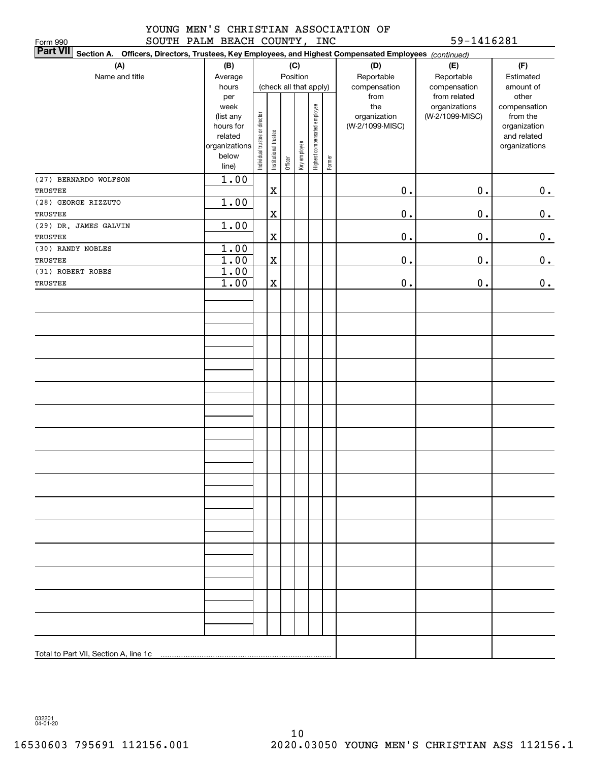## YOUNG MEN'S CHRISTIAN ASSOCIATION OF SOUTH PALM BEACH COUNTY, INC 59-1416281

| SOUTH PALM BEACH COUNTY, INC<br>Form 990                                                                        |                        |                                |                       |         |              |                              |        |                                 | 59-1416281                       |                          |
|-----------------------------------------------------------------------------------------------------------------|------------------------|--------------------------------|-----------------------|---------|--------------|------------------------------|--------|---------------------------------|----------------------------------|--------------------------|
| Part VII Section A. Officers, Directors, Trustees, Key Employees, and Highest Compensated Employees (continued) |                        |                                |                       |         |              |                              |        |                                 |                                  |                          |
| (A)                                                                                                             | (B)                    |                                |                       |         | (C)          |                              |        | (D)                             | (E)                              | (F)                      |
| Name and title                                                                                                  | Average                |                                | Position              |         |              |                              |        | Reportable                      | Reportable                       | Estimated                |
|                                                                                                                 | hours                  |                                |                       |         |              | (check all that apply)       |        | compensation                    | compensation                     | amount of                |
|                                                                                                                 | per                    |                                |                       |         |              |                              |        | from                            | from related                     | other                    |
|                                                                                                                 | week                   |                                |                       |         |              | Highest compensated employee |        | the                             | organizations<br>(W-2/1099-MISC) | compensation             |
|                                                                                                                 | (list any<br>hours for | Individual trustee or director |                       |         |              |                              |        | organization<br>(W-2/1099-MISC) |                                  | from the<br>organization |
|                                                                                                                 | related                |                                |                       |         |              |                              |        |                                 |                                  | and related              |
|                                                                                                                 | organizations          |                                | Institutional trustee |         |              |                              |        |                                 |                                  | organizations            |
|                                                                                                                 | below                  |                                |                       |         | Key employee |                              |        |                                 |                                  |                          |
|                                                                                                                 | line)                  |                                |                       | Officer |              |                              | Former |                                 |                                  |                          |
| (27) BERNARDO WOLFSON                                                                                           | 1.00                   |                                |                       |         |              |                              |        |                                 |                                  |                          |
| TRUSTEE                                                                                                         |                        |                                | X                     |         |              |                              |        | $0$ .                           | $0$ .                            | 0.                       |
| (28) GEORGE RIZZUTO                                                                                             | 1.00                   |                                |                       |         |              |                              |        |                                 |                                  |                          |
| TRUSTEE                                                                                                         |                        |                                | $\mathbf X$           |         |              |                              |        | $0$ .                           | $0$ .                            | $0_{\cdot}$              |
| (29) DR. JAMES GALVIN                                                                                           | 1.00                   |                                |                       |         |              |                              |        |                                 |                                  |                          |
| <b>TRUSTEE</b>                                                                                                  |                        |                                | $\mathbf X$           |         |              |                              |        | $0$ .                           | $0$ .                            | 0.                       |
| (30) RANDY NOBLES                                                                                               | 1.00                   |                                |                       |         |              |                              |        |                                 |                                  |                          |
| TRUSTEE                                                                                                         | 1.00                   |                                | $\mathbf X$           |         |              |                              |        | $0$ .                           | $\mathbf 0$ .                    | 0.                       |
| (31) ROBERT ROBES                                                                                               | 1.00                   |                                |                       |         |              |                              |        |                                 |                                  |                          |
| TRUSTEE                                                                                                         | 1.00                   |                                | X                     |         |              |                              |        | $0$ .                           | $\mathbf 0$ .                    | $0_{.}$                  |
|                                                                                                                 |                        |                                |                       |         |              |                              |        |                                 |                                  |                          |
|                                                                                                                 |                        |                                |                       |         |              |                              |        |                                 |                                  |                          |
|                                                                                                                 |                        |                                |                       |         |              |                              |        |                                 |                                  |                          |
|                                                                                                                 |                        |                                |                       |         |              |                              |        |                                 |                                  |                          |
|                                                                                                                 |                        |                                |                       |         |              |                              |        |                                 |                                  |                          |
|                                                                                                                 |                        |                                |                       |         |              |                              |        |                                 |                                  |                          |
|                                                                                                                 |                        |                                |                       |         |              |                              |        |                                 |                                  |                          |
|                                                                                                                 |                        |                                |                       |         |              |                              |        |                                 |                                  |                          |
|                                                                                                                 |                        |                                |                       |         |              |                              |        |                                 |                                  |                          |
|                                                                                                                 |                        |                                |                       |         |              |                              |        |                                 |                                  |                          |
|                                                                                                                 |                        |                                |                       |         |              |                              |        |                                 |                                  |                          |
|                                                                                                                 |                        |                                |                       |         |              |                              |        |                                 |                                  |                          |
|                                                                                                                 |                        |                                |                       |         |              |                              |        |                                 |                                  |                          |
|                                                                                                                 |                        |                                |                       |         |              |                              |        |                                 |                                  |                          |
|                                                                                                                 |                        |                                |                       |         |              |                              |        |                                 |                                  |                          |
|                                                                                                                 |                        |                                |                       |         |              |                              |        |                                 |                                  |                          |
|                                                                                                                 |                        |                                |                       |         |              |                              |        |                                 |                                  |                          |
|                                                                                                                 |                        |                                |                       |         |              |                              |        |                                 |                                  |                          |
|                                                                                                                 |                        |                                |                       |         |              |                              |        |                                 |                                  |                          |
|                                                                                                                 |                        |                                |                       |         |              |                              |        |                                 |                                  |                          |
|                                                                                                                 |                        |                                |                       |         |              |                              |        |                                 |                                  |                          |
|                                                                                                                 |                        |                                |                       |         |              |                              |        |                                 |                                  |                          |
|                                                                                                                 |                        |                                |                       |         |              |                              |        |                                 |                                  |                          |
|                                                                                                                 |                        |                                |                       |         |              |                              |        |                                 |                                  |                          |
|                                                                                                                 |                        |                                |                       |         |              |                              |        |                                 |                                  |                          |
|                                                                                                                 |                        |                                |                       |         |              |                              |        |                                 |                                  |                          |
|                                                                                                                 |                        |                                |                       |         |              |                              |        |                                 |                                  |                          |
|                                                                                                                 |                        |                                |                       |         |              |                              |        |                                 |                                  |                          |
|                                                                                                                 |                        |                                |                       |         |              |                              |        |                                 |                                  |                          |
|                                                                                                                 |                        |                                |                       |         |              |                              |        |                                 |                                  |                          |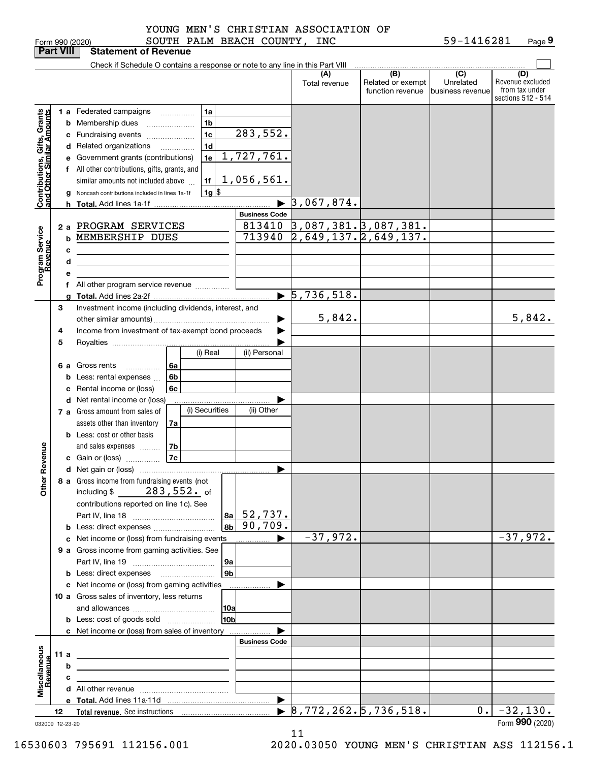|  | orm 990 (2020) |
|--|----------------|

| <b>Part VIII</b>                                          |      |   | <b>Statement of Revenue</b>                                                                                          |                      |                                                                           |                                              |                                                 |                                                                 |
|-----------------------------------------------------------|------|---|----------------------------------------------------------------------------------------------------------------------|----------------------|---------------------------------------------------------------------------|----------------------------------------------|-------------------------------------------------|-----------------------------------------------------------------|
|                                                           |      |   | Check if Schedule O contains a response or note to any line in this Part VIII                                        |                      |                                                                           |                                              |                                                 |                                                                 |
|                                                           |      |   |                                                                                                                      |                      | (A)<br>Total revenue                                                      | (B)<br>Related or exempt<br>function revenue | $\overline{C}$<br>Unrelated<br>business revenue | (D)<br>Revenue excluded<br>from tax under<br>sections 512 - 514 |
|                                                           |      |   | 1 a Federated campaigns<br>1a                                                                                        |                      |                                                                           |                                              |                                                 |                                                                 |
|                                                           |      |   | 1 <sub>b</sub><br><b>b</b> Membership dues                                                                           |                      |                                                                           |                                              |                                                 |                                                                 |
|                                                           |      |   | 1 <sub>c</sub><br>c Fundraising events                                                                               | 283,552.             |                                                                           |                                              |                                                 |                                                                 |
|                                                           |      |   | 1 <sub>d</sub><br>d Related organizations<br>$\overline{\phantom{a}}$                                                |                      |                                                                           |                                              |                                                 |                                                                 |
|                                                           |      |   | 1e<br>e Government grants (contributions)                                                                            | 1,727,761.           |                                                                           |                                              |                                                 |                                                                 |
|                                                           |      |   | f All other contributions, gifts, grants, and                                                                        |                      |                                                                           |                                              |                                                 |                                                                 |
|                                                           |      |   | 1f<br>similar amounts not included above                                                                             | 1,056,561.           |                                                                           |                                              |                                                 |                                                                 |
|                                                           |      |   | $1g$ \$<br>Noncash contributions included in lines 1a-1f                                                             |                      |                                                                           |                                              |                                                 |                                                                 |
| Contributions, Gifts, Grants<br>and Other Similar Amounts |      |   |                                                                                                                      |                      | 3,067,874.                                                                |                                              |                                                 |                                                                 |
|                                                           |      |   |                                                                                                                      | <b>Business Code</b> |                                                                           |                                              |                                                 |                                                                 |
|                                                           |      |   | 2 a PROGRAM SERVICES                                                                                                 |                      | $\frac{813410}{713940} \frac{3,087,381.3,087,381.}{2,649,137.2,649,137.}$ |                                              |                                                 |                                                                 |
|                                                           |      | b | MEMBERSHIP DUES                                                                                                      |                      |                                                                           |                                              |                                                 |                                                                 |
|                                                           |      | c |                                                                                                                      |                      |                                                                           |                                              |                                                 |                                                                 |
|                                                           |      | d | the control of the control of the control of the control of the control of the control of                            |                      |                                                                           |                                              |                                                 |                                                                 |
| Program Service<br>Revenue                                |      |   |                                                                                                                      |                      |                                                                           |                                              |                                                 |                                                                 |
|                                                           |      |   | f All other program service revenue                                                                                  |                      |                                                                           |                                              |                                                 |                                                                 |
|                                                           |      |   |                                                                                                                      |                      | $\blacktriangleright$ 5,736,518.                                          |                                              |                                                 |                                                                 |
|                                                           | 3    |   | Investment income (including dividends, interest, and                                                                |                      | 5,842.                                                                    |                                              |                                                 |                                                                 |
|                                                           |      |   |                                                                                                                      |                      |                                                                           |                                              |                                                 | 5,842.                                                          |
|                                                           | 4    |   | Income from investment of tax-exempt bond proceeds                                                                   |                      |                                                                           |                                              |                                                 |                                                                 |
|                                                           | 5    |   | (i) Real                                                                                                             | (ii) Personal        |                                                                           |                                              |                                                 |                                                                 |
|                                                           |      |   | 6 a Gross rents<br>l 6a                                                                                              |                      |                                                                           |                                              |                                                 |                                                                 |
|                                                           |      | b | .<br>6 <sub>b</sub><br>Less: rental expenses                                                                         |                      |                                                                           |                                              |                                                 |                                                                 |
|                                                           |      | c | 6c<br>Rental income or (loss)                                                                                        |                      |                                                                           |                                              |                                                 |                                                                 |
|                                                           |      |   | d Net rental income or (loss)                                                                                        |                      |                                                                           |                                              |                                                 |                                                                 |
|                                                           |      |   | (i) Securities<br><b>7 a</b> Gross amount from sales of                                                              | (ii) Other           |                                                                           |                                              |                                                 |                                                                 |
|                                                           |      |   | assets other than inventory<br>7a                                                                                    |                      |                                                                           |                                              |                                                 |                                                                 |
|                                                           |      |   | <b>b</b> Less: cost or other basis                                                                                   |                      |                                                                           |                                              |                                                 |                                                                 |
|                                                           |      |   | 7b<br>and sales expenses                                                                                             |                      |                                                                           |                                              |                                                 |                                                                 |
| Revenue                                                   |      |   | 7c<br>c Gain or (loss)                                                                                               |                      |                                                                           |                                              |                                                 |                                                                 |
|                                                           |      |   |                                                                                                                      |                      |                                                                           |                                              |                                                 |                                                                 |
| <b>Other</b>                                              |      |   | 8 a Gross income from fundraising events (not                                                                        |                      |                                                                           |                                              |                                                 |                                                                 |
|                                                           |      |   | $283$ ,552. of<br>including $$$                                                                                      |                      |                                                                           |                                              |                                                 |                                                                 |
|                                                           |      |   | contributions reported on line 1c). See                                                                              |                      |                                                                           |                                              |                                                 |                                                                 |
|                                                           |      |   | 8a  <br>8 <sub>b</sub>                                                                                               | 52,737.<br>90,709.   |                                                                           |                                              |                                                 |                                                                 |
|                                                           |      |   | <b>b</b> Less: direct expenses                                                                                       | _____________ ▶      | $-37,972.$                                                                |                                              |                                                 | $-37,972.$                                                      |
|                                                           |      |   | c Net income or (loss) from fundraising events<br>9 a Gross income from gaming activities. See                       |                      |                                                                           |                                              |                                                 |                                                                 |
|                                                           |      |   | 9a                                                                                                                   |                      |                                                                           |                                              |                                                 |                                                                 |
|                                                           |      |   | 9 <sub>b</sub><br><b>b</b> Less: direct expenses <b>manually</b>                                                     |                      |                                                                           |                                              |                                                 |                                                                 |
|                                                           |      |   | c Net income or (loss) from gaming activities                                                                        | .                    |                                                                           |                                              |                                                 |                                                                 |
|                                                           |      |   | 10 a Gross sales of inventory, less returns                                                                          |                      |                                                                           |                                              |                                                 |                                                                 |
|                                                           |      |   | 10a                                                                                                                  |                      |                                                                           |                                              |                                                 |                                                                 |
|                                                           |      |   | 10bl<br><b>b</b> Less: cost of goods sold                                                                            |                      |                                                                           |                                              |                                                 |                                                                 |
|                                                           |      |   | c Net income or (loss) from sales of inventory                                                                       |                      |                                                                           |                                              |                                                 |                                                                 |
|                                                           |      |   |                                                                                                                      | <b>Business Code</b> |                                                                           |                                              |                                                 |                                                                 |
|                                                           | 11 a |   | the contract of the contract of the contract of the contract of the contract of                                      |                      |                                                                           |                                              |                                                 |                                                                 |
|                                                           |      | b | <u> 1989 - Johann Stein, marwolaethau a bhann an t-Amhair an t-Amhair an t-Amhair an t-Amhair an t-Amhair an t-A</u> |                      |                                                                           |                                              |                                                 |                                                                 |
| Miscellaneous<br>Revenue                                  |      | c | the control of the control of the control of the control of the control of                                           |                      |                                                                           |                                              |                                                 |                                                                 |
|                                                           |      |   |                                                                                                                      |                      |                                                                           |                                              |                                                 |                                                                 |
|                                                           |      |   |                                                                                                                      |                      | $\triangleright$ 8,772,262.5,736,518.                                     |                                              | 0.1                                             | $-32,130.$                                                      |
| 032009 12-23-20                                           | 12   |   |                                                                                                                      |                      |                                                                           |                                              |                                                 | Form 990 (2020)                                                 |

11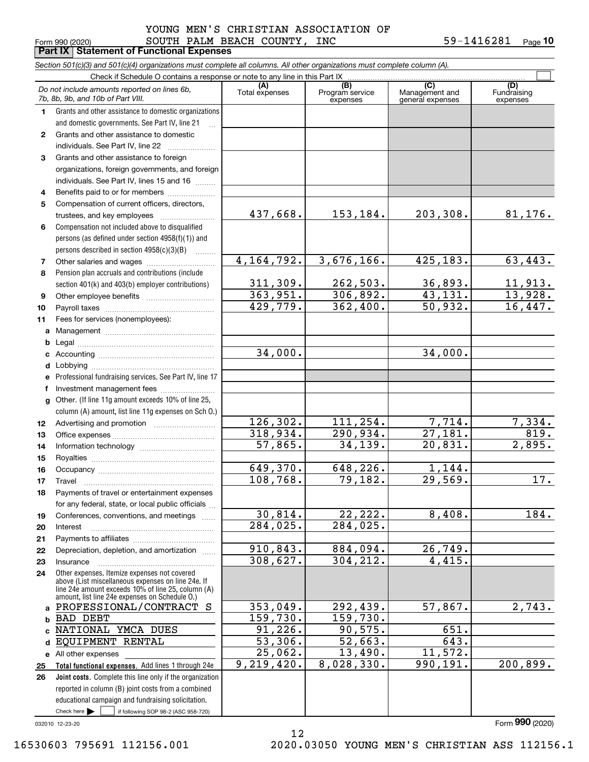#### $_{\rm Form}$   $_{990}$  (2020) <code>SOUTH PALM BEACH COUNTY, INC</code> 59-1416281  $_{\rm Page}$ **Part IX Statement of Functional Expenses** YOUNG MEN'S CHRISTIAN ASSOCIATION OF

**10**

|              | Section 501(c)(3) and 501(c)(4) organizations must complete all columns. All other organizations must complete column (A).                                                                                 |                       |                                    |                                           |                                |
|--------------|------------------------------------------------------------------------------------------------------------------------------------------------------------------------------------------------------------|-----------------------|------------------------------------|-------------------------------------------|--------------------------------|
|              | Check if Schedule O contains a response or note to any line in this Part IX                                                                                                                                |                       |                                    |                                           |                                |
|              | Do not include amounts reported on lines 6b,<br>7b, 8b, 9b, and 10b of Part VIII.                                                                                                                          | (A)<br>Total expenses | (B)<br>Program service<br>expenses | (C)<br>Management and<br>general expenses | (D)<br>Fundraising<br>expenses |
| 1.           | Grants and other assistance to domestic organizations                                                                                                                                                      |                       |                                    |                                           |                                |
|              | and domestic governments. See Part IV, line 21                                                                                                                                                             |                       |                                    |                                           |                                |
| $\mathbf{2}$ | Grants and other assistance to domestic                                                                                                                                                                    |                       |                                    |                                           |                                |
|              | individuals. See Part IV, line 22                                                                                                                                                                          |                       |                                    |                                           |                                |
| 3            | Grants and other assistance to foreign                                                                                                                                                                     |                       |                                    |                                           |                                |
|              | organizations, foreign governments, and foreign                                                                                                                                                            |                       |                                    |                                           |                                |
|              | individuals. See Part IV, lines 15 and 16                                                                                                                                                                  |                       |                                    |                                           |                                |
| 4            | Benefits paid to or for members                                                                                                                                                                            |                       |                                    |                                           |                                |
| 5            | Compensation of current officers, directors,                                                                                                                                                               |                       |                                    |                                           |                                |
|              | trustees, and key employees                                                                                                                                                                                | 437,668.              | 153,184.                           | 203,308.                                  | 81, 176.                       |
| 6            | Compensation not included above to disqualified                                                                                                                                                            |                       |                                    |                                           |                                |
|              | persons (as defined under section 4958(f)(1)) and                                                                                                                                                          |                       |                                    |                                           |                                |
|              | persons described in section 4958(c)(3)(B)                                                                                                                                                                 | 4, 164, 792.          | 3,676,166.                         | 425,183.                                  | 63,443.                        |
| 7<br>8       | Other salaries and wages<br>Pension plan accruals and contributions (include                                                                                                                               |                       |                                    |                                           |                                |
|              |                                                                                                                                                                                                            | 311,309.              | 262,503.                           | 36,893.                                   | 11,913.                        |
| 9            | section 401(k) and 403(b) employer contributions)                                                                                                                                                          | 363,951.              | 306,892.                           | 43,131.                                   | 13,928.                        |
| 10           |                                                                                                                                                                                                            | 429,779.              | 362,400.                           | 50,932.                                   | 16,447.                        |
| 11           | Fees for services (nonemployees):                                                                                                                                                                          |                       |                                    |                                           |                                |
| a            |                                                                                                                                                                                                            |                       |                                    |                                           |                                |
| b            |                                                                                                                                                                                                            |                       |                                    |                                           |                                |
| с            |                                                                                                                                                                                                            | 34,000.               |                                    | 34,000.                                   |                                |
| d            |                                                                                                                                                                                                            |                       |                                    |                                           |                                |
| е            | Professional fundraising services. See Part IV, line 17                                                                                                                                                    |                       |                                    |                                           |                                |
| f            | Investment management fees                                                                                                                                                                                 |                       |                                    |                                           |                                |
| g            | Other. (If line 11g amount exceeds 10% of line 25,                                                                                                                                                         |                       |                                    |                                           |                                |
|              | column (A) amount, list line 11g expenses on Sch O.)                                                                                                                                                       |                       |                                    |                                           |                                |
| 12           |                                                                                                                                                                                                            | 126, 302.             | 111,254.                           | 7,714.                                    | 7,334.                         |
| 13           |                                                                                                                                                                                                            | 318,934.              | 290,934.                           | 27,181.                                   | 819.                           |
| 14           |                                                                                                                                                                                                            | 57,865.               | 34,139.                            | 20,831.                                   | 2,895.                         |
| 15           |                                                                                                                                                                                                            |                       |                                    |                                           |                                |
| 16           |                                                                                                                                                                                                            | 649,370.              | 648,226.                           | 1,144.                                    |                                |
| 17           |                                                                                                                                                                                                            | 108,768.              | 79,182.                            | 29,569.                                   | 17.                            |
| 18           | Payments of travel or entertainment expenses                                                                                                                                                               |                       |                                    |                                           |                                |
|              | for any federal, state, or local public officials                                                                                                                                                          |                       |                                    |                                           |                                |
| 19           | Conferences, conventions, and meetings                                                                                                                                                                     | 30,814.               | 22,222.                            | 8,408.                                    | 184.                           |
| 20           | Interest                                                                                                                                                                                                   | 284,025.              | 284,025.                           |                                           |                                |
| 21           |                                                                                                                                                                                                            |                       |                                    |                                           |                                |
| 22           | Depreciation, depletion, and amortization                                                                                                                                                                  | 910,843.              | 884,094.                           | 26,749.                                   |                                |
| 23           | Insurance                                                                                                                                                                                                  | 308,627.              | 304,212.                           | 4,415.                                    |                                |
| 24           | Other expenses. Itemize expenses not covered<br>above (List miscellaneous expenses on line 24e. If<br>line 24e amount exceeds 10% of line 25, column (A)<br>amount, list line 24e expenses on Schedule O.) |                       |                                    |                                           |                                |
| a            | PROFESSIONAL/CONTRACT S                                                                                                                                                                                    | 353,049.              | 292,439.                           | 57,867.                                   | 2,743.                         |
| b            | <b>BAD DEBT</b>                                                                                                                                                                                            | 159,730.              | 159,730.                           |                                           |                                |
|              | NATIONAL YMCA DUES                                                                                                                                                                                         | 91,226.               | 90,575.                            | 651.                                      |                                |
| d            | EQUIPMENT RENTAL                                                                                                                                                                                           | 53,306.               | 52,663.                            | $\overline{643}$ .                        |                                |
|              | e All other expenses                                                                                                                                                                                       | 25,062.               | 13,490.                            | 11,572.                                   |                                |
| 25           | Total functional expenses. Add lines 1 through 24e                                                                                                                                                         | 9,219,420.            | 8,028,330.                         | 990,191.                                  | 200,899.                       |
| 26           | Joint costs. Complete this line only if the organization                                                                                                                                                   |                       |                                    |                                           |                                |
|              | reported in column (B) joint costs from a combined                                                                                                                                                         |                       |                                    |                                           |                                |
|              | educational campaign and fundraising solicitation.                                                                                                                                                         |                       |                                    |                                           |                                |
|              | Check here $\blacktriangleright$<br>if following SOP 98-2 (ASC 958-720)                                                                                                                                    |                       |                                    |                                           |                                |

12

032010 12-23-20

Form (2020) **990**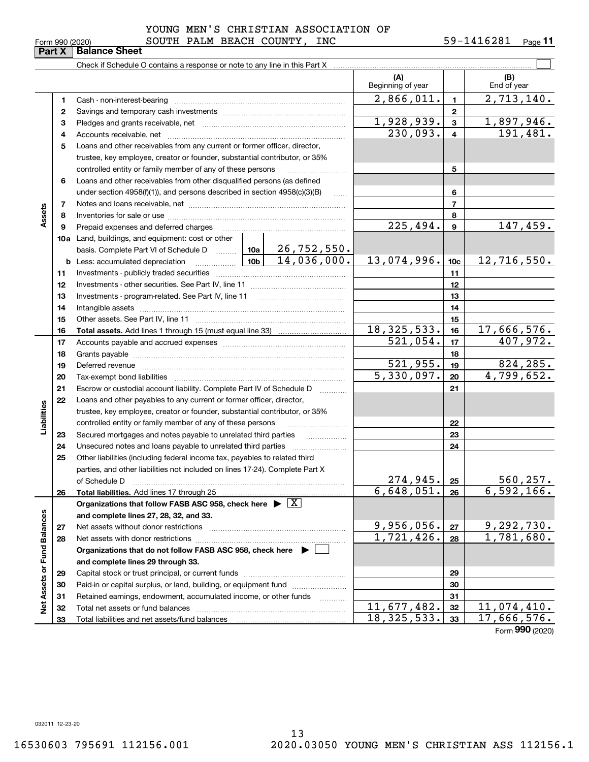| Form 990 (2020) |  |
|-----------------|--|
|-----------------|--|

### $_{\rm Form}$   $_{990}$  (2020) <code>SOUTH PALM BEACH COUNTY, INC</code> 59-1416281  $_{\rm Page}$ YOUNG MEN'S CHRISTIAN ASSOCIATION OF

|                             | Part X | <b>Balance Sheet</b>                                                                                                                                                                                                          |  |                         |                          |                         |                                 |
|-----------------------------|--------|-------------------------------------------------------------------------------------------------------------------------------------------------------------------------------------------------------------------------------|--|-------------------------|--------------------------|-------------------------|---------------------------------|
|                             |        |                                                                                                                                                                                                                               |  |                         |                          |                         |                                 |
|                             |        |                                                                                                                                                                                                                               |  |                         | (A)<br>Beginning of year |                         | (B)<br>End of year              |
|                             | 1      |                                                                                                                                                                                                                               |  |                         | 2,866,011.               | $\mathbf{1}$            | 2,713,140.                      |
|                             | 2      |                                                                                                                                                                                                                               |  |                         |                          | $\mathbf{2}$            |                                 |
|                             | 3      |                                                                                                                                                                                                                               |  |                         | 1,928,939.               | 3                       | <u>1,897,946.</u>               |
|                             | 4      |                                                                                                                                                                                                                               |  |                         | 230,093.                 | $\overline{\mathbf{4}}$ | 191,481.                        |
|                             | 5      | Loans and other receivables from any current or former officer, director,                                                                                                                                                     |  |                         |                          |                         |                                 |
|                             |        | trustee, key employee, creator or founder, substantial contributor, or 35%                                                                                                                                                    |  |                         |                          |                         |                                 |
|                             |        | controlled entity or family member of any of these persons                                                                                                                                                                    |  |                         |                          | 5                       |                                 |
|                             | 6      | Loans and other receivables from other disqualified persons (as defined                                                                                                                                                       |  |                         |                          |                         |                                 |
|                             |        | under section $4958(f)(1)$ , and persons described in section $4958(c)(3)(B)$                                                                                                                                                 |  |                         |                          | 6                       |                                 |
|                             | 7      |                                                                                                                                                                                                                               |  |                         |                          | $\overline{7}$          |                                 |
| Assets                      | 8      |                                                                                                                                                                                                                               |  |                         |                          | 8                       |                                 |
|                             | 9      | Prepaid expenses and deferred charges                                                                                                                                                                                         |  |                         | 225,494.                 | 9                       | 147,459.                        |
|                             |        | <b>10a</b> Land, buildings, and equipment: cost or other                                                                                                                                                                      |  |                         |                          |                         |                                 |
|                             |        | basis. Complete Part VI of Schedule D    10a   26, 752, 550.                                                                                                                                                                  |  |                         |                          |                         |                                 |
|                             |        |                                                                                                                                                                                                                               |  | 14,036,000.             | 13,074,996.              | 10 <sub>c</sub>         | 12,716,550.                     |
|                             | 11     |                                                                                                                                                                                                                               |  |                         |                          | 11                      |                                 |
|                             | 12     |                                                                                                                                                                                                                               |  |                         |                          | 12                      |                                 |
|                             | 13     |                                                                                                                                                                                                                               |  |                         |                          | 13                      |                                 |
|                             | 14     |                                                                                                                                                                                                                               |  | 14                      |                          |                         |                                 |
|                             | 15     |                                                                                                                                                                                                                               |  |                         |                          | 15                      |                                 |
|                             | 16     |                                                                                                                                                                                                                               |  |                         | 18, 325, 533.            | 16                      | $\overline{17,666,576}$ .       |
|                             | 17     |                                                                                                                                                                                                                               |  | $\overline{521}$ , 054. | 17                       | 407,972.                |                                 |
|                             | 18     |                                                                                                                                                                                                                               |  | 18                      |                          |                         |                                 |
|                             | 19     | Deferred revenue manual contracts and contracts are all the manual contracts and contracts are all the contracts of the contracts of the contracts of the contracts of the contracts of the contracts of the contracts of the |  |                         | 521,955.                 | 19                      | 824,285.                        |
|                             | 20     |                                                                                                                                                                                                                               |  |                         | 5,330,097.               | 20                      | 4,799,652.                      |
|                             | 21     | Escrow or custodial account liability. Complete Part IV of Schedule D                                                                                                                                                         |  |                         |                          | 21                      |                                 |
|                             | 22     | Loans and other payables to any current or former officer, director,                                                                                                                                                          |  |                         |                          |                         |                                 |
|                             |        | trustee, key employee, creator or founder, substantial contributor, or 35%                                                                                                                                                    |  |                         |                          |                         |                                 |
| Liabilities                 |        | controlled entity or family member of any of these persons                                                                                                                                                                    |  |                         |                          | 22                      |                                 |
|                             | 23     | Secured mortgages and notes payable to unrelated third parties                                                                                                                                                                |  | .                       |                          | 23                      |                                 |
|                             | 24     |                                                                                                                                                                                                                               |  |                         |                          | 24                      |                                 |
|                             | 25     | Other liabilities (including federal income tax, payables to related third                                                                                                                                                    |  |                         |                          |                         |                                 |
|                             |        | parties, and other liabilities not included on lines 17-24). Complete Part X                                                                                                                                                  |  |                         |                          |                         |                                 |
|                             |        | of Schedule D                                                                                                                                                                                                                 |  |                         | 274,945.<br>6,648,051.   | 25                      | <u>560,257.</u><br>6,592,166.   |
|                             | 26     | Total liabilities. Add lines 17 through 25                                                                                                                                                                                    |  |                         |                          | 26                      |                                 |
|                             |        | Organizations that follow FASB ASC 958, check here $\blacktriangleright \boxed{X}$                                                                                                                                            |  |                         |                          |                         |                                 |
|                             |        | and complete lines 27, 28, 32, and 33.<br>Net assets without donor restrictions                                                                                                                                               |  |                         | 9,956,056.               | 27                      |                                 |
|                             | 27     |                                                                                                                                                                                                                               |  |                         | $\overline{1,721,426}$ . | 28                      | $\frac{9,292,730.}{1,781,680.}$ |
|                             | 28     | Organizations that do not follow FASB ASC 958, check here $\blacktriangleright$                                                                                                                                               |  |                         |                          |                         |                                 |
|                             |        | and complete lines 29 through 33.                                                                                                                                                                                             |  |                         |                          |                         |                                 |
|                             | 29     |                                                                                                                                                                                                                               |  |                         |                          | 29                      |                                 |
|                             | 30     | Paid-in or capital surplus, or land, building, or equipment fund                                                                                                                                                              |  |                         |                          | 30                      |                                 |
|                             | 31     | Retained earnings, endowment, accumulated income, or other funds                                                                                                                                                              |  |                         |                          | 31                      |                                 |
| Net Assets or Fund Balances | 32     |                                                                                                                                                                                                                               |  |                         | 11,677,482.              | 32                      | 11,074,410.                     |
|                             | 33     |                                                                                                                                                                                                                               |  |                         | 18,325,533.              | 33                      | 17,666,576.                     |
|                             |        |                                                                                                                                                                                                                               |  |                         |                          |                         |                                 |

Form (2020) **990**

032011 12-23-20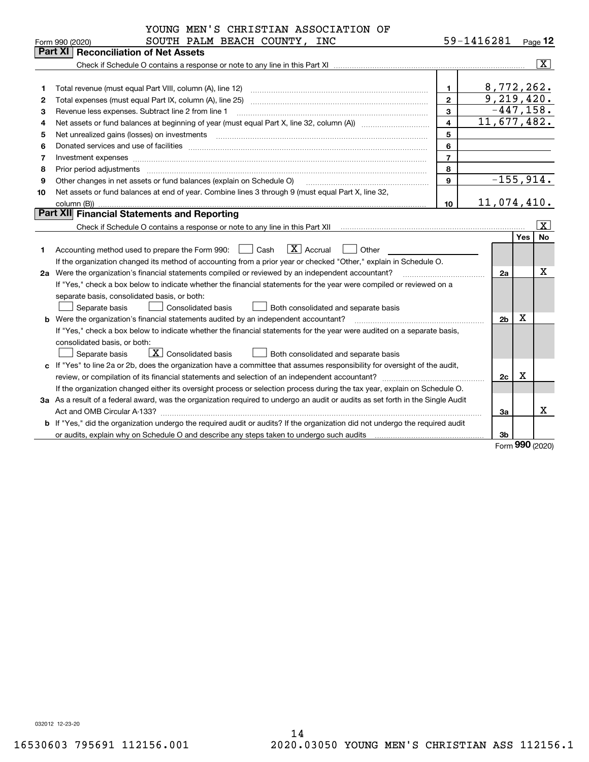|    | YOUNG MEN'S CHRISTIAN ASSOCIATION OF                                                                                                                                                                                                                                                                                                                                                                                                                                    |                |                |               |                         |
|----|-------------------------------------------------------------------------------------------------------------------------------------------------------------------------------------------------------------------------------------------------------------------------------------------------------------------------------------------------------------------------------------------------------------------------------------------------------------------------|----------------|----------------|---------------|-------------------------|
|    | SOUTH PALM BEACH COUNTY, INC<br>Form 990 (2020)                                                                                                                                                                                                                                                                                                                                                                                                                         |                | 59-1416281     |               | $Page$ 12               |
|    | Part XI<br><b>Reconciliation of Net Assets</b>                                                                                                                                                                                                                                                                                                                                                                                                                          |                |                |               |                         |
|    |                                                                                                                                                                                                                                                                                                                                                                                                                                                                         |                |                |               | $\overline{\mathbf{x}}$ |
|    |                                                                                                                                                                                                                                                                                                                                                                                                                                                                         |                |                |               |                         |
| 1  | Total revenue (must equal Part VIII, column (A), line 12)                                                                                                                                                                                                                                                                                                                                                                                                               | $\mathbf{1}$   | 8,772,262.     |               |                         |
| 2  | Total expenses (must equal Part IX, column (A), line 25)                                                                                                                                                                                                                                                                                                                                                                                                                | $\mathbf{2}$   | 9,219,420.     |               |                         |
| з  | Revenue less expenses. Subtract line 2 from line 1                                                                                                                                                                                                                                                                                                                                                                                                                      | 3              | $-447, 158.$   |               |                         |
| 4  |                                                                                                                                                                                                                                                                                                                                                                                                                                                                         | 4              | 11,677,482.    |               |                         |
| 5  | Net unrealized gains (losses) on investments                                                                                                                                                                                                                                                                                                                                                                                                                            | 5              |                |               |                         |
| 6  |                                                                                                                                                                                                                                                                                                                                                                                                                                                                         | 6              |                |               |                         |
| 7  | Investment expenses www.communication.com/www.communication.com/www.communication.com/www.com                                                                                                                                                                                                                                                                                                                                                                           | $\overline{7}$ |                |               |                         |
| 8  | Prior period adjustments<br>$\begin{minipage}{0.5\textwidth} \begin{tabular}{ l l l } \hline \multicolumn{1}{ l l l } \hline \multicolumn{1}{ l l } \multicolumn{1}{ l } \multicolumn{1}{ l } \multicolumn{1}{ l } \multicolumn{1}{ l } \multicolumn{1}{ l } \multicolumn{1}{ l } \multicolumn{1}{ l } \multicolumn{1}{ l } \multicolumn{1}{ l } \multicolumn{1}{ l } \multicolumn{1}{ l } \multicolumn{1}{ l } \multicolumn{1}{ l } \multicolumn{1}{ l } \multicolumn$ | 8              |                |               |                         |
| 9  | Other changes in net assets or fund balances (explain on Schedule O)                                                                                                                                                                                                                                                                                                                                                                                                    | $\mathbf{Q}$   | $-155,914.$    |               |                         |
| 10 | Net assets or fund balances at end of year. Combine lines 3 through 9 (must equal Part X, line 32,                                                                                                                                                                                                                                                                                                                                                                      |                |                |               |                         |
|    | column (B))                                                                                                                                                                                                                                                                                                                                                                                                                                                             | 10             | 11,074,410.    |               |                         |
|    | Part XII Financial Statements and Reporting                                                                                                                                                                                                                                                                                                                                                                                                                             |                |                |               |                         |
|    |                                                                                                                                                                                                                                                                                                                                                                                                                                                                         |                |                |               | X                       |
|    |                                                                                                                                                                                                                                                                                                                                                                                                                                                                         |                |                | Yes           | <b>No</b>               |
| 1  | $ X $ Accrual<br>Accounting method used to prepare the Form 990: <u>[16</u> ] Cash<br>Other                                                                                                                                                                                                                                                                                                                                                                             |                |                |               |                         |
|    | If the organization changed its method of accounting from a prior year or checked "Other," explain in Schedule O.                                                                                                                                                                                                                                                                                                                                                       |                |                |               |                         |
|    | 2a Were the organization's financial statements compiled or reviewed by an independent accountant?                                                                                                                                                                                                                                                                                                                                                                      |                | 2a             |               | х                       |
|    | If "Yes," check a box below to indicate whether the financial statements for the year were compiled or reviewed on a                                                                                                                                                                                                                                                                                                                                                    |                |                |               |                         |
|    | separate basis, consolidated basis, or both:                                                                                                                                                                                                                                                                                                                                                                                                                            |                |                |               |                         |
|    | Separate basis<br>Consolidated basis<br>Both consolidated and separate basis                                                                                                                                                                                                                                                                                                                                                                                            |                |                |               |                         |
|    | b Were the organization's financial statements audited by an independent accountant?                                                                                                                                                                                                                                                                                                                                                                                    |                | 2 <sub>b</sub> | х             |                         |
|    | If "Yes," check a box below to indicate whether the financial statements for the year were audited on a separate basis,                                                                                                                                                                                                                                                                                                                                                 |                |                |               |                         |
|    | consolidated basis, or both:                                                                                                                                                                                                                                                                                                                                                                                                                                            |                |                |               |                         |
|    | $\boxed{\textbf{X}}$ Consolidated basis<br>Separate basis<br>Both consolidated and separate basis                                                                                                                                                                                                                                                                                                                                                                       |                |                |               |                         |
|    | c If "Yes" to line 2a or 2b, does the organization have a committee that assumes responsibility for oversight of the audit,                                                                                                                                                                                                                                                                                                                                             |                |                |               |                         |
|    |                                                                                                                                                                                                                                                                                                                                                                                                                                                                         |                | 2c             | x             |                         |
|    | If the organization changed either its oversight process or selection process during the tax year, explain on Schedule O.                                                                                                                                                                                                                                                                                                                                               |                |                |               |                         |
|    | 3a As a result of a federal award, was the organization required to undergo an audit or audits as set forth in the Single Audit                                                                                                                                                                                                                                                                                                                                         |                |                |               |                         |
|    |                                                                                                                                                                                                                                                                                                                                                                                                                                                                         |                | За             |               | X                       |
|    | b If "Yes," did the organization undergo the required audit or audits? If the organization did not undergo the required audit                                                                                                                                                                                                                                                                                                                                           |                |                |               |                         |
|    |                                                                                                                                                                                                                                                                                                                                                                                                                                                                         |                | 3b             | $000 \approx$ |                         |

Form (2020) **990**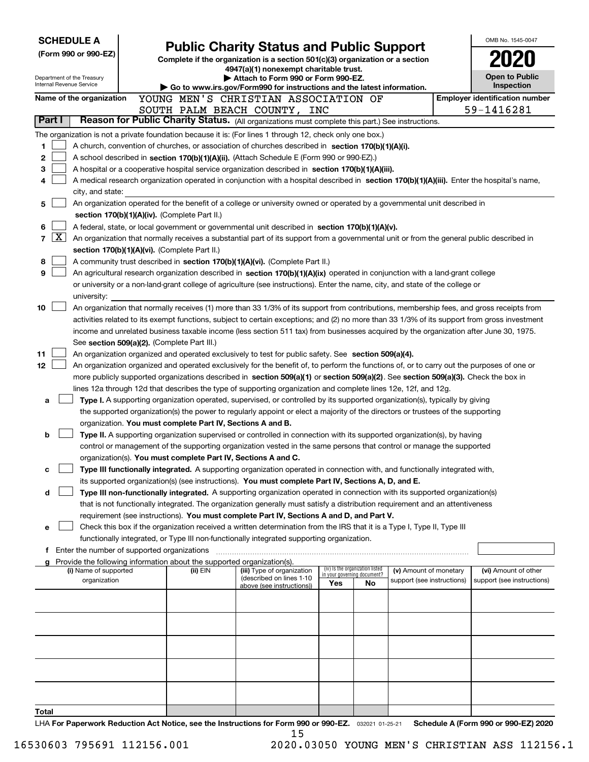|        |                                                                                                  | <b>SCHEDULE A</b>                             |  |                                                                        |                                                                                                                                                                                                                                                                                       |     |                                                                |                                                      |  | OMB No. 1545-0047                                  |  |  |  |
|--------|--------------------------------------------------------------------------------------------------|-----------------------------------------------|--|------------------------------------------------------------------------|---------------------------------------------------------------------------------------------------------------------------------------------------------------------------------------------------------------------------------------------------------------------------------------|-----|----------------------------------------------------------------|------------------------------------------------------|--|----------------------------------------------------|--|--|--|
|        |                                                                                                  | (Form 990 or 990-EZ)                          |  | <b>Public Charity Status and Public Support</b>                        |                                                                                                                                                                                                                                                                                       |     |                                                                |                                                      |  |                                                    |  |  |  |
|        |                                                                                                  |                                               |  |                                                                        | Complete if the organization is a section $501(c)(3)$ organization or a section<br>4947(a)(1) nonexempt charitable trust.                                                                                                                                                             |     |                                                                |                                                      |  |                                                    |  |  |  |
|        |                                                                                                  | Department of the Treasury                    |  |                                                                        | Attach to Form 990 or Form 990-EZ.                                                                                                                                                                                                                                                    |     |                                                                |                                                      |  | <b>Open to Public</b>                              |  |  |  |
|        |                                                                                                  | Internal Revenue Service                      |  |                                                                        | Go to www.irs.gov/Form990 for instructions and the latest information.                                                                                                                                                                                                                |     |                                                                |                                                      |  | Inspection                                         |  |  |  |
|        |                                                                                                  | Name of the organization                      |  |                                                                        | YOUNG MEN'S CHRISTIAN ASSOCIATION OF                                                                                                                                                                                                                                                  |     | <b>Employer identification number</b>                          |                                                      |  |                                                    |  |  |  |
| Part I |                                                                                                  |                                               |  |                                                                        | SOUTH PALM BEACH COUNTY, INC                                                                                                                                                                                                                                                          |     |                                                                |                                                      |  | 59-1416281                                         |  |  |  |
|        |                                                                                                  |                                               |  |                                                                        | Reason for Public Charity Status. (All organizations must complete this part.) See instructions.                                                                                                                                                                                      |     |                                                                |                                                      |  |                                                    |  |  |  |
|        |                                                                                                  |                                               |  |                                                                        | The organization is not a private foundation because it is: (For lines 1 through 12, check only one box.)                                                                                                                                                                             |     |                                                                |                                                      |  |                                                    |  |  |  |
| 1<br>2 |                                                                                                  |                                               |  |                                                                        | A church, convention of churches, or association of churches described in section 170(b)(1)(A)(i).                                                                                                                                                                                    |     |                                                                |                                                      |  |                                                    |  |  |  |
| з      |                                                                                                  |                                               |  |                                                                        | A school described in section 170(b)(1)(A)(ii). (Attach Schedule E (Form 990 or 990-EZ).)<br>A hospital or a cooperative hospital service organization described in section $170(b)(1)(A)(iii)$ .                                                                                     |     |                                                                |                                                      |  |                                                    |  |  |  |
| 4      |                                                                                                  |                                               |  |                                                                        | A medical research organization operated in conjunction with a hospital described in section 170(b)(1)(A)(iii). Enter the hospital's name,                                                                                                                                            |     |                                                                |                                                      |  |                                                    |  |  |  |
|        |                                                                                                  | city, and state:                              |  |                                                                        |                                                                                                                                                                                                                                                                                       |     |                                                                |                                                      |  |                                                    |  |  |  |
| 5      |                                                                                                  |                                               |  |                                                                        | An organization operated for the benefit of a college or university owned or operated by a governmental unit described in                                                                                                                                                             |     |                                                                |                                                      |  |                                                    |  |  |  |
|        | section 170(b)(1)(A)(iv). (Complete Part II.)                                                    |                                               |  |                                                                        |                                                                                                                                                                                                                                                                                       |     |                                                                |                                                      |  |                                                    |  |  |  |
| 6      | A federal, state, or local government or governmental unit described in section 170(b)(1)(A)(v). |                                               |  |                                                                        |                                                                                                                                                                                                                                                                                       |     |                                                                |                                                      |  |                                                    |  |  |  |
| 7      | $\overline{\mathbf{X}}$                                                                          |                                               |  |                                                                        | An organization that normally receives a substantial part of its support from a governmental unit or from the general public described in                                                                                                                                             |     |                                                                |                                                      |  |                                                    |  |  |  |
|        |                                                                                                  |                                               |  | section 170(b)(1)(A)(vi). (Complete Part II.)                          |                                                                                                                                                                                                                                                                                       |     |                                                                |                                                      |  |                                                    |  |  |  |
| 8      |                                                                                                  |                                               |  |                                                                        | A community trust described in section 170(b)(1)(A)(vi). (Complete Part II.)                                                                                                                                                                                                          |     |                                                                |                                                      |  |                                                    |  |  |  |
| 9      |                                                                                                  |                                               |  |                                                                        | An agricultural research organization described in section 170(b)(1)(A)(ix) operated in conjunction with a land-grant college                                                                                                                                                         |     |                                                                |                                                      |  |                                                    |  |  |  |
|        |                                                                                                  |                                               |  |                                                                        | or university or a non-land-grant college of agriculture (see instructions). Enter the name, city, and state of the college or                                                                                                                                                        |     |                                                                |                                                      |  |                                                    |  |  |  |
|        |                                                                                                  | university:                                   |  |                                                                        |                                                                                                                                                                                                                                                                                       |     |                                                                |                                                      |  |                                                    |  |  |  |
| 10     |                                                                                                  |                                               |  |                                                                        | An organization that normally receives (1) more than 33 1/3% of its support from contributions, membership fees, and gross receipts from                                                                                                                                              |     |                                                                |                                                      |  |                                                    |  |  |  |
|        |                                                                                                  |                                               |  |                                                                        | activities related to its exempt functions, subject to certain exceptions; and (2) no more than 33 1/3% of its support from gross investment<br>income and unrelated business taxable income (less section 511 tax) from businesses acquired by the organization after June 30, 1975. |     |                                                                |                                                      |  |                                                    |  |  |  |
|        |                                                                                                  |                                               |  | See section 509(a)(2). (Complete Part III.)                            |                                                                                                                                                                                                                                                                                       |     |                                                                |                                                      |  |                                                    |  |  |  |
| 11     |                                                                                                  |                                               |  |                                                                        | An organization organized and operated exclusively to test for public safety. See section 509(a)(4).                                                                                                                                                                                  |     |                                                                |                                                      |  |                                                    |  |  |  |
| 12     |                                                                                                  |                                               |  |                                                                        | An organization organized and operated exclusively for the benefit of, to perform the functions of, or to carry out the purposes of one or                                                                                                                                            |     |                                                                |                                                      |  |                                                    |  |  |  |
|        |                                                                                                  |                                               |  |                                                                        | more publicly supported organizations described in section 509(a)(1) or section 509(a)(2). See section 509(a)(3). Check the box in                                                                                                                                                    |     |                                                                |                                                      |  |                                                    |  |  |  |
|        |                                                                                                  |                                               |  |                                                                        | lines 12a through 12d that describes the type of supporting organization and complete lines 12e, 12f, and 12g.                                                                                                                                                                        |     |                                                                |                                                      |  |                                                    |  |  |  |
| a      |                                                                                                  |                                               |  |                                                                        | Type I. A supporting organization operated, supervised, or controlled by its supported organization(s), typically by giving                                                                                                                                                           |     |                                                                |                                                      |  |                                                    |  |  |  |
|        |                                                                                                  |                                               |  |                                                                        | the supported organization(s) the power to regularly appoint or elect a majority of the directors or trustees of the supporting                                                                                                                                                       |     |                                                                |                                                      |  |                                                    |  |  |  |
|        |                                                                                                  |                                               |  | organization. You must complete Part IV, Sections A and B.             |                                                                                                                                                                                                                                                                                       |     |                                                                |                                                      |  |                                                    |  |  |  |
| b      |                                                                                                  |                                               |  |                                                                        | Type II. A supporting organization supervised or controlled in connection with its supported organization(s), by having                                                                                                                                                               |     |                                                                |                                                      |  |                                                    |  |  |  |
|        |                                                                                                  |                                               |  |                                                                        | control or management of the supporting organization vested in the same persons that control or manage the supported                                                                                                                                                                  |     |                                                                |                                                      |  |                                                    |  |  |  |
|        |                                                                                                  |                                               |  |                                                                        | organization(s). You must complete Part IV, Sections A and C.                                                                                                                                                                                                                         |     |                                                                |                                                      |  |                                                    |  |  |  |
| с      |                                                                                                  |                                               |  |                                                                        | Type III functionally integrated. A supporting organization operated in connection with, and functionally integrated with,                                                                                                                                                            |     |                                                                |                                                      |  |                                                    |  |  |  |
| d      |                                                                                                  |                                               |  |                                                                        | its supported organization(s) (see instructions). You must complete Part IV, Sections A, D, and E.<br>Type III non-functionally integrated. A supporting organization operated in connection with its supported organization(s)                                                       |     |                                                                |                                                      |  |                                                    |  |  |  |
|        |                                                                                                  |                                               |  |                                                                        | that is not functionally integrated. The organization generally must satisfy a distribution requirement and an attentiveness                                                                                                                                                          |     |                                                                |                                                      |  |                                                    |  |  |  |
|        |                                                                                                  |                                               |  |                                                                        | requirement (see instructions). You must complete Part IV, Sections A and D, and Part V.                                                                                                                                                                                              |     |                                                                |                                                      |  |                                                    |  |  |  |
| е      |                                                                                                  |                                               |  |                                                                        | Check this box if the organization received a written determination from the IRS that it is a Type I, Type II, Type III                                                                                                                                                               |     |                                                                |                                                      |  |                                                    |  |  |  |
|        |                                                                                                  |                                               |  |                                                                        | functionally integrated, or Type III non-functionally integrated supporting organization.                                                                                                                                                                                             |     |                                                                |                                                      |  |                                                    |  |  |  |
|        |                                                                                                  | f Enter the number of supported organizations |  |                                                                        |                                                                                                                                                                                                                                                                                       |     |                                                                |                                                      |  |                                                    |  |  |  |
|        |                                                                                                  |                                               |  | Provide the following information about the supported organization(s). |                                                                                                                                                                                                                                                                                       |     |                                                                |                                                      |  |                                                    |  |  |  |
|        |                                                                                                  | (i) Name of supported<br>organization         |  | (ii) EIN                                                               | (iii) Type of organization<br>(described on lines 1-10                                                                                                                                                                                                                                |     | (iv) Is the organization listed<br>in your governing document? | (v) Amount of monetary<br>support (see instructions) |  | (vi) Amount of other<br>support (see instructions) |  |  |  |
|        |                                                                                                  |                                               |  |                                                                        | above (see instructions))                                                                                                                                                                                                                                                             | Yes | No                                                             |                                                      |  |                                                    |  |  |  |
|        |                                                                                                  |                                               |  |                                                                        |                                                                                                                                                                                                                                                                                       |     |                                                                |                                                      |  |                                                    |  |  |  |
|        |                                                                                                  |                                               |  |                                                                        |                                                                                                                                                                                                                                                                                       |     |                                                                |                                                      |  |                                                    |  |  |  |
|        |                                                                                                  |                                               |  |                                                                        |                                                                                                                                                                                                                                                                                       |     |                                                                |                                                      |  |                                                    |  |  |  |
|        |                                                                                                  |                                               |  |                                                                        |                                                                                                                                                                                                                                                                                       |     |                                                                |                                                      |  |                                                    |  |  |  |
|        |                                                                                                  |                                               |  |                                                                        |                                                                                                                                                                                                                                                                                       |     |                                                                |                                                      |  |                                                    |  |  |  |
|        |                                                                                                  |                                               |  |                                                                        |                                                                                                                                                                                                                                                                                       |     |                                                                |                                                      |  |                                                    |  |  |  |
|        |                                                                                                  |                                               |  |                                                                        |                                                                                                                                                                                                                                                                                       |     |                                                                |                                                      |  |                                                    |  |  |  |
|        |                                                                                                  |                                               |  |                                                                        |                                                                                                                                                                                                                                                                                       |     |                                                                |                                                      |  |                                                    |  |  |  |
|        |                                                                                                  |                                               |  |                                                                        |                                                                                                                                                                                                                                                                                       |     |                                                                |                                                      |  |                                                    |  |  |  |
| Total  |                                                                                                  |                                               |  |                                                                        |                                                                                                                                                                                                                                                                                       |     |                                                                |                                                      |  |                                                    |  |  |  |
|        |                                                                                                  |                                               |  |                                                                        | $\pm$ HA For Panerwork Reduction Act Notice, see the Instructions for Form 990 or 990-F7 $-$ 032021 01-25-21 $-$                                                                                                                                                                      |     |                                                                |                                                      |  | Schedule A (Form 990 or 990-F7) 2020               |  |  |  |

**Or 99U-EZ.** 032021 01-25-21 **For Paperwork Reduction Act Notice, see the Instructions for Form 990 or 990-EZ. Schedule A (Form 990 or 990-EZ) 2020** LHA 15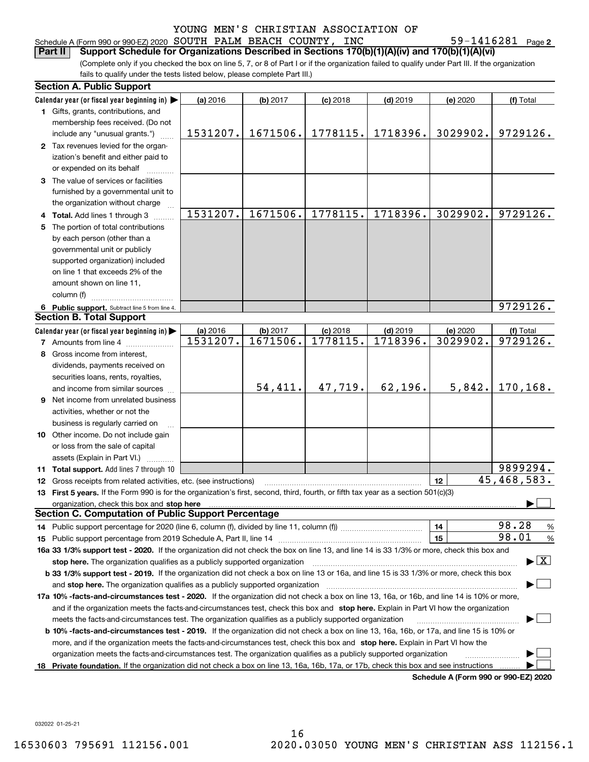| Schedule A (Form 990 or 990-EZ) 2020 SOUTH PALM BEACH COUNTY, INC                                                 |  |  | 59-1416281 $_{Page 2}$ |  |
|-------------------------------------------------------------------------------------------------------------------|--|--|------------------------|--|
| <b>Part II</b> Support Schedule for Organizations Described in Sections $170(b)(1)(A)(iv)$ and $170(b)(1)(A)(vi)$ |  |  |                        |  |

(Complete only if you checked the box on line 5, 7, or 8 of Part I or if the organization failed to qualify under Part III. If the organization fails to qualify under the tests listed below, please complete Part III.)

|    | <b>Section A. Public Support</b>                                                                                                                                                                                                                                                             |          |          |            |            |                                      |                                          |
|----|----------------------------------------------------------------------------------------------------------------------------------------------------------------------------------------------------------------------------------------------------------------------------------------------|----------|----------|------------|------------|--------------------------------------|------------------------------------------|
|    | Calendar year (or fiscal year beginning in)                                                                                                                                                                                                                                                  | (a) 2016 | (b) 2017 | $(c)$ 2018 | $(d)$ 2019 | (e) 2020                             | (f) Total                                |
|    | 1 Gifts, grants, contributions, and                                                                                                                                                                                                                                                          |          |          |            |            |                                      |                                          |
|    | membership fees received. (Do not                                                                                                                                                                                                                                                            |          |          |            |            |                                      |                                          |
|    | include any "unusual grants.")                                                                                                                                                                                                                                                               | 1531207. | 1671506. | 1778115.   | 1718396.   | 3029902.                             | 9729126.                                 |
|    | 2 Tax revenues levied for the organ-                                                                                                                                                                                                                                                         |          |          |            |            |                                      |                                          |
|    | ization's benefit and either paid to                                                                                                                                                                                                                                                         |          |          |            |            |                                      |                                          |
|    | or expended on its behalf                                                                                                                                                                                                                                                                    |          |          |            |            |                                      |                                          |
|    | 3 The value of services or facilities                                                                                                                                                                                                                                                        |          |          |            |            |                                      |                                          |
|    | furnished by a governmental unit to                                                                                                                                                                                                                                                          |          |          |            |            |                                      |                                          |
|    | the organization without charge                                                                                                                                                                                                                                                              |          |          |            |            |                                      |                                          |
|    | 4 Total. Add lines 1 through 3                                                                                                                                                                                                                                                               | 1531207. | 1671506. | 1778115.   | 1718396.   | 3029902.                             | 9729126.                                 |
|    | 5 The portion of total contributions                                                                                                                                                                                                                                                         |          |          |            |            |                                      |                                          |
|    | by each person (other than a                                                                                                                                                                                                                                                                 |          |          |            |            |                                      |                                          |
|    | governmental unit or publicly                                                                                                                                                                                                                                                                |          |          |            |            |                                      |                                          |
|    | supported organization) included                                                                                                                                                                                                                                                             |          |          |            |            |                                      |                                          |
|    | on line 1 that exceeds 2% of the                                                                                                                                                                                                                                                             |          |          |            |            |                                      |                                          |
|    | amount shown on line 11,                                                                                                                                                                                                                                                                     |          |          |            |            |                                      |                                          |
|    | column (f)                                                                                                                                                                                                                                                                                   |          |          |            |            |                                      |                                          |
|    | 6 Public support. Subtract line 5 from line 4.                                                                                                                                                                                                                                               |          |          |            |            |                                      | 9729126.                                 |
|    | <b>Section B. Total Support</b>                                                                                                                                                                                                                                                              |          |          |            |            |                                      |                                          |
|    | Calendar year (or fiscal year beginning in)                                                                                                                                                                                                                                                  | (a) 2016 | (b) 2017 | $(c)$ 2018 | $(d)$ 2019 | (e) 2020                             | (f) Total                                |
|    | <b>7</b> Amounts from line 4                                                                                                                                                                                                                                                                 | 1531207. | 1671506. | 1778115.   | 1718396.   | 3029902.                             | 9729126.                                 |
|    | 8 Gross income from interest,                                                                                                                                                                                                                                                                |          |          |            |            |                                      |                                          |
|    | dividends, payments received on                                                                                                                                                                                                                                                              |          |          |            |            |                                      |                                          |
|    |                                                                                                                                                                                                                                                                                              |          |          |            |            |                                      |                                          |
|    | securities loans, rents, royalties,                                                                                                                                                                                                                                                          |          | 54,411.  | 47,719.    | 62,196.    | 5,842.                               | 170,168.                                 |
|    | and income from similar sources                                                                                                                                                                                                                                                              |          |          |            |            |                                      |                                          |
|    | <b>9</b> Net income from unrelated business                                                                                                                                                                                                                                                  |          |          |            |            |                                      |                                          |
|    | activities, whether or not the                                                                                                                                                                                                                                                               |          |          |            |            |                                      |                                          |
|    | business is regularly carried on                                                                                                                                                                                                                                                             |          |          |            |            |                                      |                                          |
|    | <b>10</b> Other income. Do not include gain                                                                                                                                                                                                                                                  |          |          |            |            |                                      |                                          |
|    | or loss from the sale of capital                                                                                                                                                                                                                                                             |          |          |            |            |                                      |                                          |
|    | assets (Explain in Part VI.) <b>Constant</b>                                                                                                                                                                                                                                                 |          |          |            |            |                                      | 9899294.                                 |
|    | 11 Total support. Add lines 7 through 10                                                                                                                                                                                                                                                     |          |          |            |            |                                      | $\overline{45, 468, 583}$ .              |
|    | 12 Gross receipts from related activities, etc. (see instructions)                                                                                                                                                                                                                           |          |          |            |            | 12                                   |                                          |
|    | 13 First 5 years. If the Form 990 is for the organization's first, second, third, fourth, or fifth tax year as a section 501(c)(3)                                                                                                                                                           |          |          |            |            |                                      |                                          |
|    | organization, check this box and stop here manufactured and according to the state of the state of the state of the state of the state of the state of the state of the state of the state of the state of the state of the st<br><b>Section C. Computation of Public Support Percentage</b> |          |          |            |            |                                      |                                          |
|    |                                                                                                                                                                                                                                                                                              |          |          |            |            |                                      | 98.28                                    |
|    |                                                                                                                                                                                                                                                                                              |          |          |            |            | 14                                   | %<br>98.01                               |
|    |                                                                                                                                                                                                                                                                                              |          |          |            |            | 15                                   | $\%$                                     |
|    | 16a 33 1/3% support test - 2020. If the organization did not check the box on line 13, and line 14 is 33 1/3% or more, check this box and                                                                                                                                                    |          |          |            |            |                                      |                                          |
|    | stop here. The organization qualifies as a publicly supported organization                                                                                                                                                                                                                   |          |          |            |            |                                      | $\blacktriangleright$ $\boxed{\text{X}}$ |
|    | b 33 1/3% support test - 2019. If the organization did not check a box on line 13 or 16a, and line 15 is 33 1/3% or more, check this box                                                                                                                                                     |          |          |            |            |                                      |                                          |
|    | and stop here. The organization qualifies as a publicly supported organization                                                                                                                                                                                                               |          |          |            |            |                                      |                                          |
|    | 17a 10% -facts-and-circumstances test - 2020. If the organization did not check a box on line 13, 16a, or 16b, and line 14 is 10% or more,                                                                                                                                                   |          |          |            |            |                                      |                                          |
|    | and if the organization meets the facts-and-circumstances test, check this box and stop here. Explain in Part VI how the organization                                                                                                                                                        |          |          |            |            |                                      |                                          |
|    | meets the facts-and-circumstances test. The organization qualifies as a publicly supported organization                                                                                                                                                                                      |          |          |            |            |                                      |                                          |
|    | <b>b 10% -facts-and-circumstances test - 2019.</b> If the organization did not check a box on line 13, 16a, 16b, or 17a, and line 15 is 10% or                                                                                                                                               |          |          |            |            |                                      |                                          |
|    | more, and if the organization meets the facts-and-circumstances test, check this box and stop here. Explain in Part VI how the                                                                                                                                                               |          |          |            |            |                                      |                                          |
|    | organization meets the facts-and-circumstances test. The organization qualifies as a publicly supported organization                                                                                                                                                                         |          |          |            |            |                                      |                                          |
| 18 | Private foundation. If the organization did not check a box on line 13, 16a, 16b, 17a, or 17b, check this box and see instructions                                                                                                                                                           |          |          |            |            | Schodule A (Form 000 or 000 F7) 2020 |                                          |

**Schedule A (Form 990 or 990-EZ) 2020**

032022 01-25-21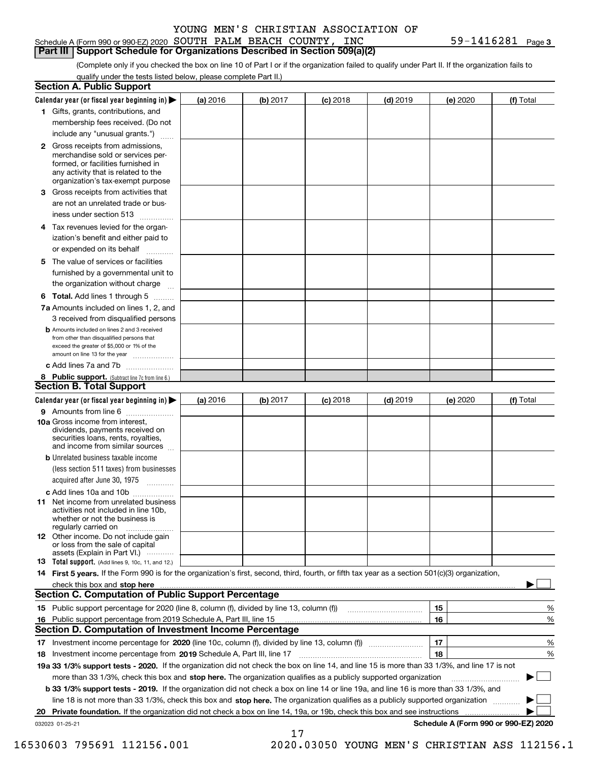#### Schedule A (Form 990 or 990-EZ) 2020 Page SOUTH PALM BEACH COUNTY, INC 59-1416281 **Part III Support Schedule for Organizations Described in Section 509(a)(2)**

**3**

(Complete only if you checked the box on line 10 of Part I or if the organization failed to qualify under Part II. If the organization fails to qualify under the tests listed below, please complete Part II.)

|     | <b>Section A. Public Support</b>                                                                                                                                                                                                                      |          |          |            |            |          |                                      |
|-----|-------------------------------------------------------------------------------------------------------------------------------------------------------------------------------------------------------------------------------------------------------|----------|----------|------------|------------|----------|--------------------------------------|
|     | Calendar year (or fiscal year beginning in) $\blacktriangleright$                                                                                                                                                                                     | (a) 2016 | (b) 2017 | $(c)$ 2018 | $(d)$ 2019 | (e) 2020 | (f) Total                            |
|     | 1 Gifts, grants, contributions, and                                                                                                                                                                                                                   |          |          |            |            |          |                                      |
|     | membership fees received. (Do not                                                                                                                                                                                                                     |          |          |            |            |          |                                      |
|     | include any "unusual grants.")                                                                                                                                                                                                                        |          |          |            |            |          |                                      |
|     | <b>2</b> Gross receipts from admissions,<br>merchandise sold or services per-<br>formed, or facilities furnished in<br>any activity that is related to the<br>organization's tax-exempt purpose                                                       |          |          |            |            |          |                                      |
|     | 3 Gross receipts from activities that<br>are not an unrelated trade or bus-                                                                                                                                                                           |          |          |            |            |          |                                      |
|     | iness under section 513                                                                                                                                                                                                                               |          |          |            |            |          |                                      |
|     | 4 Tax revenues levied for the organ-<br>ization's benefit and either paid to                                                                                                                                                                          |          |          |            |            |          |                                      |
|     | or expended on its behalf<br>.                                                                                                                                                                                                                        |          |          |            |            |          |                                      |
|     | 5 The value of services or facilities<br>furnished by a governmental unit to<br>the organization without charge                                                                                                                                       |          |          |            |            |          |                                      |
|     | <b>6 Total.</b> Add lines 1 through 5                                                                                                                                                                                                                 |          |          |            |            |          |                                      |
|     | 7a Amounts included on lines 1, 2, and<br>3 received from disqualified persons                                                                                                                                                                        |          |          |            |            |          |                                      |
|     | <b>b</b> Amounts included on lines 2 and 3 received<br>from other than disqualified persons that<br>exceed the greater of \$5,000 or 1% of the<br>amount on line 13 for the year                                                                      |          |          |            |            |          |                                      |
|     | c Add lines 7a and 7b                                                                                                                                                                                                                                 |          |          |            |            |          |                                      |
|     | 8 Public support. (Subtract line 7c from line 6.)<br><b>Section B. Total Support</b>                                                                                                                                                                  |          |          |            |            |          |                                      |
|     | Calendar year (or fiscal year beginning in)                                                                                                                                                                                                           | (a) 2016 | (b) 2017 | $(c)$ 2018 | $(d)$ 2019 | (e) 2020 | (f) Total                            |
|     | 9 Amounts from line 6                                                                                                                                                                                                                                 |          |          |            |            |          |                                      |
|     | 10a Gross income from interest,<br>dividends, payments received on<br>securities loans, rents, royalties,<br>and income from similar sources                                                                                                          |          |          |            |            |          |                                      |
|     | <b>b</b> Unrelated business taxable income<br>(less section 511 taxes) from businesses                                                                                                                                                                |          |          |            |            |          |                                      |
|     | acquired after June 30, 1975                                                                                                                                                                                                                          |          |          |            |            |          |                                      |
|     | c Add lines 10a and 10b<br>11 Net income from unrelated business<br>activities not included in line 10b,<br>whether or not the business is<br>regularly carried on                                                                                    |          |          |            |            |          |                                      |
|     | 12 Other income. Do not include gain<br>or loss from the sale of capital<br>assets (Explain in Part VI.)                                                                                                                                              |          |          |            |            |          |                                      |
|     | 13 Total support. (Add lines 9, 10c, 11, and 12.)                                                                                                                                                                                                     |          |          |            |            |          |                                      |
|     | 14 First 5 years. If the Form 990 is for the organization's first, second, third, fourth, or fifth tax year as a section 501(c)(3) organization,                                                                                                      |          |          |            |            |          |                                      |
|     | check this box and stop here <i>machine and content and stop</i> here <i>manufacture and stop</i> here <i>manufacture</i> and <b>stop here</b> <i>manufacture manufacture and stop</i> here <i>manufacture manufacture manufacture manufacture ma</i> |          |          |            |            |          |                                      |
|     | <b>Section C. Computation of Public Support Percentage</b>                                                                                                                                                                                            |          |          |            |            |          |                                      |
|     |                                                                                                                                                                                                                                                       |          |          |            |            | 15       | %                                    |
| 16. | Public support percentage from 2019 Schedule A, Part III, line 15                                                                                                                                                                                     |          |          |            |            | 16       | %                                    |
|     | Section D. Computation of Investment Income Percentage                                                                                                                                                                                                |          |          |            |            |          |                                      |
|     | 17 Investment income percentage for 2020 (line 10c, column (f), divided by line 13, column (f))<br>18 Investment income percentage from 2019 Schedule A, Part III, line 17                                                                            |          |          |            |            | 17<br>18 | %<br>%                               |
|     | 19a 33 1/3% support tests - 2020. If the organization did not check the box on line 14, and line 15 is more than 33 1/3%, and line 17 is not                                                                                                          |          |          |            |            |          |                                      |
|     | more than 33 1/3%, check this box and stop here. The organization qualifies as a publicly supported organization                                                                                                                                      |          |          |            |            |          |                                      |
|     | b 33 1/3% support tests - 2019. If the organization did not check a box on line 14 or line 19a, and line 16 is more than 33 1/3%, and                                                                                                                 |          |          |            |            |          |                                      |
|     | line 18 is not more than 33 1/3%, check this box and stop here. The organization qualifies as a publicly supported organization                                                                                                                       |          |          |            |            |          |                                      |
|     | 20 Private foundation. If the organization did not check a box on line 14, 19a, or 19b, check this box and see instructions                                                                                                                           |          |          |            |            |          | .                                    |
|     | 032023 01-25-21                                                                                                                                                                                                                                       |          |          |            |            |          | Schedule A (Form 990 or 990-EZ) 2020 |
|     |                                                                                                                                                                                                                                                       |          | 17       |            |            |          |                                      |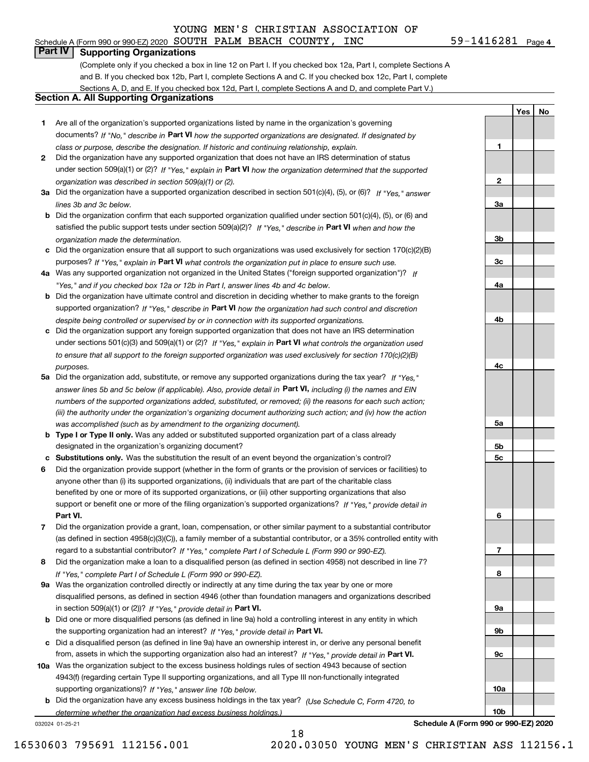#### Schedule A (Form 990 or 990-EZ) 2020 Page SOUTH PALM BEACH COUNTY, INC 59-1416281 **Part IV Supporting Organizations**

(Complete only if you checked a box in line 12 on Part I. If you checked box 12a, Part I, complete Sections A and B. If you checked box 12b, Part I, complete Sections A and C. If you checked box 12c, Part I, complete Sections A, D, and E. If you checked box 12d, Part I, complete Sections A and D, and complete Part V.)

#### **Section A. All Supporting Organizations**

- **1** Are all of the organization's supported organizations listed by name in the organization's governing documents? If "No," describe in **Part VI** how the supported organizations are designated. If designated by *class or purpose, describe the designation. If historic and continuing relationship, explain.*
- **2**under section 509(a)(1) or (2)? If "Yes," explain in Part VI how the organization determined that the supported *organization was described in section 509(a)(1) or (2).* Did the organization have any supported organization that does not have an IRS determination of status
- **3a** Did the organization have a supported organization described in section 501(c)(4), (5), or (6)? If "Yes," answer *lines 3b and 3c below.*
- **b** Did the organization confirm that each supported organization qualified under section 501(c)(4), (5), or (6) and satisfied the public support tests under section 509(a)(2)? If "Yes," describe in **Part VI** when and how the *organization made the determination.*
- **c**Did the organization ensure that all support to such organizations was used exclusively for section 170(c)(2)(B) purposes? If "Yes," explain in **Part VI** what controls the organization put in place to ensure such use.
- **4a** *If* Was any supported organization not organized in the United States ("foreign supported organization")? *"Yes," and if you checked box 12a or 12b in Part I, answer lines 4b and 4c below.*
- **b** Did the organization have ultimate control and discretion in deciding whether to make grants to the foreign supported organization? If "Yes," describe in **Part VI** how the organization had such control and discretion *despite being controlled or supervised by or in connection with its supported organizations.*
- **c** Did the organization support any foreign supported organization that does not have an IRS determination under sections 501(c)(3) and 509(a)(1) or (2)? If "Yes," explain in **Part VI** what controls the organization used *to ensure that all support to the foreign supported organization was used exclusively for section 170(c)(2)(B) purposes.*
- **5a** Did the organization add, substitute, or remove any supported organizations during the tax year? If "Yes," answer lines 5b and 5c below (if applicable). Also, provide detail in **Part VI,** including (i) the names and EIN *numbers of the supported organizations added, substituted, or removed; (ii) the reasons for each such action; (iii) the authority under the organization's organizing document authorizing such action; and (iv) how the action was accomplished (such as by amendment to the organizing document).*
- **b** Type I or Type II only. Was any added or substituted supported organization part of a class already designated in the organization's organizing document?
- **cSubstitutions only.**  Was the substitution the result of an event beyond the organization's control?
- **6** Did the organization provide support (whether in the form of grants or the provision of services or facilities) to **Part VI.** *If "Yes," provide detail in* support or benefit one or more of the filing organization's supported organizations? anyone other than (i) its supported organizations, (ii) individuals that are part of the charitable class benefited by one or more of its supported organizations, or (iii) other supporting organizations that also
- **7**Did the organization provide a grant, loan, compensation, or other similar payment to a substantial contributor *If "Yes," complete Part I of Schedule L (Form 990 or 990-EZ).* regard to a substantial contributor? (as defined in section 4958(c)(3)(C)), a family member of a substantial contributor, or a 35% controlled entity with
- **8***If "Yes," complete Part I of Schedule L (Form 990 or 990-EZ).* Did the organization make a loan to a disqualified person (as defined in section 4958) not described in line 7?
- **9a** Was the organization controlled directly or indirectly at any time during the tax year by one or more in section 509(a)(1) or (2))? If "Yes," *provide detail in* <code>Part VI.</code> disqualified persons, as defined in section 4946 (other than foundation managers and organizations described
- **b**the supporting organization had an interest? If "Yes," provide detail in P**art VI**. Did one or more disqualified persons (as defined in line 9a) hold a controlling interest in any entity in which
- **c**Did a disqualified person (as defined in line 9a) have an ownership interest in, or derive any personal benefit from, assets in which the supporting organization also had an interest? If "Yes," provide detail in P**art VI.**
- **10a** Was the organization subject to the excess business holdings rules of section 4943 because of section supporting organizations)? If "Yes," answer line 10b below. 4943(f) (regarding certain Type II supporting organizations, and all Type III non-functionally integrated
- **b** Did the organization have any excess business holdings in the tax year? (Use Schedule C, Form 4720, to *determine whether the organization had excess business holdings.)*

18

032024 01-25-21

**Schedule A (Form 990 or 990-EZ) 2020**

| $\mathbf{1}$    |  |
|-----------------|--|
|                 |  |
| $\overline{2}$  |  |
|                 |  |
| <u>3a</u>       |  |
|                 |  |
| $\frac{3b}{2}$  |  |
| $\frac{3c}{2}$  |  |
|                 |  |
| <u>4a</u>       |  |
|                 |  |
| 4b              |  |
|                 |  |
| 4c              |  |
|                 |  |
| <u>5a</u>       |  |
|                 |  |
| $\frac{5b}{2}$  |  |
| $\overline{5c}$ |  |
|                 |  |
| $6 \overline{}$ |  |
|                 |  |
| 7               |  |
| 8               |  |
|                 |  |
| <u>9a</u>       |  |
|                 |  |
| <u>9b</u>       |  |
|                 |  |
| <u>9c</u>       |  |
|                 |  |
| 10a             |  |
|                 |  |
| 10 <sub>b</sub> |  |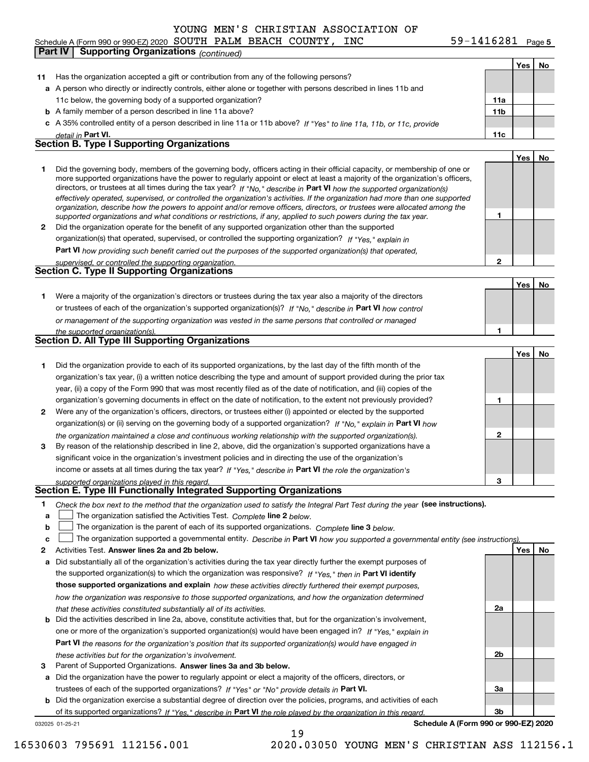#### 59-1416281 Page 5 **Yes No 11** Has the organization accepted a gift or contribution from any of the following persons? **a**A person who directly or indirectly controls, either alone or together with persons described in lines 11b and **b** A family member of a person described in line 11a above? **c** A 35% controlled entity of a person described in line 11a or 11b above? If "Yes" to line 11a, 11b, or 11c, provide **11a11bPart VI. 11c Yes No 12** Did the organization operate for the benefit of any supported organization other than the supported directors, or trustees at all times during the tax year? If "No," describe in **Part VI** how the supported organization(s) **12Part VI**  *how providing such benefit carried out the purposes of the supported organization(s) that operated,* **Yes No 1** Were a majority of the organization's directors or trustees during the tax year also a majority of the directors or trustees of each of the organization's supported organization(s)? If "No," describe in **Part VI** how control **1Yes No 1** Did the organization provide to each of its supported organizations, by the last day of the fifth month of the **2** Were any of the organization's officers, directors, or trustees either (i) appointed or elected by the supported **3123**organization(s) or (ii) serving on the governing body of a supported organization? If "No," explain in **Part VI** how income or assets at all times during the tax year? If "Yes," describe in **Part VI** the role the organization's **12Answer lines 2a and 2b below. Yes No** Activities Test. Check the box next to the method that the organization used to satisfy the Integral Part Test during the year (see instructions). **abclinupy** The organization satisfied the Activities Test. Complete line 2 below. The organization is the parent of each of its supported organizations. *Complete* line 3 *below.* The organization supported a governmental entity. *Describe in* Part **VI** *how you supported a governmental entity (see instruction<u>s).</u>* **a** Did substantially all of the organization's activities during the tax year directly further the exempt purposes of the supported organization(s) to which the organization was responsive? If "Yes," then in **Part VI identify those supported organizations and explain**  *how these activities directly furthered their exempt purposes,* **2a** *detail in effectively operated, supervised, or controlled the organization's activities. If the organization had more than one supported organization, describe how the powers to appoint and/or remove officers, directors, or trustees were allocated among the supported organizations and what conditions or restrictions, if any, applied to such powers during the tax year. If "Yes," explain in* organization(s) that operated, supervised, or controlled the supporting organization? *supervised, or controlled the supporting organization. or management of the supporting organization was vested in the same persons that controlled or managed the supported organization(s). the organization maintained a close and continuous working relationship with the supported organization(s). supported organizations played in this regard. how the organization was responsive to those supported organizations, and how the organization determined that these activities constituted substantially all of its activities.* Schedule A (Form 990 or 990-EZ) 2020 Page SOUTH PALM BEACH COUNTY, INC 59-1416281 11c below, the governing body of a supported organization? Did the governing body, members of the governing body, officers acting in their official capacity, or membership of one or more supported organizations have the power to regularly appoint or elect at least a majority of the organization's officers, organization's tax year, (i) a written notice describing the type and amount of support provided during the prior tax year, (ii) a copy of the Form 990 that was most recently filed as of the date of notification, and (iii) copies of the organization's governing documents in effect on the date of notification, to the extent not previously provided? By reason of the relationship described in line 2, above, did the organization's supported organizations have a significant voice in the organization's investment policies and in directing the use of the organization's **Part IV Supporting Organizations** *(continued)* **Section B. Type I Supporting Organizations Section C. Type II Supporting Organizations Section D. All Type III Supporting Organizations Section E. Type III Functionally Integrated Supporting Organizations**  $\mathcal{L}^{\text{max}}$  $\mathcal{L}^{\text{max}}$

- **b** Did the activities described in line 2a, above, constitute activities that, but for the organization's involvement, **Part VI**  *the reasons for the organization's position that its supported organization(s) would have engaged in* one or more of the organization's supported organization(s) would have been engaged in? If "Yes," e*xplain in these activities but for the organization's involvement.*
- **3**Parent of Supported Organizations. Answer lines 3a and 3b below.

**a** Did the organization have the power to regularly appoint or elect a majority of the officers, directors, or trustees of each of the supported organizations? If "Yes" or "No" provide details in **Part VI.** 

**b** Did the organization exercise a substantial degree of direction over the policies, programs, and activities of each of its supported organizations? If "Yes," describe in Part VI the role played by the organization in this regard.

19

032025 01-25-21

**Schedule A (Form 990 or 990-EZ) 2020**

**2b**

**3a**

**3b**

|  | 30603 795691 112156.001 |  |
|--|-------------------------|--|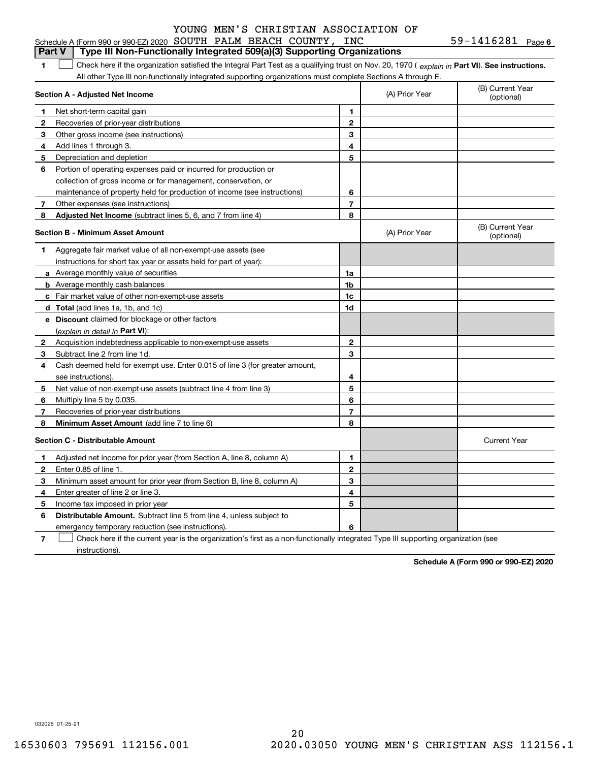| $59 - 1416281$ Page 6 |  |
|-----------------------|--|
|-----------------------|--|

|              | YOUNG MEN S CHRISTIAN ASSOCIATION OF                                                                                                           |                          |                |                                |
|--------------|------------------------------------------------------------------------------------------------------------------------------------------------|--------------------------|----------------|--------------------------------|
|              | Schedule A (Form 990 or 990-EZ) 2020 SOUTH PALM BEACH COUNTY, INC                                                                              |                          |                | 59-1416281 Page 6              |
|              | Type III Non-Functionally Integrated 509(a)(3) Supporting Organizations<br><b>Part V</b>                                                       |                          |                |                                |
| 1.           | Check here if the organization satisfied the Integral Part Test as a qualifying trust on Nov. 20, 1970 (explain in Part VI). See instructions. |                          |                |                                |
|              | All other Type III non-functionally integrated supporting organizations must complete Sections A through E.                                    |                          |                |                                |
|              | Section A - Adjusted Net Income                                                                                                                |                          | (A) Prior Year | (B) Current Year<br>(optional) |
| $\mathbf{1}$ | Net short-term capital gain                                                                                                                    | 1                        |                |                                |
| 2            | Recoveries of prior-year distributions                                                                                                         | $\mathbf{2}$             |                |                                |
| 3            | Other gross income (see instructions)                                                                                                          | 3                        |                |                                |
| 4            | Add lines 1 through 3.                                                                                                                         | 4                        |                |                                |
| 5            | Depreciation and depletion                                                                                                                     | 5                        |                |                                |
| 6            | Portion of operating expenses paid or incurred for production or                                                                               |                          |                |                                |
|              | collection of gross income or for management, conservation, or                                                                                 |                          |                |                                |
|              | maintenance of property held for production of income (see instructions)                                                                       | 6                        |                |                                |
| $\mathbf{7}$ | Other expenses (see instructions)                                                                                                              | $\overline{\phantom{a}}$ |                |                                |
| 8            | <b>Adjusted Net Income</b> (subtract lines 5, 6, and 7 from line 4)                                                                            | 8                        |                |                                |
|              | <b>Section B - Minimum Asset Amount</b>                                                                                                        |                          | (A) Prior Year | (B) Current Year<br>(optional) |
| 1            | Aggregate fair market value of all non-exempt-use assets (see                                                                                  |                          |                |                                |
|              | instructions for short tax year or assets held for part of year):                                                                              |                          |                |                                |
|              | <b>a</b> Average monthly value of securities                                                                                                   | 1a                       |                |                                |
|              | <b>b</b> Average monthly cash balances                                                                                                         | 1 <sub>b</sub>           |                |                                |
|              | c Fair market value of other non-exempt-use assets                                                                                             | 1c                       |                |                                |
|              | d Total (add lines 1a, 1b, and 1c)                                                                                                             | 1d                       |                |                                |
|              | e Discount claimed for blockage or other factors                                                                                               |                          |                |                                |
|              | <u>(explain in detail in Part VI):</u>                                                                                                         |                          |                |                                |
| $\mathbf{2}$ | Acquisition indebtedness applicable to non-exempt-use assets                                                                                   | $\mathbf{2}$             |                |                                |
| 3            | Subtract line 2 from line 1d.                                                                                                                  | 3                        |                |                                |
| 4            | Cash deemed held for exempt use. Enter 0.015 of line 3 (for greater amount,                                                                    |                          |                |                                |
|              | see instructions).                                                                                                                             | 4                        |                |                                |
| 5            | Net value of non-exempt-use assets (subtract line 4 from line 3)                                                                               | 5                        |                |                                |
| 6            | Multiply line 5 by 0.035.                                                                                                                      | 6                        |                |                                |
| 7            | Recoveries of prior-year distributions                                                                                                         | $\overline{7}$           |                |                                |
| 8            | Minimum Asset Amount (add line 7 to line 6)                                                                                                    | 8                        |                |                                |
|              | <b>Section C - Distributable Amount</b>                                                                                                        |                          |                | <b>Current Year</b>            |
| 1            | Adjusted net income for prior year (from Section A, line 8, column A)                                                                          | 1                        |                |                                |
| $\mathbf{2}$ | Enter 0.85 of line 1.                                                                                                                          | $\mathbf{2}$             |                |                                |
| 3            | Minimum asset amount for prior year (from Section B, line 8, column A)                                                                         | 3                        |                |                                |
| 4            | Enter greater of line 2 or line 3.                                                                                                             | 4                        |                |                                |
| 5            | Income tax imposed in prior year                                                                                                               | 5                        |                |                                |
| 6            | <b>Distributable Amount.</b> Subtract line 5 from line 4, unless subject to                                                                    |                          |                |                                |

emergency temporary reduction (see instructions).

**7**Check here if the current year is the organization's first as a non-functionally integrated Type III supporting organization (see instructions).

**6**

**Schedule A (Form 990 or 990-EZ) 2020**

032026 01-25-21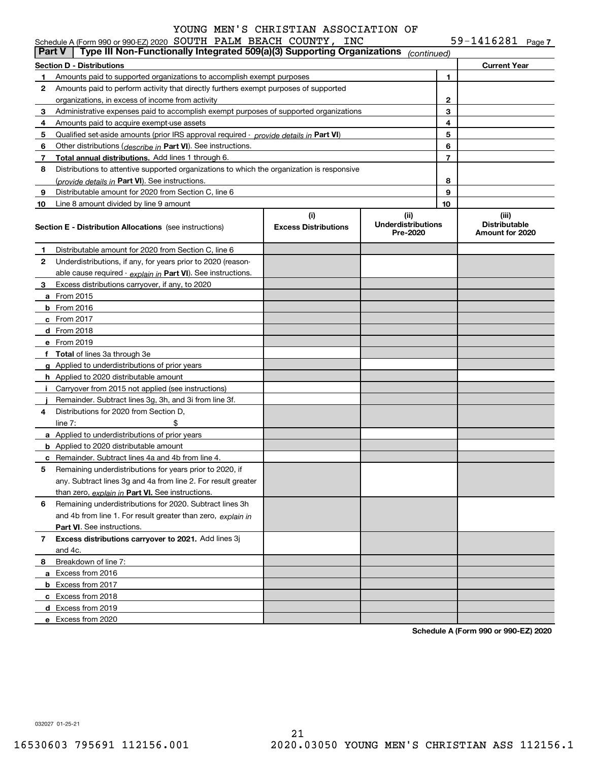59-1416281 Page 7

|               | Schedule A (Form 990 or 990-EZ) 2020 SOUTH PALM BEACH COUNTY,<br>Type III Non-Functionally Integrated 509(a)(3) Supporting Organizations | INC                                |                                   |    | 59-1416281 $_{Page 7}$        |  |
|---------------|------------------------------------------------------------------------------------------------------------------------------------------|------------------------------------|-----------------------------------|----|-------------------------------|--|
| <b>Part V</b> |                                                                                                                                          |                                    | (continued)                       |    |                               |  |
|               | <b>Section D - Distributions</b>                                                                                                         |                                    |                                   |    | <b>Current Year</b>           |  |
| 1             | Amounts paid to supported organizations to accomplish exempt purposes                                                                    |                                    |                                   | 1  |                               |  |
| 2             | Amounts paid to perform activity that directly furthers exempt purposes of supported                                                     |                                    |                                   |    |                               |  |
|               | organizations, in excess of income from activity                                                                                         |                                    |                                   | 2  |                               |  |
| 3             | Administrative expenses paid to accomplish exempt purposes of supported organizations                                                    |                                    |                                   | 3  |                               |  |
| 4             | Amounts paid to acquire exempt-use assets                                                                                                |                                    |                                   | 4  |                               |  |
| 5             | Qualified set-aside amounts (prior IRS approval required - <i>provide details in</i> Part VI)                                            |                                    |                                   | 5  |                               |  |
| 6             | Other distributions (describe in Part VI). See instructions.                                                                             |                                    |                                   | 6  |                               |  |
| 7             | Total annual distributions. Add lines 1 through 6.                                                                                       |                                    |                                   | 7  |                               |  |
| 8             | Distributions to attentive supported organizations to which the organization is responsive                                               |                                    |                                   |    |                               |  |
|               | (provide details in Part VI). See instructions.                                                                                          |                                    |                                   | 8  |                               |  |
| 9             | Distributable amount for 2020 from Section C, line 6                                                                                     |                                    |                                   | 9  |                               |  |
| 10            | Line 8 amount divided by line 9 amount                                                                                                   |                                    |                                   | 10 |                               |  |
|               | <b>Section E - Distribution Allocations</b> (see instructions)                                                                           | (i)<br><b>Excess Distributions</b> | (ii)<br><b>Underdistributions</b> |    | (iii)<br><b>Distributable</b> |  |
|               |                                                                                                                                          |                                    | Pre-2020                          |    | Amount for 2020               |  |
| 1             | Distributable amount for 2020 from Section C, line 6                                                                                     |                                    |                                   |    |                               |  |
| 2             | Underdistributions, if any, for years prior to 2020 (reason-                                                                             |                                    |                                   |    |                               |  |
|               | able cause required $\cdot$ explain in Part VI). See instructions.                                                                       |                                    |                                   |    |                               |  |
| 3             | Excess distributions carryover, if any, to 2020                                                                                          |                                    |                                   |    |                               |  |
|               | <b>a</b> From 2015                                                                                                                       |                                    |                                   |    |                               |  |
|               | $b$ From 2016                                                                                                                            |                                    |                                   |    |                               |  |
|               | c From 2017                                                                                                                              |                                    |                                   |    |                               |  |
|               | <b>d</b> From 2018                                                                                                                       |                                    |                                   |    |                               |  |
|               | e From 2019                                                                                                                              |                                    |                                   |    |                               |  |
|               | f Total of lines 3a through 3e                                                                                                           |                                    |                                   |    |                               |  |
|               | g Applied to underdistributions of prior years                                                                                           |                                    |                                   |    |                               |  |
|               | <b>h</b> Applied to 2020 distributable amount                                                                                            |                                    |                                   |    |                               |  |
|               | i Carryover from 2015 not applied (see instructions)                                                                                     |                                    |                                   |    |                               |  |
|               | Remainder. Subtract lines 3g, 3h, and 3i from line 3f.                                                                                   |                                    |                                   |    |                               |  |
| 4             | Distributions for 2020 from Section D.                                                                                                   |                                    |                                   |    |                               |  |
|               | \$<br>line $7:$                                                                                                                          |                                    |                                   |    |                               |  |
|               | a Applied to underdistributions of prior years                                                                                           |                                    |                                   |    |                               |  |
|               | <b>b</b> Applied to 2020 distributable amount                                                                                            |                                    |                                   |    |                               |  |
|               | <b>c</b> Remainder. Subtract lines 4a and 4b from line 4.                                                                                |                                    |                                   |    |                               |  |
|               | Remaining underdistributions for years prior to 2020, if                                                                                 |                                    |                                   |    |                               |  |
|               | any. Subtract lines 3g and 4a from line 2. For result greater                                                                            |                                    |                                   |    |                               |  |
|               | than zero, explain in Part VI. See instructions.                                                                                         |                                    |                                   |    |                               |  |
| 6             | Remaining underdistributions for 2020. Subtract lines 3h                                                                                 |                                    |                                   |    |                               |  |
|               | and 4b from line 1. For result greater than zero, explain in                                                                             |                                    |                                   |    |                               |  |
|               | Part VI. See instructions.                                                                                                               |                                    |                                   |    |                               |  |
| 7             | Excess distributions carryover to 2021. Add lines 3j                                                                                     |                                    |                                   |    |                               |  |
|               | and 4c.                                                                                                                                  |                                    |                                   |    |                               |  |
| 8             | Breakdown of line 7:                                                                                                                     |                                    |                                   |    |                               |  |
|               | a Excess from 2016                                                                                                                       |                                    |                                   |    |                               |  |
|               | <b>b</b> Excess from 2017                                                                                                                |                                    |                                   |    |                               |  |
|               | c Excess from 2018                                                                                                                       |                                    |                                   |    |                               |  |
|               | d Excess from 2019                                                                                                                       |                                    |                                   |    |                               |  |
|               | e Excess from 2020                                                                                                                       |                                    |                                   |    |                               |  |

**Schedule A (Form 990 or 990-EZ) 2020**

032027 01-25-21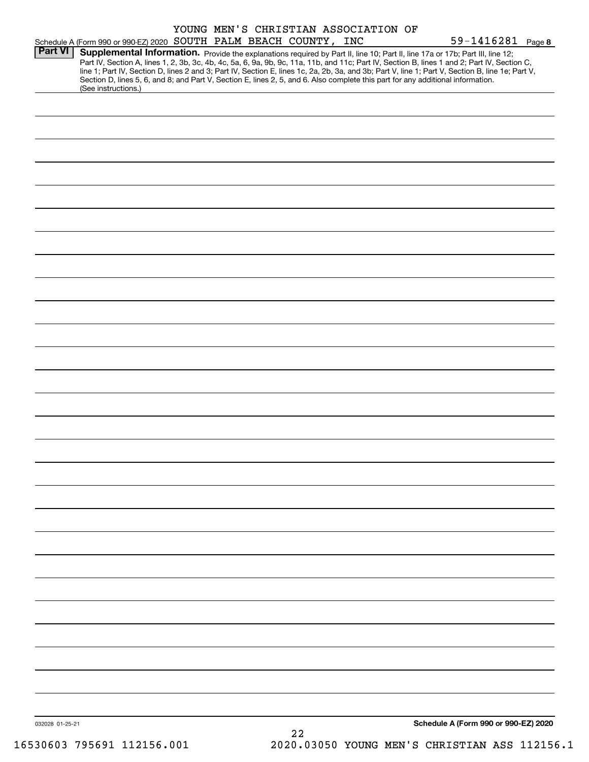|                |                     | YOUNG MEN'S CHRISTIAN ASSOCIATION OF                              |                                                                                                                                                                                                                                                                                                                                                                                                                                                                                                                                                                      |                   |
|----------------|---------------------|-------------------------------------------------------------------|----------------------------------------------------------------------------------------------------------------------------------------------------------------------------------------------------------------------------------------------------------------------------------------------------------------------------------------------------------------------------------------------------------------------------------------------------------------------------------------------------------------------------------------------------------------------|-------------------|
| <b>Part VI</b> |                     | Schedule A (Form 990 or 990-EZ) 2020 SOUTH PALM BEACH COUNTY, INC |                                                                                                                                                                                                                                                                                                                                                                                                                                                                                                                                                                      | 59-1416281 Page 8 |
|                | (See instructions.) |                                                                   | Supplemental Information. Provide the explanations required by Part II, line 10; Part II, line 17a or 17b; Part III, line 12;<br>Part IV, Section A, lines 1, 2, 3b, 3c, 4b, 4c, 5a, 6, 9a, 9b, 9c, 11a, 11b, and 11c; Part IV, Section B, lines 1 and 2; Part IV, Section C,<br>line 1; Part IV, Section D, lines 2 and 3; Part IV, Section E, lines 1c, 2a, 2b, 3a, and 3b; Part V, line 1; Part V, Section B, line 1e; Part V,<br>Section D, lines 5, 6, and 8; and Part V, Section E, lines 2, 5, and 6. Also complete this part for any additional information. |                   |
|                |                     |                                                                   |                                                                                                                                                                                                                                                                                                                                                                                                                                                                                                                                                                      |                   |
|                |                     |                                                                   |                                                                                                                                                                                                                                                                                                                                                                                                                                                                                                                                                                      |                   |
|                |                     |                                                                   |                                                                                                                                                                                                                                                                                                                                                                                                                                                                                                                                                                      |                   |
|                |                     |                                                                   |                                                                                                                                                                                                                                                                                                                                                                                                                                                                                                                                                                      |                   |
|                |                     |                                                                   |                                                                                                                                                                                                                                                                                                                                                                                                                                                                                                                                                                      |                   |
|                |                     |                                                                   |                                                                                                                                                                                                                                                                                                                                                                                                                                                                                                                                                                      |                   |
|                |                     |                                                                   |                                                                                                                                                                                                                                                                                                                                                                                                                                                                                                                                                                      |                   |
|                |                     |                                                                   |                                                                                                                                                                                                                                                                                                                                                                                                                                                                                                                                                                      |                   |
|                |                     |                                                                   |                                                                                                                                                                                                                                                                                                                                                                                                                                                                                                                                                                      |                   |
|                |                     |                                                                   |                                                                                                                                                                                                                                                                                                                                                                                                                                                                                                                                                                      |                   |
|                |                     |                                                                   |                                                                                                                                                                                                                                                                                                                                                                                                                                                                                                                                                                      |                   |
|                |                     |                                                                   |                                                                                                                                                                                                                                                                                                                                                                                                                                                                                                                                                                      |                   |
|                |                     |                                                                   |                                                                                                                                                                                                                                                                                                                                                                                                                                                                                                                                                                      |                   |
|                |                     |                                                                   |                                                                                                                                                                                                                                                                                                                                                                                                                                                                                                                                                                      |                   |
|                |                     |                                                                   |                                                                                                                                                                                                                                                                                                                                                                                                                                                                                                                                                                      |                   |
|                |                     |                                                                   |                                                                                                                                                                                                                                                                                                                                                                                                                                                                                                                                                                      |                   |
|                |                     |                                                                   |                                                                                                                                                                                                                                                                                                                                                                                                                                                                                                                                                                      |                   |
|                |                     |                                                                   |                                                                                                                                                                                                                                                                                                                                                                                                                                                                                                                                                                      |                   |
|                |                     |                                                                   |                                                                                                                                                                                                                                                                                                                                                                                                                                                                                                                                                                      |                   |
|                |                     |                                                                   |                                                                                                                                                                                                                                                                                                                                                                                                                                                                                                                                                                      |                   |
|                |                     |                                                                   |                                                                                                                                                                                                                                                                                                                                                                                                                                                                                                                                                                      |                   |
|                |                     |                                                                   |                                                                                                                                                                                                                                                                                                                                                                                                                                                                                                                                                                      |                   |
|                |                     |                                                                   |                                                                                                                                                                                                                                                                                                                                                                                                                                                                                                                                                                      |                   |
|                |                     |                                                                   |                                                                                                                                                                                                                                                                                                                                                                                                                                                                                                                                                                      |                   |
|                |                     |                                                                   |                                                                                                                                                                                                                                                                                                                                                                                                                                                                                                                                                                      |                   |
|                |                     |                                                                   |                                                                                                                                                                                                                                                                                                                                                                                                                                                                                                                                                                      |                   |
|                |                     |                                                                   |                                                                                                                                                                                                                                                                                                                                                                                                                                                                                                                                                                      |                   |
|                |                     |                                                                   |                                                                                                                                                                                                                                                                                                                                                                                                                                                                                                                                                                      |                   |
|                |                     |                                                                   |                                                                                                                                                                                                                                                                                                                                                                                                                                                                                                                                                                      |                   |
|                |                     |                                                                   |                                                                                                                                                                                                                                                                                                                                                                                                                                                                                                                                                                      |                   |
|                |                     |                                                                   |                                                                                                                                                                                                                                                                                                                                                                                                                                                                                                                                                                      |                   |
|                |                     |                                                                   |                                                                                                                                                                                                                                                                                                                                                                                                                                                                                                                                                                      |                   |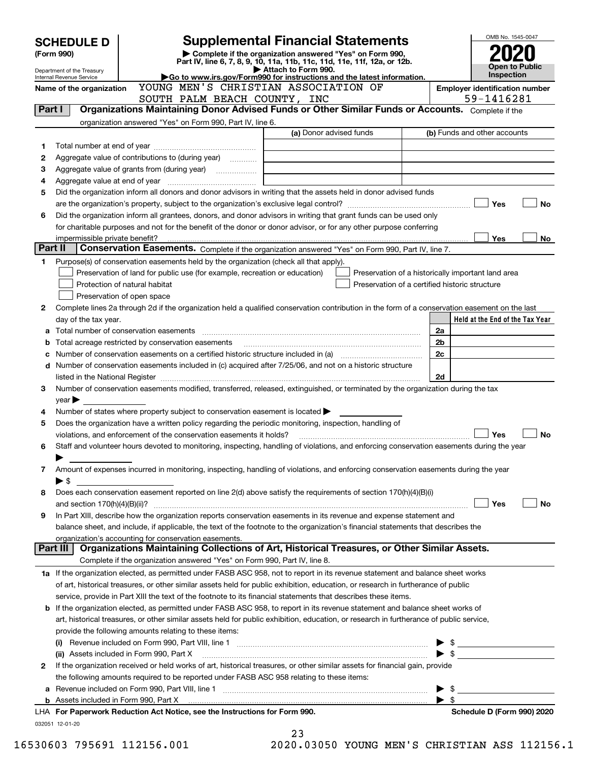|         | <b>SCHEDULE D</b>                                      |                                                                                                        | <b>Supplemental Financial Statements</b>                                                                                                       |                          | OMB No. 1545-0047                          |     |
|---------|--------------------------------------------------------|--------------------------------------------------------------------------------------------------------|------------------------------------------------------------------------------------------------------------------------------------------------|--------------------------|--------------------------------------------|-----|
|         | (Form 990)                                             |                                                                                                        | Complete if the organization answered "Yes" on Form 990,<br>Part IV, line 6, 7, 8, 9, 10, 11a, 11b, 11c, 11d, 11e, 11f, 12a, or 12b.           |                          |                                            |     |
|         | Department of the Treasury<br>Internal Revenue Service |                                                                                                        | Attach to Form 990.<br>Go to www.irs.gov/Form990 for instructions and the latest information.                                                  |                          | <b>Open to Public</b><br><b>Inspection</b> |     |
|         | Name of the organization                               | YOUNG MEN'S CHRISTIAN ASSOCIATION OF                                                                   |                                                                                                                                                |                          | <b>Employer identification number</b>      |     |
|         |                                                        | SOUTH PALM BEACH COUNTY, INC                                                                           |                                                                                                                                                |                          | 59-1416281                                 |     |
|         | Part I                                                 |                                                                                                        | Organizations Maintaining Donor Advised Funds or Other Similar Funds or Accounts. Complete if the                                              |                          |                                            |     |
|         |                                                        | organization answered "Yes" on Form 990, Part IV, line 6.                                              |                                                                                                                                                |                          |                                            |     |
|         |                                                        |                                                                                                        | (a) Donor advised funds                                                                                                                        |                          | (b) Funds and other accounts               |     |
| 1       |                                                        |                                                                                                        |                                                                                                                                                |                          |                                            |     |
| 2       |                                                        | Aggregate value of contributions to (during year)                                                      |                                                                                                                                                |                          |                                            |     |
| 3       |                                                        |                                                                                                        |                                                                                                                                                |                          |                                            |     |
| 4<br>5  |                                                        |                                                                                                        | Did the organization inform all donors and donor advisors in writing that the assets held in donor advised funds                               |                          |                                            |     |
|         |                                                        |                                                                                                        |                                                                                                                                                |                          | Yes                                        | No  |
| 6       |                                                        |                                                                                                        | Did the organization inform all grantees, donors, and donor advisors in writing that grant funds can be used only                              |                          |                                            |     |
|         |                                                        |                                                                                                        | for charitable purposes and not for the benefit of the donor or donor advisor, or for any other purpose conferring                             |                          |                                            |     |
|         |                                                        |                                                                                                        |                                                                                                                                                |                          | <b>Yes</b>                                 | No. |
| Part II |                                                        |                                                                                                        | Conservation Easements. Complete if the organization answered "Yes" on Form 990, Part IV, line 7.                                              |                          |                                            |     |
| 1       |                                                        | Purpose(s) of conservation easements held by the organization (check all that apply).                  |                                                                                                                                                |                          |                                            |     |
|         |                                                        | Preservation of land for public use (for example, recreation or education)                             | Preservation of a historically important land area                                                                                             |                          |                                            |     |
|         |                                                        | Protection of natural habitat                                                                          | Preservation of a certified historic structure                                                                                                 |                          |                                            |     |
|         |                                                        | Preservation of open space                                                                             |                                                                                                                                                |                          |                                            |     |
| 2       |                                                        |                                                                                                        | Complete lines 2a through 2d if the organization held a qualified conservation contribution in the form of a conservation easement on the last |                          |                                            |     |
|         | day of the tax year.                                   |                                                                                                        |                                                                                                                                                |                          | Held at the End of the Tax Year            |     |
| а       |                                                        |                                                                                                        |                                                                                                                                                | 2a<br>2 <sub>b</sub>     |                                            |     |
| b       |                                                        | Total acreage restricted by conservation easements                                                     |                                                                                                                                                | 2c                       |                                            |     |
| с<br>d  |                                                        |                                                                                                        | Number of conservation easements included in (c) acquired after 7/25/06, and not on a historic structure                                       |                          |                                            |     |
|         |                                                        |                                                                                                        |                                                                                                                                                | 2d                       |                                            |     |
| З.      |                                                        |                                                                                                        | Number of conservation easements modified, transferred, released, extinguished, or terminated by the organization during the tax               |                          |                                            |     |
|         | $year \blacktriangleright$                             |                                                                                                        |                                                                                                                                                |                          |                                            |     |
| 4       |                                                        | Number of states where property subject to conservation easement is located $\blacktriangleright$      |                                                                                                                                                |                          |                                            |     |
| 5       |                                                        | Does the organization have a written policy regarding the periodic monitoring, inspection, handling of |                                                                                                                                                |                          |                                            |     |
|         |                                                        | violations, and enforcement of the conservation easements it holds?                                    |                                                                                                                                                |                          | Yes                                        | No  |
| 6       |                                                        |                                                                                                        | Staff and volunteer hours devoted to monitoring, inspecting, handling of violations, and enforcing conservation easements during the year      |                          |                                            |     |
|         |                                                        |                                                                                                        |                                                                                                                                                |                          |                                            |     |
| 7       |                                                        |                                                                                                        | Amount of expenses incurred in monitoring, inspecting, handling of violations, and enforcing conservation easements during the year            |                          |                                            |     |
|         | $\blacktriangleright$ \$                               |                                                                                                        |                                                                                                                                                |                          |                                            |     |
| 8       |                                                        |                                                                                                        | Does each conservation easement reported on line 2(d) above satisfy the requirements of section 170(h)(4)(B)(i)                                |                          |                                            |     |
|         |                                                        |                                                                                                        |                                                                                                                                                |                          | Yes                                        | No  |
| 9       |                                                        |                                                                                                        | In Part XIII, describe how the organization reports conservation easements in its revenue and expense statement and                            |                          |                                            |     |
|         |                                                        | organization's accounting for conservation easements.                                                  | balance sheet, and include, if applicable, the text of the footnote to the organization's financial statements that describes the              |                          |                                            |     |
|         | Part III I                                             |                                                                                                        | Organizations Maintaining Collections of Art, Historical Treasures, or Other Similar Assets.                                                   |                          |                                            |     |
|         |                                                        | Complete if the organization answered "Yes" on Form 990, Part IV, line 8.                              |                                                                                                                                                |                          |                                            |     |
|         |                                                        |                                                                                                        | 1a If the organization elected, as permitted under FASB ASC 958, not to report in its revenue statement and balance sheet works                |                          |                                            |     |
|         |                                                        |                                                                                                        | of art, historical treasures, or other similar assets held for public exhibition, education, or research in furtherance of public              |                          |                                            |     |
|         |                                                        |                                                                                                        | service, provide in Part XIII the text of the footnote to its financial statements that describes these items.                                 |                          |                                            |     |
| b       |                                                        |                                                                                                        | If the organization elected, as permitted under FASB ASC 958, to report in its revenue statement and balance sheet works of                    |                          |                                            |     |
|         |                                                        |                                                                                                        | art, historical treasures, or other similar assets held for public exhibition, education, or research in furtherance of public service,        |                          |                                            |     |
|         |                                                        | provide the following amounts relating to these items:                                                 |                                                                                                                                                |                          |                                            |     |
|         |                                                        |                                                                                                        | (i) Revenue included on Form 990, Part VIII, line 1 <i>maching communically contained included</i> on Form 990, Part VIII, line 1              | \$                       |                                            |     |
|         |                                                        | (ii) Assets included in Form 990, Part X                                                               |                                                                                                                                                | $\blacktriangleright$ \$ |                                            |     |
| 2       |                                                        |                                                                                                        | If the organization received or held works of art, historical treasures, or other similar assets for financial gain, provide                   |                          |                                            |     |
|         |                                                        | the following amounts required to be reported under FASB ASC 958 relating to these items:              |                                                                                                                                                |                          |                                            |     |
| а       |                                                        |                                                                                                        | Revenue included on Form 990, Part VIII, line 1 [1] [2000] [2000] [2000] [2000] [2000] [2000] [2000] [2000] [                                  | \$                       |                                            |     |
|         |                                                        |                                                                                                        |                                                                                                                                                | - \$                     |                                            |     |
|         |                                                        | LHA For Paperwork Reduction Act Notice, see the Instructions for Form 990.                             |                                                                                                                                                |                          | Schedule D (Form 990) 2020                 |     |
|         | 032051 12-01-20                                        |                                                                                                        | 23                                                                                                                                             |                          |                                            |     |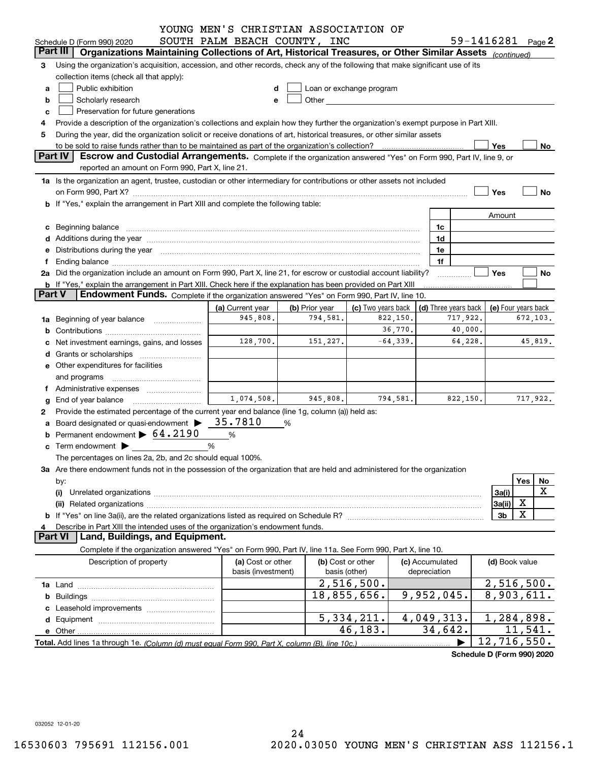|               |                                                                                                                                                                                                                                                                                                                                           | YOUNG MEN'S CHRISTIAN ASSOCIATION OF    |                |                                                                                                                                                                                                                                                            |            |                                 |          |                          |                             |
|---------------|-------------------------------------------------------------------------------------------------------------------------------------------------------------------------------------------------------------------------------------------------------------------------------------------------------------------------------------------|-----------------------------------------|----------------|------------------------------------------------------------------------------------------------------------------------------------------------------------------------------------------------------------------------------------------------------------|------------|---------------------------------|----------|--------------------------|-----------------------------|
|               | Schedule D (Form 990) 2020                                                                                                                                                                                                                                                                                                                | SOUTH PALM BEACH COUNTY, INC            |                |                                                                                                                                                                                                                                                            |            |                                 |          |                          | 59-1416281 Page 2           |
|               | Part III<br>Organizations Maintaining Collections of Art, Historical Treasures, or Other Similar Assets (continued)                                                                                                                                                                                                                       |                                         |                |                                                                                                                                                                                                                                                            |            |                                 |          |                          |                             |
| 3             | Using the organization's acquisition, accession, and other records, check any of the following that make significant use of its<br>collection items (check all that apply):<br>Public exhibition                                                                                                                                          | d                                       |                |                                                                                                                                                                                                                                                            |            |                                 |          |                          |                             |
| a<br>b        | Scholarly research                                                                                                                                                                                                                                                                                                                        | е                                       |                | Loan or exchange program<br>Other and the control of the control of the control of the control of the control of the control of the control of the control of the control of the control of the control of the control of the control of the control of th |            |                                 |          |                          |                             |
| c             | Preservation for future generations                                                                                                                                                                                                                                                                                                       |                                         |                |                                                                                                                                                                                                                                                            |            |                                 |          |                          |                             |
| 4             | Provide a description of the organization's collections and explain how they further the organization's exempt purpose in Part XIII.                                                                                                                                                                                                      |                                         |                |                                                                                                                                                                                                                                                            |            |                                 |          |                          |                             |
| 5             | During the year, did the organization solicit or receive donations of art, historical treasures, or other similar assets                                                                                                                                                                                                                  |                                         |                |                                                                                                                                                                                                                                                            |            |                                 |          |                          |                             |
|               | to be sold to raise funds rather than to be maintained as part of the organization's collection?                                                                                                                                                                                                                                          |                                         |                |                                                                                                                                                                                                                                                            |            |                                 |          | Yes                      | No                          |
|               | Part IV<br>Escrow and Custodial Arrangements. Complete if the organization answered "Yes" on Form 990, Part IV, line 9, or                                                                                                                                                                                                                |                                         |                |                                                                                                                                                                                                                                                            |            |                                 |          |                          |                             |
|               | reported an amount on Form 990, Part X, line 21.                                                                                                                                                                                                                                                                                          |                                         |                |                                                                                                                                                                                                                                                            |            |                                 |          |                          |                             |
|               | 1a Is the organization an agent, trustee, custodian or other intermediary for contributions or other assets not included                                                                                                                                                                                                                  |                                         |                |                                                                                                                                                                                                                                                            |            |                                 |          |                          |                             |
|               | on Form 990, Part X? [11] matter contracts and contracts and contracts are contracted as a function of the set of the set of the set of the set of the set of the set of the set of the set of the set of the set of the set o                                                                                                            |                                         |                |                                                                                                                                                                                                                                                            |            |                                 |          | Yes                      | <b>No</b>                   |
|               | b If "Yes," explain the arrangement in Part XIII and complete the following table:                                                                                                                                                                                                                                                        |                                         |                |                                                                                                                                                                                                                                                            |            |                                 |          |                          |                             |
|               |                                                                                                                                                                                                                                                                                                                                           |                                         |                |                                                                                                                                                                                                                                                            |            |                                 |          | Amount                   |                             |
|               | c Beginning balance                                                                                                                                                                                                                                                                                                                       |                                         |                |                                                                                                                                                                                                                                                            |            | 1c                              |          |                          |                             |
|               |                                                                                                                                                                                                                                                                                                                                           |                                         |                |                                                                                                                                                                                                                                                            |            | 1d                              |          |                          |                             |
|               | Distributions during the year manufactured and continuum and contained and the year manufactured and contained                                                                                                                                                                                                                            |                                         |                |                                                                                                                                                                                                                                                            |            | 1e                              |          |                          |                             |
|               |                                                                                                                                                                                                                                                                                                                                           |                                         |                |                                                                                                                                                                                                                                                            |            | 1f                              |          |                          |                             |
|               | 2a Did the organization include an amount on Form 990, Part X, line 21, for escrow or custodial account liability?                                                                                                                                                                                                                        |                                         |                |                                                                                                                                                                                                                                                            |            |                                 |          | Yes                      | No                          |
|               | b If "Yes," explain the arrangement in Part XIII. Check here if the explanation has been provided on Part XIII                                                                                                                                                                                                                            |                                         |                |                                                                                                                                                                                                                                                            |            |                                 |          |                          |                             |
| <b>Part V</b> | Endowment Funds. Complete if the organization answered "Yes" on Form 990, Part IV, line 10.                                                                                                                                                                                                                                               |                                         |                |                                                                                                                                                                                                                                                            |            |                                 |          |                          |                             |
|               |                                                                                                                                                                                                                                                                                                                                           | (a) Current year                        | (b) Prior year | (c) Two years back                                                                                                                                                                                                                                         |            | (d) Three years back            |          |                          | (e) Four years back         |
| 1a            | Beginning of year balance                                                                                                                                                                                                                                                                                                                 | 945,808.                                | 794,581.       |                                                                                                                                                                                                                                                            | 822,150.   |                                 | 717,922. |                          | 672,103.                    |
|               |                                                                                                                                                                                                                                                                                                                                           |                                         |                |                                                                                                                                                                                                                                                            | 36,770.    |                                 | 40,000.  |                          |                             |
| c             | Net investment earnings, gains, and losses                                                                                                                                                                                                                                                                                                | 128,700.                                | 151,227.       |                                                                                                                                                                                                                                                            | $-64,339.$ |                                 | 64,228.  |                          | 45,819.                     |
|               |                                                                                                                                                                                                                                                                                                                                           |                                         |                |                                                                                                                                                                                                                                                            |            |                                 |          |                          |                             |
|               | <b>e</b> Other expenditures for facilities                                                                                                                                                                                                                                                                                                |                                         |                |                                                                                                                                                                                                                                                            |            |                                 |          |                          |                             |
|               |                                                                                                                                                                                                                                                                                                                                           |                                         |                |                                                                                                                                                                                                                                                            |            |                                 |          |                          |                             |
|               | and programs                                                                                                                                                                                                                                                                                                                              |                                         |                |                                                                                                                                                                                                                                                            |            |                                 |          |                          |                             |
|               | Administrative expenses                                                                                                                                                                                                                                                                                                                   | 1,074,508.                              | 945,808.       |                                                                                                                                                                                                                                                            | 794,581.   |                                 | 822,150. |                          | 717,922.                    |
| g             | End of year balance                                                                                                                                                                                                                                                                                                                       |                                         |                |                                                                                                                                                                                                                                                            |            |                                 |          |                          |                             |
| 2             | Provide the estimated percentage of the current year end balance (line 1g, column (a)) held as:<br>a Board designated or quasi-endowment $\blacktriangleright$ 35.7810                                                                                                                                                                    |                                         |                |                                                                                                                                                                                                                                                            |            |                                 |          |                          |                             |
|               | <b>b</b> Permanent endowment $\triangleright$ 64.2190                                                                                                                                                                                                                                                                                     |                                         | %              |                                                                                                                                                                                                                                                            |            |                                 |          |                          |                             |
|               |                                                                                                                                                                                                                                                                                                                                           | %                                       |                |                                                                                                                                                                                                                                                            |            |                                 |          |                          |                             |
|               | Term endowment $\begin{picture}(180,170)(-20,0) \put(0,0){\line(1,0){10}} \put(15,0){\line(1,0){10}} \put(15,0){\line(1,0){10}} \put(15,0){\line(1,0){10}} \put(15,0){\line(1,0){10}} \put(15,0){\line(1,0){10}} \put(15,0){\line(1,0){10}} \put(15,0){\line(1,0){10}} \put(15,0){\line(1,0){10}} \put(15,0){\line(1,0){10}} \put(15,0){$ | %                                       |                |                                                                                                                                                                                                                                                            |            |                                 |          |                          |                             |
|               | The percentages on lines 2a, 2b, and 2c should equal 100%.                                                                                                                                                                                                                                                                                |                                         |                |                                                                                                                                                                                                                                                            |            |                                 |          |                          |                             |
|               | 3a Are there endowment funds not in the possession of the organization that are held and administered for the organization                                                                                                                                                                                                                |                                         |                |                                                                                                                                                                                                                                                            |            |                                 |          |                          |                             |
|               | by:                                                                                                                                                                                                                                                                                                                                       |                                         |                |                                                                                                                                                                                                                                                            |            |                                 |          |                          | Yes<br>No<br>X              |
|               | (i)                                                                                                                                                                                                                                                                                                                                       |                                         |                |                                                                                                                                                                                                                                                            |            |                                 |          | 3a(i)                    | Χ                           |
|               | (ii)                                                                                                                                                                                                                                                                                                                                      |                                         |                |                                                                                                                                                                                                                                                            |            |                                 |          | 3a(ii)<br>3 <sub>b</sub> | х                           |
|               | Describe in Part XIII the intended uses of the organization's endowment funds.                                                                                                                                                                                                                                                            |                                         |                |                                                                                                                                                                                                                                                            |            |                                 |          |                          |                             |
| 4             | <b>Part VI</b><br>Land, Buildings, and Equipment.                                                                                                                                                                                                                                                                                         |                                         |                |                                                                                                                                                                                                                                                            |            |                                 |          |                          |                             |
|               | Complete if the organization answered "Yes" on Form 990, Part IV, line 11a. See Form 990, Part X, line 10.                                                                                                                                                                                                                                |                                         |                |                                                                                                                                                                                                                                                            |            |                                 |          |                          |                             |
|               |                                                                                                                                                                                                                                                                                                                                           |                                         |                | (b) Cost or other                                                                                                                                                                                                                                          |            |                                 |          |                          |                             |
|               | Description of property                                                                                                                                                                                                                                                                                                                   | (a) Cost or other<br>basis (investment) |                | basis (other)                                                                                                                                                                                                                                              |            | (c) Accumulated<br>depreciation |          | (d) Book value           |                             |
|               |                                                                                                                                                                                                                                                                                                                                           |                                         |                | 2,516,500.                                                                                                                                                                                                                                                 |            |                                 |          |                          | 2,516,500.                  |
|               |                                                                                                                                                                                                                                                                                                                                           |                                         |                | 18,855,656.                                                                                                                                                                                                                                                |            | 9,952,045.                      |          |                          | 8,903,611.                  |
|               |                                                                                                                                                                                                                                                                                                                                           |                                         |                |                                                                                                                                                                                                                                                            |            |                                 |          |                          |                             |
|               |                                                                                                                                                                                                                                                                                                                                           |                                         |                | 5, 334, 211.                                                                                                                                                                                                                                               |            | 4,049,313.                      |          |                          | 1,284,898.                  |
|               |                                                                                                                                                                                                                                                                                                                                           |                                         |                | 46,183.                                                                                                                                                                                                                                                    |            | 34,642.                         |          |                          | 11,541.                     |
|               |                                                                                                                                                                                                                                                                                                                                           |                                         |                |                                                                                                                                                                                                                                                            |            |                                 |          |                          | $\overline{12}$ , 716, 550. |
|               | Total. Add lines 1a through 1e. (Column (d) must equal Form 990. Part X. column (B). line 10c.)                                                                                                                                                                                                                                           |                                         |                |                                                                                                                                                                                                                                                            |            |                                 |          |                          |                             |
|               |                                                                                                                                                                                                                                                                                                                                           |                                         |                |                                                                                                                                                                                                                                                            |            |                                 |          |                          | Schedule D (Form 990) 2020  |

032052 12-01-20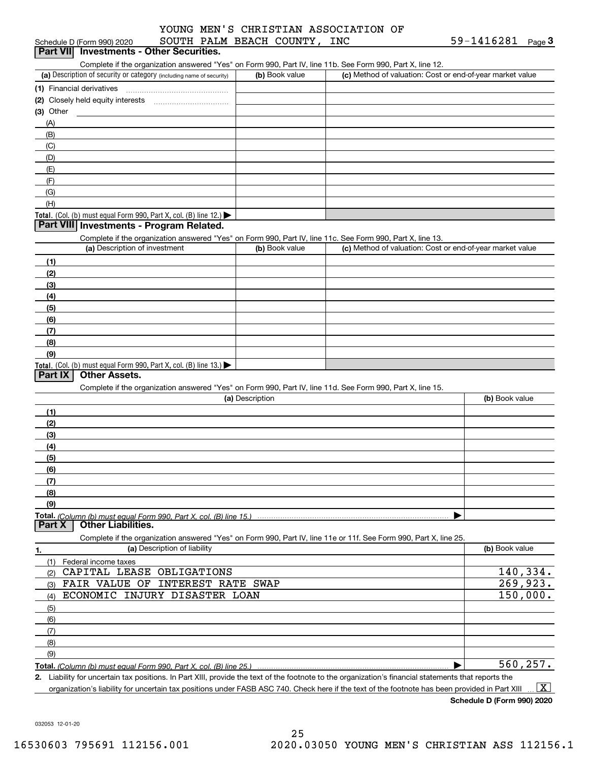#### Schedule D (Form 990) 2020  ${\tt SOUTH}$   ${\tt PALM}$   ${\tt BEACH}$   ${\tt COUNTY}$  ,  ${\tt INC}$   ${\tt \$9-1416281}$   ${\tt Page}$ YOUNG MEN'S CHRISTIAN ASSOCIATION OF

#### (a) Description of security or category (including name of security)  $\vert$  (b) Book value  $\vert$  (c) Total. (Col. (b) must equal Form 990, Part X, col. (B) line 12.) Total. (Col. (b) must equal Form 990, Part X, col. (B) line 13.) **(1)** Financial derivatives ~~~~~~~~~~~~~~~**(2)** Closely held equity interests **(3)**Other(a) Description of investment **b (b)** Book value **(1)(2)(3)(4) (5)(6)(7)(8)(9)(a) (b)**  Description**(1)(2) (3)(4)(5) (6)(7)(8)(9)Total.**  *(Column (b) must equal Form 990, Part X, col. (B) line 15.)* **1. (a)** Description of liability **Book value** Book value Book value Book value Book value Complete if the organization answered "Yes" on Form 990, Part IV, line 11b. See Form 990, Part X, line 12.  $(b)$  Book value  $\vert$  (c) Method of valuation: Cost or end-of-year market value (A)(B)(C)(D)(E)(F)(G)(H)Complete if the organization answered "Yes" on Form 990, Part IV, line 11c. See Form 990, Part X, line 13. (c) Method of valuation: Cost or end-of-year market value Complete if the organization answered "Yes" on Form 990, Part IV, line 11d. See Form 990, Part X, line 15. (b) Book value  $\blacktriangleright$ Complete if the organization answered "Yes" on Form 990, Part IV, line 11e or 11f. See Form 990, Part X, line 25. (1)Federal income taxes (2)(3)(4)(5)(6)(7)(8)(9)Schedule D (Form 990) 2020 **SOUTH PALM BEACH COUNTY, INC**<br>**Part VII** Investments - Other Securities. **Part VIII Investments - Program Related. Part IX Other Assets. Part X Other Liabilities.** CAPITAL LEASE OBLIGATIONS FAIR VALUE OF INTEREST RATE SWAP ECONOMIC INJURY DISASTER LOAN 140,334. 269,923. 150,000. 560,257.

**Total.**  *(Column (b) must equal Form 990, Part X, col. (B) line 25.)*  $\blacktriangleright$ 

**2.**Liability for uncertain tax positions. In Part XIII, provide the text of the footnote to the organization's financial statements that reports the organization's liability for uncertain tax positions under FASB ASC 740. Check here if the text of the footnote has been provided in Part XIII  $\boxed{\text{X}}$ 

**Schedule D (Form 990) 2020**

032053 12-01-20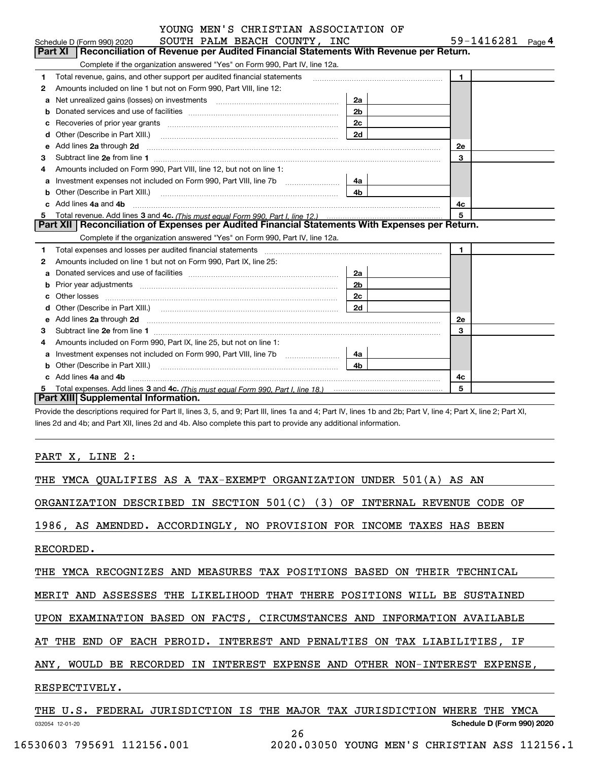|   | YOUNG MEN'S CHRISTIAN ASSOCIATION OF                                                                                                                                                                                                |                |                   |
|---|-------------------------------------------------------------------------------------------------------------------------------------------------------------------------------------------------------------------------------------|----------------|-------------------|
|   | SOUTH PALM BEACH COUNTY, INC<br>Schedule D (Form 990) 2020                                                                                                                                                                          |                | 59-1416281 Page 4 |
|   | Part XI<br>Reconciliation of Revenue per Audited Financial Statements With Revenue per Return.                                                                                                                                      |                |                   |
|   | Complete if the organization answered "Yes" on Form 990, Part IV, line 12a.                                                                                                                                                         |                |                   |
| 1 | Total revenue, gains, and other support per audited financial statements                                                                                                                                                            |                | $\blacksquare$    |
| 2 | Amounts included on line 1 but not on Form 990, Part VIII, line 12:                                                                                                                                                                 |                |                   |
| a | Net unrealized gains (losses) on investments [11] matter contains the unrealized gains (losses) on investments                                                                                                                      | 2a             |                   |
| b |                                                                                                                                                                                                                                     | 2 <sub>b</sub> |                   |
|   | Recoveries of prior year grants <i>manual content of the coveries</i> of prior year grants                                                                                                                                          | 2c             |                   |
| d | Other (Describe in Part XIII.) <b>2006</b> 2007 2010 2010 2010 2010 2011 2012 2013 2014 2014 2015 2016 2017 2018 2019 2016 2017 2018 2019 2016 2017 2018 2019 2016 2017 2018 2019 2018 2019 2019 2016 2017 2018 2019 2018 2019 2019 |                |                   |
| е | Add lines 2a through 2d                                                                                                                                                                                                             |                | 2e                |
| 3 |                                                                                                                                                                                                                                     |                | 3                 |
| 4 | Amounts included on Form 990, Part VIII, line 12, but not on line 1:                                                                                                                                                                |                |                   |
| a | Investment expenses not included on Form 990, Part VIII, line 7b [111] [11] [12]                                                                                                                                                    | 4a             |                   |
|   |                                                                                                                                                                                                                                     | 4b             |                   |
|   | Add lines 4a and 4b                                                                                                                                                                                                                 |                | 4c                |
| 5 |                                                                                                                                                                                                                                     |                | 5                 |
|   | Part XII   Reconciliation of Expenses per Audited Financial Statements With Expenses per Return.                                                                                                                                    |                |                   |
|   | Complete if the organization answered "Yes" on Form 990, Part IV, line 12a.                                                                                                                                                         |                |                   |
| 1 | Total expenses and losses per audited financial statements [11] [12] contain an intervention and the statements [13] [13] and the statements [13] [13] and the statements [13] and the statements and the statements and the s      |                | $\mathbf{1}$      |
| 2 | Amounts included on line 1 but not on Form 990, Part IX, line 25:                                                                                                                                                                   |                |                   |
|   |                                                                                                                                                                                                                                     | 2a             |                   |
|   |                                                                                                                                                                                                                                     | 2 <sub>b</sub> |                   |
| c |                                                                                                                                                                                                                                     | 2c             |                   |
| d |                                                                                                                                                                                                                                     | 2d             |                   |
| е | Add lines 2a through 2d <b>manufactures</b> in the contract of the state of the state of the state of the state of the state of the state of the state of the state of the state of the state of the state of the state of the stat |                | <b>2e</b>         |
| 3 |                                                                                                                                                                                                                                     |                | 3                 |
| 4 | Amounts included on Form 990, Part IX, line 25, but not on line 1:                                                                                                                                                                  |                |                   |
|   |                                                                                                                                                                                                                                     | 4a             |                   |
| b | Other (Describe in Part XIII.)                                                                                                                                                                                                      | 4 <sub>b</sub> |                   |
|   | c Add lines 4a and 4b                                                                                                                                                                                                               |                | 4c                |
|   |                                                                                                                                                                                                                                     |                | 5                 |
|   | Part XIII Supplemental Information.                                                                                                                                                                                                 |                |                   |

Provide the descriptions required for Part II, lines 3, 5, and 9; Part III, lines 1a and 4; Part IV, lines 1b and 2b; Part V, line 4; Part X, line 2; Part XI, lines 2d and 4b; and Part XII, lines 2d and 4b. Also complete this part to provide any additional information.

PART X, LINE 2:

|  |  |  |  |  |  | THE YMCA QUALIFIES AS A TAX-EXEMPT ORGANIZATION UNDER 501(A) AS AN |  |  |  |  |
|--|--|--|--|--|--|--------------------------------------------------------------------|--|--|--|--|
|--|--|--|--|--|--|--------------------------------------------------------------------|--|--|--|--|

ORGANIZATION DESCRIBED IN SECTION 501(C) (3) OF INTERNAL REVENUE CODE OF

1986, AS AMENDED. ACCORDINGLY, NO PROVISION FOR INCOME TAXES HAS BEEN

RECORDED.

THE YMCA RECOGNIZES AND MEASURES TAX POSITIONS BASED ON THEIR TECHNICAL

MERIT AND ASSESSES THE LIKELIHOOD THAT THERE POSITIONS WILL BE SUSTAINED

UPON EXAMINATION BASED ON FACTS, CIRCUMSTANCES AND INFORMATION AVAILABLE

AT THE END OF EACH PEROID. INTEREST AND PENALTIES ON TAX LIABILITIES, IF

ANY, WOULD BE RECORDED IN INTEREST EXPENSE AND OTHER NON-INTEREST EXPENSE,

### RESPECTIVELY.

032054 12-01-20 **Schedule D (Form 990) 2020** THE U.S. FEDERAL JURISDICTION IS THE MAJOR TAX JURISDICTION WHERE THE YMCA 26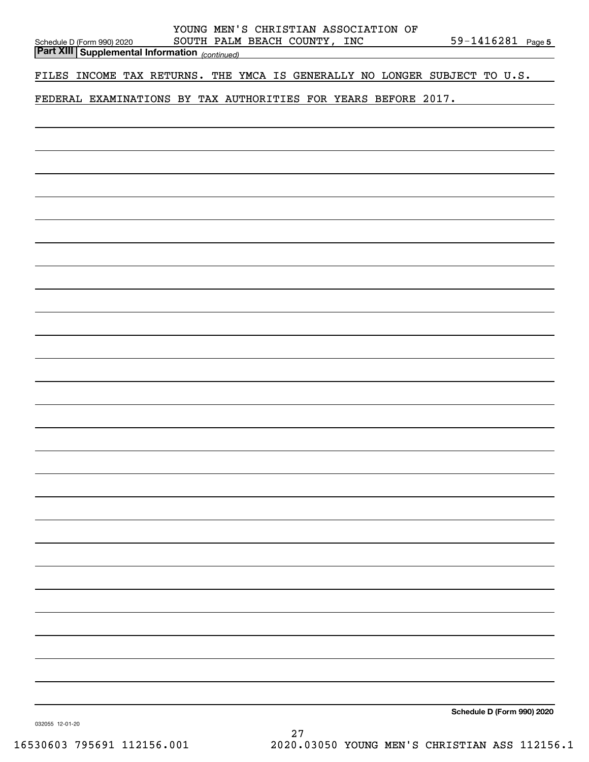| YOUNG MEN'S CHRISTIAN ASSOCIATION OF<br>SOUTH PALM BEACH COUNTY, INC<br>Schedule D (Form 990) 2020<br><b>Part XIII Supplemental Information</b> (continued) | 59-1416281 Page 5          |
|-------------------------------------------------------------------------------------------------------------------------------------------------------------|----------------------------|
|                                                                                                                                                             |                            |
| FILES INCOME TAX RETURNS. THE YMCA IS GENERALLY NO LONGER SUBJECT TO U.S.                                                                                   |                            |
| FEDERAL EXAMINATIONS BY TAX AUTHORITIES FOR YEARS BEFORE 2017.                                                                                              |                            |
|                                                                                                                                                             |                            |
|                                                                                                                                                             |                            |
|                                                                                                                                                             |                            |
|                                                                                                                                                             |                            |
|                                                                                                                                                             |                            |
|                                                                                                                                                             |                            |
|                                                                                                                                                             |                            |
|                                                                                                                                                             |                            |
|                                                                                                                                                             |                            |
|                                                                                                                                                             |                            |
|                                                                                                                                                             |                            |
|                                                                                                                                                             |                            |
|                                                                                                                                                             |                            |
|                                                                                                                                                             |                            |
|                                                                                                                                                             |                            |
|                                                                                                                                                             |                            |
|                                                                                                                                                             |                            |
|                                                                                                                                                             |                            |
|                                                                                                                                                             |                            |
|                                                                                                                                                             |                            |
|                                                                                                                                                             |                            |
|                                                                                                                                                             |                            |
|                                                                                                                                                             |                            |
|                                                                                                                                                             |                            |
|                                                                                                                                                             |                            |
|                                                                                                                                                             |                            |
|                                                                                                                                                             |                            |
|                                                                                                                                                             |                            |
|                                                                                                                                                             |                            |
|                                                                                                                                                             |                            |
|                                                                                                                                                             |                            |
|                                                                                                                                                             |                            |
|                                                                                                                                                             |                            |
|                                                                                                                                                             |                            |
|                                                                                                                                                             |                            |
|                                                                                                                                                             |                            |
|                                                                                                                                                             | Schedule D (Form 990) 2020 |

032055 12-01-20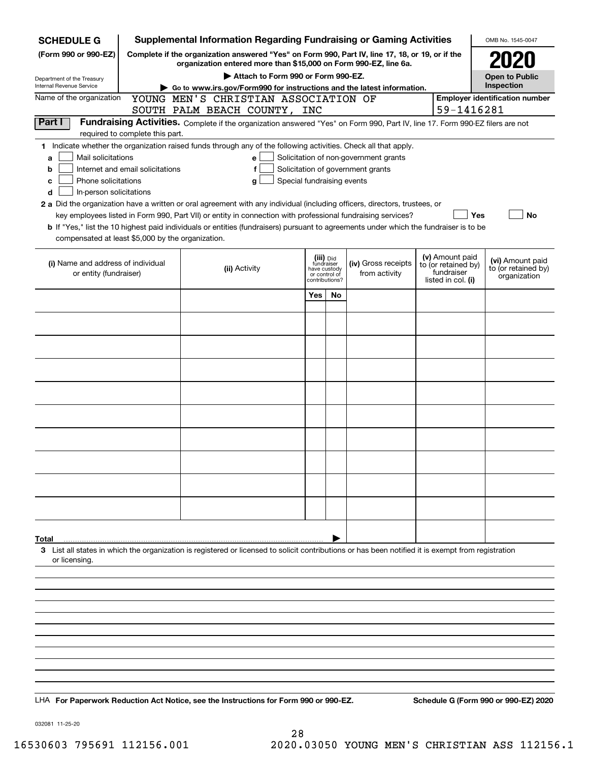| <b>SCHEDULE G</b>                                                                                                                                               |                                                                                                                                                                     | <b>Supplemental Information Regarding Fundraising or Gaming Activities</b>                                                                                                                                                                                                                                                                                                                                |                                                 |                         |                                                                            |  |                                                                            | OMB No. 1545-0047                                       |  |  |
|-----------------------------------------------------------------------------------------------------------------------------------------------------------------|---------------------------------------------------------------------------------------------------------------------------------------------------------------------|-----------------------------------------------------------------------------------------------------------------------------------------------------------------------------------------------------------------------------------------------------------------------------------------------------------------------------------------------------------------------------------------------------------|-------------------------------------------------|-------------------------|----------------------------------------------------------------------------|--|----------------------------------------------------------------------------|---------------------------------------------------------|--|--|
| (Form 990 or 990-EZ)                                                                                                                                            | Complete if the organization answered "Yes" on Form 990, Part IV, line 17, 18, or 19, or if the<br>organization entered more than \$15,000 on Form 990-EZ, line 6a. |                                                                                                                                                                                                                                                                                                                                                                                                           |                                                 |                         |                                                                            |  |                                                                            |                                                         |  |  |
|                                                                                                                                                                 |                                                                                                                                                                     | Attach to Form 990 or Form 990-EZ.                                                                                                                                                                                                                                                                                                                                                                        |                                                 |                         |                                                                            |  |                                                                            | <b>Open to Public</b>                                   |  |  |
| Department of the Treasury<br>Internal Revenue Service                                                                                                          | Inspection<br>Go to www.irs.gov/Form990 for instructions and the latest information.                                                                                |                                                                                                                                                                                                                                                                                                                                                                                                           |                                                 |                         |                                                                            |  |                                                                            |                                                         |  |  |
| Name of the organization                                                                                                                                        |                                                                                                                                                                     | YOUNG MEN'S CHRISTIAN ASSOCIATION OF<br>SOUTH PALM BEACH COUNTY, INC                                                                                                                                                                                                                                                                                                                                      |                                                 |                         |                                                                            |  | 59-1416281                                                                 | <b>Employer identification number</b>                   |  |  |
| Part I                                                                                                                                                          |                                                                                                                                                                     | Fundraising Activities. Complete if the organization answered "Yes" on Form 990, Part IV, line 17. Form 990-EZ filers are not                                                                                                                                                                                                                                                                             |                                                 |                         |                                                                            |  |                                                                            |                                                         |  |  |
| required to complete this part.<br>Mail solicitations<br>a<br>Internet and email solicitations<br>b<br>Phone solicitations<br>с<br>In-person solicitations<br>d |                                                                                                                                                                     | 1 Indicate whether the organization raised funds through any of the following activities. Check all that apply.<br>e<br>f<br>Special fundraising events<br>a<br>2 a Did the organization have a written or oral agreement with any individual (including officers, directors, trustees, or<br>key employees listed in Form 990, Part VII) or entity in connection with professional fundraising services? |                                                 |                         | Solicitation of non-government grants<br>Solicitation of government grants |  | Yes                                                                        | No                                                      |  |  |
| compensated at least \$5,000 by the organization.                                                                                                               |                                                                                                                                                                     | <b>b</b> If "Yes," list the 10 highest paid individuals or entities (fundraisers) pursuant to agreements under which the fundraiser is to be                                                                                                                                                                                                                                                              |                                                 |                         |                                                                            |  |                                                                            |                                                         |  |  |
| (i) Name and address of individual<br>or entity (fundraiser)                                                                                                    |                                                                                                                                                                     | (ii) Activity                                                                                                                                                                                                                                                                                                                                                                                             | have custody<br>or control of<br>contributions? | (iii) Did<br>fundraiser | (iv) Gross receipts<br>from activity                                       |  | (v) Amount paid<br>to (or retained by)<br>fundraiser<br>listed in col. (i) | (vi) Amount paid<br>to (or retained by)<br>organization |  |  |
|                                                                                                                                                                 |                                                                                                                                                                     |                                                                                                                                                                                                                                                                                                                                                                                                           | Yes                                             | <b>No</b>               |                                                                            |  |                                                                            |                                                         |  |  |
|                                                                                                                                                                 |                                                                                                                                                                     |                                                                                                                                                                                                                                                                                                                                                                                                           |                                                 |                         |                                                                            |  |                                                                            |                                                         |  |  |
|                                                                                                                                                                 |                                                                                                                                                                     |                                                                                                                                                                                                                                                                                                                                                                                                           |                                                 |                         |                                                                            |  |                                                                            |                                                         |  |  |
|                                                                                                                                                                 |                                                                                                                                                                     |                                                                                                                                                                                                                                                                                                                                                                                                           |                                                 |                         |                                                                            |  |                                                                            |                                                         |  |  |
|                                                                                                                                                                 |                                                                                                                                                                     |                                                                                                                                                                                                                                                                                                                                                                                                           |                                                 |                         |                                                                            |  |                                                                            |                                                         |  |  |
|                                                                                                                                                                 |                                                                                                                                                                     |                                                                                                                                                                                                                                                                                                                                                                                                           |                                                 |                         |                                                                            |  |                                                                            |                                                         |  |  |
|                                                                                                                                                                 |                                                                                                                                                                     |                                                                                                                                                                                                                                                                                                                                                                                                           |                                                 |                         |                                                                            |  |                                                                            |                                                         |  |  |
|                                                                                                                                                                 |                                                                                                                                                                     |                                                                                                                                                                                                                                                                                                                                                                                                           |                                                 |                         |                                                                            |  |                                                                            |                                                         |  |  |
|                                                                                                                                                                 |                                                                                                                                                                     |                                                                                                                                                                                                                                                                                                                                                                                                           |                                                 |                         |                                                                            |  |                                                                            |                                                         |  |  |
|                                                                                                                                                                 |                                                                                                                                                                     |                                                                                                                                                                                                                                                                                                                                                                                                           |                                                 |                         |                                                                            |  |                                                                            |                                                         |  |  |
|                                                                                                                                                                 |                                                                                                                                                                     |                                                                                                                                                                                                                                                                                                                                                                                                           |                                                 |                         |                                                                            |  |                                                                            |                                                         |  |  |
| Total<br>or licensing.                                                                                                                                          |                                                                                                                                                                     | 3 List all states in which the organization is registered or licensed to solicit contributions or has been notified it is exempt from registration                                                                                                                                                                                                                                                        |                                                 |                         |                                                                            |  |                                                                            |                                                         |  |  |
|                                                                                                                                                                 |                                                                                                                                                                     |                                                                                                                                                                                                                                                                                                                                                                                                           |                                                 |                         |                                                                            |  |                                                                            |                                                         |  |  |
|                                                                                                                                                                 |                                                                                                                                                                     |                                                                                                                                                                                                                                                                                                                                                                                                           |                                                 |                         |                                                                            |  |                                                                            |                                                         |  |  |
|                                                                                                                                                                 |                                                                                                                                                                     |                                                                                                                                                                                                                                                                                                                                                                                                           |                                                 |                         |                                                                            |  |                                                                            |                                                         |  |  |
|                                                                                                                                                                 |                                                                                                                                                                     |                                                                                                                                                                                                                                                                                                                                                                                                           |                                                 |                         |                                                                            |  |                                                                            |                                                         |  |  |
|                                                                                                                                                                 |                                                                                                                                                                     |                                                                                                                                                                                                                                                                                                                                                                                                           |                                                 |                         |                                                                            |  |                                                                            |                                                         |  |  |
|                                                                                                                                                                 |                                                                                                                                                                     | LHA For Paperwork Reduction Act Notice, see the Instructions for Form 990 or 990-EZ.                                                                                                                                                                                                                                                                                                                      |                                                 |                         |                                                                            |  |                                                                            | Schedule G (Form 990 or 990-EZ) 2020                    |  |  |

032081 11-25-20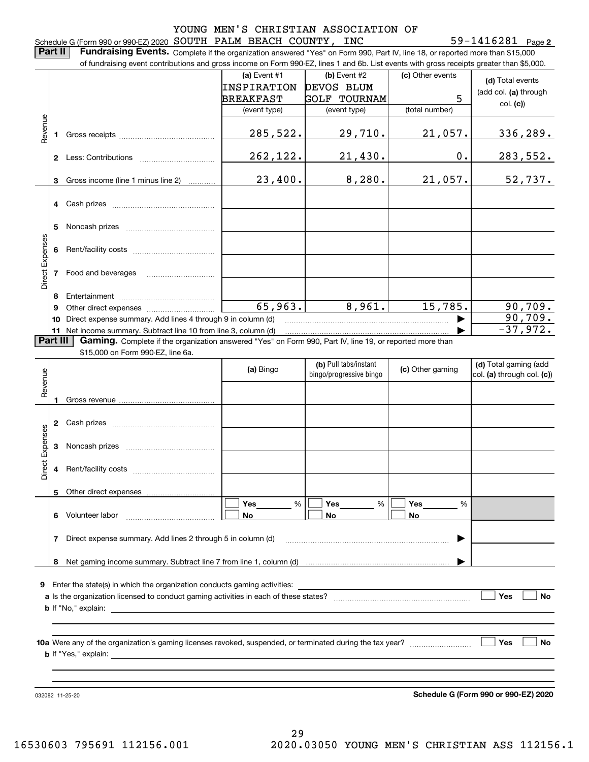### Schedule G (Form 990 or 990-EZ) 2020 Page SOUTH PALM BEACH COUNTY, INC 59-1416281 YOUNG MEN'S CHRISTIAN ASSOCIATION OF

**2**

**Part II** | Fundraising Events. Complete if the organization answered "Yes" on Form 990, Part IV, line 18, or reported more than \$15,000 of fundraising event contributions and gross income on Form 990-EZ, lines 1 and 6b. List events with gross receipts greater than \$5,000.

|                 |    | of fundraising event contributions and gross income on Form 990-EZ, lines 1 and 6b. List events with gross receipts greater than \$5,000. |                 |                                                  |                  |                                                     |
|-----------------|----|-------------------------------------------------------------------------------------------------------------------------------------------|-----------------|--------------------------------------------------|------------------|-----------------------------------------------------|
|                 |    |                                                                                                                                           | (a) Event $#1$  | $(b)$ Event #2                                   | (c) Other events | (d) Total events                                    |
|                 |    |                                                                                                                                           | INSPIRATION     | DEVOS BLUM                                       |                  | (add col. (a) through                               |
|                 |    |                                                                                                                                           | BREAKFAST       | <b>GOLF TOURNAM</b>                              | 5                | col. (c)                                            |
|                 |    |                                                                                                                                           | (event type)    | (event type)                                     | (total number)   |                                                     |
| Revenue         | 1. |                                                                                                                                           | 285,522.        | 29,710.                                          | 21,057.          | 336, 289.                                           |
|                 |    |                                                                                                                                           | 262,122.        | 21,430.                                          | $\mathbf 0$ .    | <u>283,552.</u>                                     |
|                 | 3  | Gross income (line 1 minus line 2)                                                                                                        | 23,400.         | 8,280.                                           | 21,057.          | 52,737.                                             |
|                 |    |                                                                                                                                           |                 |                                                  |                  |                                                     |
|                 | 5  |                                                                                                                                           |                 |                                                  |                  |                                                     |
| Direct Expenses | 6  |                                                                                                                                           |                 |                                                  |                  |                                                     |
|                 | 7  | Food and beverages                                                                                                                        |                 |                                                  |                  |                                                     |
|                 | 8  |                                                                                                                                           |                 |                                                  |                  |                                                     |
|                 | 9  |                                                                                                                                           | 65,963.         | 8,961.                                           | 15,785.          | 90,709.                                             |
|                 | 10 | Direct expense summary. Add lines 4 through 9 in column (d)                                                                               |                 |                                                  |                  | 90,709.                                             |
|                 |    | 11 Net income summary. Subtract line 10 from line 3, column (d)                                                                           |                 |                                                  |                  | $-37,972.$                                          |
| Part III        |    | Gaming. Complete if the organization answered "Yes" on Form 990, Part IV, line 19, or reported more than                                  |                 |                                                  |                  |                                                     |
|                 |    | \$15,000 on Form 990-EZ, line 6a.                                                                                                         |                 |                                                  |                  |                                                     |
| Revenue         |    |                                                                                                                                           | (a) Bingo       | (b) Pull tabs/instant<br>bingo/progressive bingo | (c) Other gaming | (d) Total gaming (add<br>col. (a) through col. (c)) |
|                 |    |                                                                                                                                           |                 |                                                  |                  |                                                     |
|                 | 2  |                                                                                                                                           |                 |                                                  |                  |                                                     |
|                 | 3  |                                                                                                                                           |                 |                                                  |                  |                                                     |
| Direct Expenses | 4  |                                                                                                                                           |                 |                                                  |                  |                                                     |
|                 |    | 5 Other direct expenses                                                                                                                   |                 |                                                  |                  |                                                     |
|                 |    |                                                                                                                                           | <b>Yes</b><br>% | %<br>Yes                                         | Yes<br>%         |                                                     |
|                 |    | 6 Volunteer labor                                                                                                                         | No              | No                                               | No               |                                                     |
|                 | 7  | Direct expense summary. Add lines 2 through 5 in column (d)                                                                               |                 |                                                  |                  |                                                     |
|                 |    |                                                                                                                                           |                 |                                                  |                  |                                                     |
|                 |    |                                                                                                                                           |                 |                                                  |                  |                                                     |
| 9               |    | Enter the state(s) in which the organization conducts gaming activities:                                                                  |                 |                                                  |                  |                                                     |
|                 |    |                                                                                                                                           |                 |                                                  |                  | Yes<br>No                                           |
|                 |    |                                                                                                                                           |                 |                                                  |                  |                                                     |
|                 |    |                                                                                                                                           |                 |                                                  |                  |                                                     |
|                 |    |                                                                                                                                           |                 |                                                  |                  | Yes<br>No                                           |
|                 |    |                                                                                                                                           |                 |                                                  |                  |                                                     |
|                 |    | 032082 11-25-20                                                                                                                           |                 |                                                  |                  | Schedule G (Form 990 or 990-EZ) 2020                |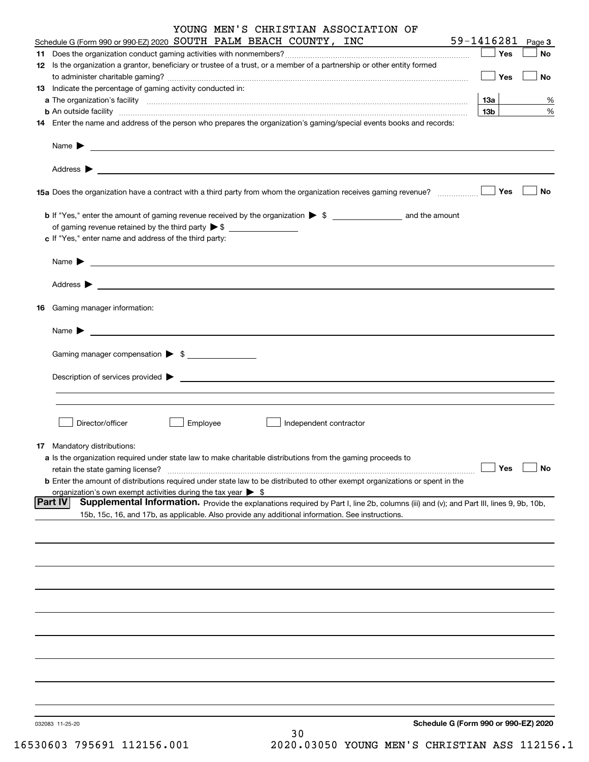|    | YOUNG MEN'S CHRISTIAN ASSOCIATION OF                                                                                                                                                                                                                                                                                                                              | 59-1416281             |              |
|----|-------------------------------------------------------------------------------------------------------------------------------------------------------------------------------------------------------------------------------------------------------------------------------------------------------------------------------------------------------------------|------------------------|--------------|
|    | Schedule G (Form 990 or 990-EZ) 2020 SOUTH PALM BEACH COUNTY, INC                                                                                                                                                                                                                                                                                                 | Yes                    | Page 3<br>No |
|    | 12 Is the organization a grantor, beneficiary or trustee of a trust, or a member of a partnership or other entity formed                                                                                                                                                                                                                                          |                        |              |
|    |                                                                                                                                                                                                                                                                                                                                                                   | Yes                    | No           |
|    | 13 Indicate the percentage of gaming activity conducted in:                                                                                                                                                                                                                                                                                                       |                        |              |
|    |                                                                                                                                                                                                                                                                                                                                                                   | 13а<br>13 <sub>b</sub> | %<br>%       |
|    | <b>b</b> An outside facility <i>www.communically.communically.communically.communically.communically.communically.communically.communically.communically.communically.communically.communically.communically.communically.communicall</i><br>14 Enter the name and address of the person who prepares the organization's gaming/special events books and records: |                        |              |
|    | Name $\blacktriangleright$                                                                                                                                                                                                                                                                                                                                        |                        |              |
|    | Address $\blacktriangleright$<br><u> 1989 - Johann Harry Harry Harry Harry Harry Harry Harry Harry Harry Harry Harry Harry Harry Harry Harry Harry</u>                                                                                                                                                                                                            |                        |              |
|    | 15a Does the organization have a contract with a third party from whom the organization receives gaming revenue?                                                                                                                                                                                                                                                  | Yes                    | <b>No</b>    |
|    | of gaming revenue retained by the third party $\triangleright$ \$ $\_\_\_\_\_\_\_\_\_\_\_\_\_\_\_\_\_\_\_\_\_\_\_\_\_\_$<br>c If "Yes," enter name and address of the third party:                                                                                                                                                                                |                        |              |
|    | Name $\blacktriangleright$<br><u> 1989 - Johann Stoff, amerikansk politiker (d. 1989)</u>                                                                                                                                                                                                                                                                         |                        |              |
|    | Address $\blacktriangleright$                                                                                                                                                                                                                                                                                                                                     |                        |              |
| 16 | <u>state and the state of the state of the state of the state of the state of the state of the state of the state of the state of the state of the state of the state of the state of the state of the state of the state of the</u><br>Gaming manager information:                                                                                               |                        |              |
|    |                                                                                                                                                                                                                                                                                                                                                                   |                        |              |
|    | Name $\triangleright$ $\underbrace{\phantom{aaaa}}$                                                                                                                                                                                                                                                                                                               |                        |              |
|    | Gaming manager compensation > \$                                                                                                                                                                                                                                                                                                                                  |                        |              |
|    |                                                                                                                                                                                                                                                                                                                                                                   |                        |              |
|    |                                                                                                                                                                                                                                                                                                                                                                   |                        |              |
|    | Director/officer<br>Employee<br>Independent contractor                                                                                                                                                                                                                                                                                                            |                        |              |
|    | <b>17</b> Mandatory distributions:                                                                                                                                                                                                                                                                                                                                |                        |              |
|    | a Is the organization required under state law to make charitable distributions from the gaming proceeds to                                                                                                                                                                                                                                                       | Yes                    | <b>No</b>    |
|    | retain the state gaming license?<br><b>b</b> Enter the amount of distributions required under state law to be distributed to other exempt organizations or spent in the                                                                                                                                                                                           |                        |              |
|    | organization's own exempt activities during the tax year $\triangleright$ \$                                                                                                                                                                                                                                                                                      |                        |              |
|    | Part IV<br>Supplemental Information. Provide the explanations required by Part I, line 2b, columns (iii) and (v); and Part III, lines 9, 9b, 10b,<br>15b, 15c, 16, and 17b, as applicable. Also provide any additional information. See instructions.                                                                                                             |                        |              |
|    |                                                                                                                                                                                                                                                                                                                                                                   |                        |              |
|    |                                                                                                                                                                                                                                                                                                                                                                   |                        |              |
|    |                                                                                                                                                                                                                                                                                                                                                                   |                        |              |
|    |                                                                                                                                                                                                                                                                                                                                                                   |                        |              |
|    |                                                                                                                                                                                                                                                                                                                                                                   |                        |              |
|    |                                                                                                                                                                                                                                                                                                                                                                   |                        |              |
|    |                                                                                                                                                                                                                                                                                                                                                                   |                        |              |
|    |                                                                                                                                                                                                                                                                                                                                                                   |                        |              |
|    | Schedule G (Form 990 or 990-EZ) 2020                                                                                                                                                                                                                                                                                                                              |                        |              |
|    | 032083 11-25-20<br>30                                                                                                                                                                                                                                                                                                                                             |                        |              |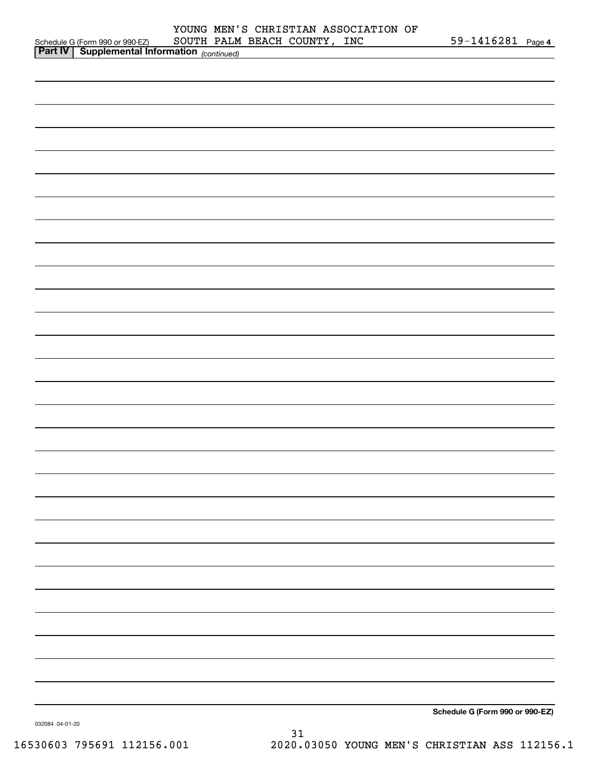|                                                                                                                     |  |  | 59-1416281 Page 4               |  |
|---------------------------------------------------------------------------------------------------------------------|--|--|---------------------------------|--|
| Schedule G (Form 990 or 990-EZ) SOUTH PALM BEACH COUNTY, INC<br><b>Part IV</b> Supplemental Information (continued) |  |  |                                 |  |
|                                                                                                                     |  |  |                                 |  |
|                                                                                                                     |  |  |                                 |  |
|                                                                                                                     |  |  |                                 |  |
|                                                                                                                     |  |  |                                 |  |
|                                                                                                                     |  |  |                                 |  |
|                                                                                                                     |  |  |                                 |  |
|                                                                                                                     |  |  |                                 |  |
|                                                                                                                     |  |  |                                 |  |
|                                                                                                                     |  |  |                                 |  |
|                                                                                                                     |  |  |                                 |  |
|                                                                                                                     |  |  |                                 |  |
|                                                                                                                     |  |  |                                 |  |
|                                                                                                                     |  |  |                                 |  |
|                                                                                                                     |  |  |                                 |  |
|                                                                                                                     |  |  |                                 |  |
|                                                                                                                     |  |  |                                 |  |
|                                                                                                                     |  |  |                                 |  |
|                                                                                                                     |  |  |                                 |  |
|                                                                                                                     |  |  |                                 |  |
|                                                                                                                     |  |  |                                 |  |
|                                                                                                                     |  |  |                                 |  |
|                                                                                                                     |  |  |                                 |  |
|                                                                                                                     |  |  |                                 |  |
|                                                                                                                     |  |  |                                 |  |
|                                                                                                                     |  |  |                                 |  |
|                                                                                                                     |  |  |                                 |  |
|                                                                                                                     |  |  |                                 |  |
|                                                                                                                     |  |  |                                 |  |
|                                                                                                                     |  |  |                                 |  |
|                                                                                                                     |  |  |                                 |  |
|                                                                                                                     |  |  |                                 |  |
|                                                                                                                     |  |  |                                 |  |
|                                                                                                                     |  |  |                                 |  |
|                                                                                                                     |  |  |                                 |  |
|                                                                                                                     |  |  |                                 |  |
|                                                                                                                     |  |  |                                 |  |
|                                                                                                                     |  |  |                                 |  |
|                                                                                                                     |  |  |                                 |  |
|                                                                                                                     |  |  |                                 |  |
|                                                                                                                     |  |  |                                 |  |
|                                                                                                                     |  |  |                                 |  |
|                                                                                                                     |  |  |                                 |  |
|                                                                                                                     |  |  |                                 |  |
|                                                                                                                     |  |  |                                 |  |
|                                                                                                                     |  |  |                                 |  |
|                                                                                                                     |  |  |                                 |  |
|                                                                                                                     |  |  |                                 |  |
|                                                                                                                     |  |  |                                 |  |
|                                                                                                                     |  |  |                                 |  |
|                                                                                                                     |  |  |                                 |  |
|                                                                                                                     |  |  |                                 |  |
|                                                                                                                     |  |  |                                 |  |
|                                                                                                                     |  |  |                                 |  |
|                                                                                                                     |  |  |                                 |  |
|                                                                                                                     |  |  |                                 |  |
|                                                                                                                     |  |  |                                 |  |
|                                                                                                                     |  |  |                                 |  |
|                                                                                                                     |  |  |                                 |  |
|                                                                                                                     |  |  |                                 |  |
|                                                                                                                     |  |  |                                 |  |
|                                                                                                                     |  |  | Schedule C (Form 990 or 990-F7) |  |

**Schedule G (Form 990 or 990-EZ)**

032084 04-01-20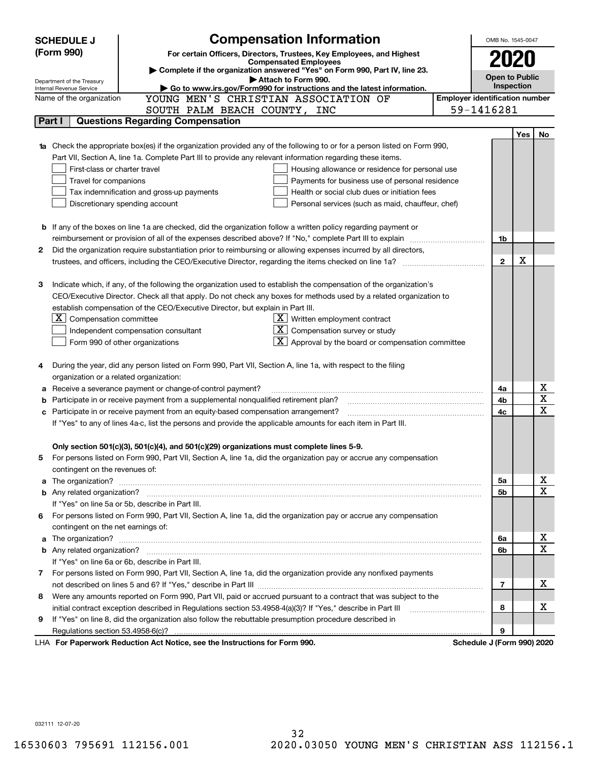|    | <b>Compensation Information</b><br><b>SCHEDULE J</b>                                                                                                                                                                                 |                                                   |                                       | OMB No. 1545-0047          |            |                         |
|----|--------------------------------------------------------------------------------------------------------------------------------------------------------------------------------------------------------------------------------------|---------------------------------------------------|---------------------------------------|----------------------------|------------|-------------------------|
|    | (Form 990)<br>For certain Officers, Directors, Trustees, Key Employees, and Highest                                                                                                                                                  |                                                   |                                       |                            |            |                         |
|    | <b>Compensated Employees</b>                                                                                                                                                                                                         |                                                   |                                       |                            |            |                         |
|    | Complete if the organization answered "Yes" on Form 990, Part IV, line 23.<br>Attach to Form 990.                                                                                                                                    |                                                   |                                       | <b>Open to Public</b>      |            |                         |
|    | Department of the Treasury<br>Go to www.irs.gov/Form990 for instructions and the latest information.<br>Internal Revenue Service                                                                                                     |                                                   |                                       | Inspection                 |            |                         |
|    | YOUNG MEN'S CHRISTIAN ASSOCIATION OF<br>Name of the organization                                                                                                                                                                     |                                                   | <b>Employer identification number</b> |                            |            |                         |
|    | SOUTH PALM BEACH COUNTY, INC                                                                                                                                                                                                         |                                                   |                                       | 59-1416281                 |            |                         |
|    | <b>Questions Regarding Compensation</b><br>Part I                                                                                                                                                                                    |                                                   |                                       |                            |            |                         |
|    |                                                                                                                                                                                                                                      |                                                   |                                       |                            | <b>Yes</b> | No                      |
|    | <b>1a</b> Check the appropriate box(es) if the organization provided any of the following to or for a person listed on Form 990,                                                                                                     |                                                   |                                       |                            |            |                         |
|    | Part VII, Section A, line 1a. Complete Part III to provide any relevant information regarding these items.                                                                                                                           |                                                   |                                       |                            |            |                         |
|    | First-class or charter travel                                                                                                                                                                                                        | Housing allowance or residence for personal use   |                                       |                            |            |                         |
|    | Travel for companions                                                                                                                                                                                                                | Payments for business use of personal residence   |                                       |                            |            |                         |
|    | Tax indemnification and gross-up payments                                                                                                                                                                                            | Health or social club dues or initiation fees     |                                       |                            |            |                         |
|    | Discretionary spending account                                                                                                                                                                                                       | Personal services (such as maid, chauffeur, chef) |                                       |                            |            |                         |
|    |                                                                                                                                                                                                                                      |                                                   |                                       |                            |            |                         |
|    | <b>b</b> If any of the boxes on line 1a are checked, did the organization follow a written policy regarding payment or                                                                                                               |                                                   |                                       |                            |            |                         |
|    | reimbursement or provision of all of the expenses described above? If "No," complete Part III to explain                                                                                                                             |                                                   |                                       | 1b                         |            |                         |
| 2  | Did the organization require substantiation prior to reimbursing or allowing expenses incurred by all directors,                                                                                                                     |                                                   |                                       |                            |            |                         |
|    |                                                                                                                                                                                                                                      |                                                   |                                       | $\mathbf{2}$               | х          |                         |
|    |                                                                                                                                                                                                                                      |                                                   |                                       |                            |            |                         |
| з  | Indicate which, if any, of the following the organization used to establish the compensation of the organization's                                                                                                                   |                                                   |                                       |                            |            |                         |
|    | CEO/Executive Director. Check all that apply. Do not check any boxes for methods used by a related organization to                                                                                                                   |                                                   |                                       |                            |            |                         |
|    | establish compensation of the CEO/Executive Director, but explain in Part III.                                                                                                                                                       |                                                   |                                       |                            |            |                         |
|    | $X$ Written employment contract<br>ΧI<br>Compensation committee                                                                                                                                                                      |                                                   |                                       |                            |            |                         |
|    | Independent compensation consultant                                                                                                                                                                                                  | Compensation survey or study                      |                                       |                            |            |                         |
|    | Form 990 of other organizations                                                                                                                                                                                                      | Approval by the board or compensation committee   |                                       |                            |            |                         |
|    |                                                                                                                                                                                                                                      |                                                   |                                       |                            |            |                         |
|    | During the year, did any person listed on Form 990, Part VII, Section A, line 1a, with respect to the filing                                                                                                                         |                                                   |                                       |                            |            |                         |
|    | organization or a related organization:                                                                                                                                                                                              |                                                   |                                       |                            |            |                         |
|    | Receive a severance payment or change-of-control payment?                                                                                                                                                                            |                                                   |                                       | 4a                         |            | x                       |
|    | Participate in or receive payment from a supplemental nonqualified retirement plan?                                                                                                                                                  |                                                   |                                       | 4b                         |            | $\overline{\mathbf{x}}$ |
| с  | Participate in or receive payment from an equity-based compensation arrangement?                                                                                                                                                     |                                                   |                                       | 4c                         |            | $\overline{\text{x}}$   |
|    | If "Yes" to any of lines 4a-c, list the persons and provide the applicable amounts for each item in Part III.                                                                                                                        |                                                   |                                       |                            |            |                         |
|    |                                                                                                                                                                                                                                      |                                                   |                                       |                            |            |                         |
|    | Only section 501(c)(3), 501(c)(4), and 501(c)(29) organizations must complete lines 5-9.                                                                                                                                             |                                                   |                                       |                            |            |                         |
| 5. | For persons listed on Form 990, Part VII, Section A, line 1a, did the organization pay or accrue any compensation                                                                                                                    |                                                   |                                       |                            |            |                         |
|    | contingent on the revenues of:                                                                                                                                                                                                       |                                                   |                                       |                            |            |                         |
|    | a The organization? <b>Entitled Strategies and Strategies and Strategies and Strategies and Strategies and Strategies and Strategies and Strategies and Strategies and Strategies and Strategies and Strategies and Strategies a</b> |                                                   |                                       | 5a                         |            | <u>x</u>                |
|    |                                                                                                                                                                                                                                      |                                                   |                                       | 5b                         |            | $\overline{\mathbf{x}}$ |
|    | If "Yes" on line 5a or 5b, describe in Part III.                                                                                                                                                                                     |                                                   |                                       |                            |            |                         |
| 6. | For persons listed on Form 990, Part VII, Section A, line 1a, did the organization pay or accrue any compensation                                                                                                                    |                                                   |                                       |                            |            |                         |
|    | contingent on the net earnings of:                                                                                                                                                                                                   |                                                   |                                       |                            |            |                         |
|    |                                                                                                                                                                                                                                      |                                                   |                                       | 6a                         |            | <u>x</u>                |
|    |                                                                                                                                                                                                                                      |                                                   |                                       | 6b                         |            | $\overline{\mathbf{x}}$ |
|    | If "Yes" on line 6a or 6b, describe in Part III.                                                                                                                                                                                     |                                                   |                                       |                            |            |                         |
|    | 7 For persons listed on Form 990, Part VII, Section A, line 1a, did the organization provide any nonfixed payments                                                                                                                   |                                                   |                                       |                            |            |                         |
|    |                                                                                                                                                                                                                                      |                                                   |                                       | 7                          |            | х                       |
| 8  | Were any amounts reported on Form 990, Part VII, paid or accrued pursuant to a contract that was subject to the                                                                                                                      |                                                   |                                       |                            |            |                         |
|    |                                                                                                                                                                                                                                      |                                                   |                                       | 8                          |            | х                       |
| 9  | If "Yes" on line 8, did the organization also follow the rebuttable presumption procedure described in                                                                                                                               |                                                   |                                       |                            |            |                         |
|    |                                                                                                                                                                                                                                      |                                                   |                                       | 9                          |            |                         |
|    | LHA For Paperwork Reduction Act Notice, see the Instructions for Form 990.                                                                                                                                                           |                                                   |                                       | Schedule J (Form 990) 2020 |            |                         |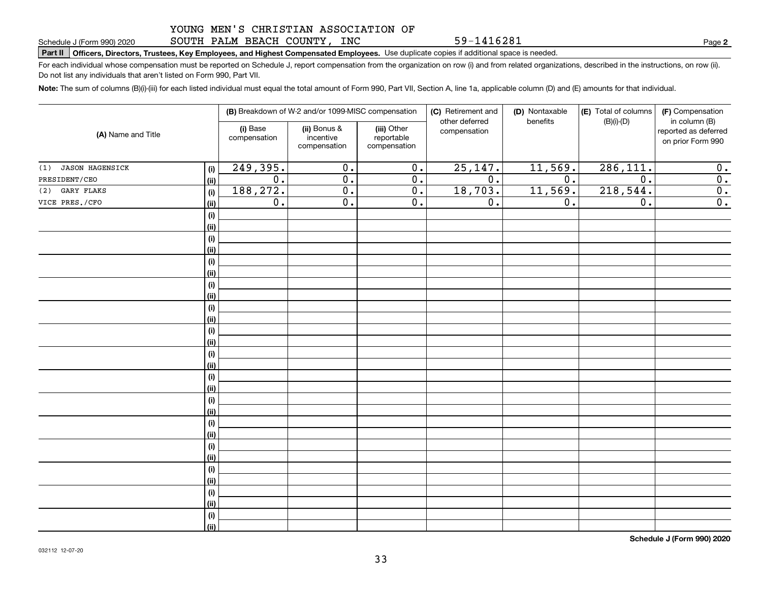#### YOUNG MEN'S CHRISTIAN ASSOCIATION OF SOUTH PALM BEACH COUNTY, INC

59-1416281

**2**

# **Part II Officers, Directors, Trustees, Key Employees, and Highest Compensated Employees.**  Schedule J (Form 990) 2020 Page Use duplicate copies if additional space is needed.

For each individual whose compensation must be reported on Schedule J, report compensation from the organization on row (i) and from related organizations, described in the instructions, on row (ii). Do not list any individuals that aren't listed on Form 990, Part VII.

**Note:**  The sum of columns (B)(i)-(iii) for each listed individual must equal the total amount of Form 990, Part VII, Section A, line 1a, applicable column (D) and (E) amounts for that individual.

| (A) Name and Title            |             |                          | (B) Breakdown of W-2 and/or 1099-MISC compensation |                                           | (C) Retirement and<br>other deferred | (D) Nontaxable<br>benefits | (E) Total of columns<br>$(B)(i)-(D)$ | (F) Compensation<br>in column (B)         |
|-------------------------------|-------------|--------------------------|----------------------------------------------------|-------------------------------------------|--------------------------------------|----------------------------|--------------------------------------|-------------------------------------------|
|                               |             | (i) Base<br>compensation | (ii) Bonus &<br>incentive<br>compensation          | (iii) Other<br>reportable<br>compensation | compensation                         |                            |                                      | reported as deferred<br>on prior Form 990 |
| <b>JASON HAGENSICK</b><br>(1) | (i)         | 249,395.                 | $\overline{0}$ .                                   | $\overline{0}$ .                          | 25, 147.                             | 11,569.                    | 286, 111.                            | 0.                                        |
| PRESIDENT/CEO                 | (ii)        | $\overline{0}$ .         | $\overline{0}$ .                                   | $\overline{0}$ .                          | $\overline{0}$ .                     | $\overline{0}$ .           | $\overline{0}$ .                     | $\overline{0}$ .                          |
| GARY FLAKS<br>(2)             | (i)         | 188,272.                 | $\overline{0}$ .                                   | $\overline{0}$ .                          | 18,703.                              | 11,569.                    | 218,544.                             | $\overline{0}$ .                          |
| VICE PRES./CFO                | (ii)        | $\overline{0}$ .         | $\overline{0}$ .                                   | $\overline{0}$ .                          | $\overline{0}$ .                     | $\overline{0}$ .           | $\overline{0}$ .                     | $\overline{0}$ .                          |
|                               | (i)         |                          |                                                    |                                           |                                      |                            |                                      |                                           |
|                               | (ii)        |                          |                                                    |                                           |                                      |                            |                                      |                                           |
|                               | (i)         |                          |                                                    |                                           |                                      |                            |                                      |                                           |
|                               | (ii)        |                          |                                                    |                                           |                                      |                            |                                      |                                           |
|                               | (i)         |                          |                                                    |                                           |                                      |                            |                                      |                                           |
|                               | (ii)        |                          |                                                    |                                           |                                      |                            |                                      |                                           |
|                               | (i)         |                          |                                                    |                                           |                                      |                            |                                      |                                           |
|                               | (ii)        |                          |                                                    |                                           |                                      |                            |                                      |                                           |
|                               | (i)         |                          |                                                    |                                           |                                      |                            |                                      |                                           |
|                               | (ii)        |                          |                                                    |                                           |                                      |                            |                                      |                                           |
|                               | (i)         |                          |                                                    |                                           |                                      |                            |                                      |                                           |
|                               | (ii)        |                          |                                                    |                                           |                                      |                            |                                      |                                           |
|                               | (i)         |                          |                                                    |                                           |                                      |                            |                                      |                                           |
|                               | (ii)        |                          |                                                    |                                           |                                      |                            |                                      |                                           |
|                               | (i)<br>(ii) |                          |                                                    |                                           |                                      |                            |                                      |                                           |
|                               | (i)         |                          |                                                    |                                           |                                      |                            |                                      |                                           |
|                               | (ii)        |                          |                                                    |                                           |                                      |                            |                                      |                                           |
|                               | (i)         |                          |                                                    |                                           |                                      |                            |                                      |                                           |
|                               | (ii)        |                          |                                                    |                                           |                                      |                            |                                      |                                           |
|                               | (i)         |                          |                                                    |                                           |                                      |                            |                                      |                                           |
|                               | (ii)        |                          |                                                    |                                           |                                      |                            |                                      |                                           |
|                               | (i)         |                          |                                                    |                                           |                                      |                            |                                      |                                           |
|                               | (ii)        |                          |                                                    |                                           |                                      |                            |                                      |                                           |
|                               | (i)         |                          |                                                    |                                           |                                      |                            |                                      |                                           |
|                               | (ii)        |                          |                                                    |                                           |                                      |                            |                                      |                                           |
|                               | (i)         |                          |                                                    |                                           |                                      |                            |                                      |                                           |
|                               | (ii)        |                          |                                                    |                                           |                                      |                            |                                      |                                           |

**Schedule J (Form 990) 2020**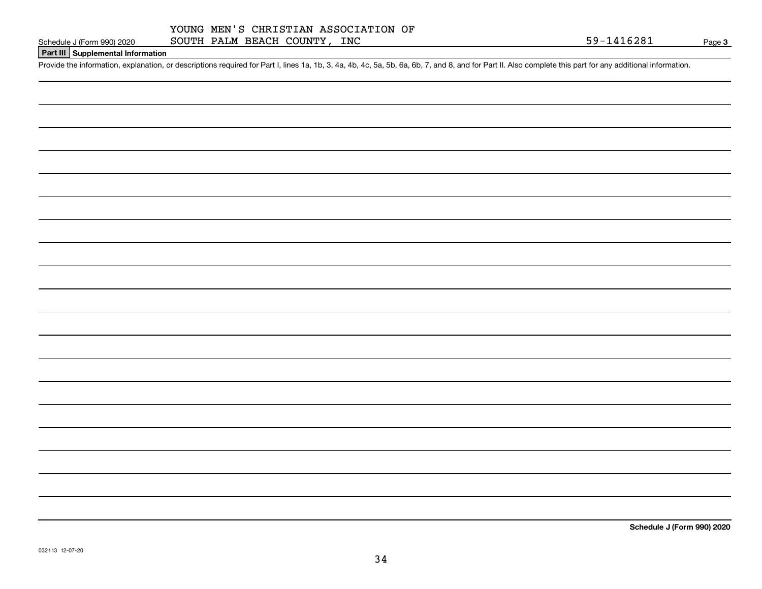# **Part III Supplemental Information**

Schedule J (Form 990) 2020 SOUTH PALM BEACH COUNTY, INC<br>Part III Supplemental Information<br>Provide the information, explanation, or descriptions required for Part I, lines 1a, 1b, 3, 4a, 4b, 4c, 5a, 5b, 6a, 6b, 7, and 8, an

**Schedule J (Form 990) 2020**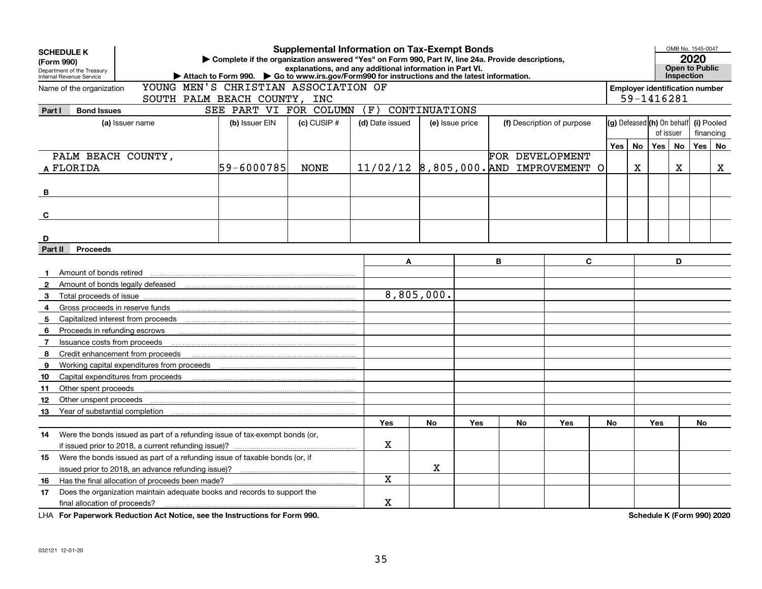| <b>Supplemental Information on Tax-Exempt Bonds</b><br><b>SCHEDULE K</b><br>Complete if the organization answered "Yes" on Form 990, Part IV, line 24a. Provide descriptions,<br>(Form 990)<br>explanations, and any additional information in Part VI.<br>Department of the Treasury<br>Attach to Form 990. Co to www.irs.gov/Form990 for instructions and the latest information.<br>Internal Revenue Service |                                                    |                                                                             |                                                                      |                 |                 |               |                 |   |           |                                       |       | Inspection | OMB No. 1545-0047<br>2020<br><b>Open to Public</b> |                                                     |            |    |
|-----------------------------------------------------------------------------------------------------------------------------------------------------------------------------------------------------------------------------------------------------------------------------------------------------------------------------------------------------------------------------------------------------------------|----------------------------------------------------|-----------------------------------------------------------------------------|----------------------------------------------------------------------|-----------------|-----------------|---------------|-----------------|---|-----------|---------------------------------------|-------|------------|----------------------------------------------------|-----------------------------------------------------|------------|----|
|                                                                                                                                                                                                                                                                                                                                                                                                                 | Name of the organization                           |                                                                             | YOUNG MEN'S CHRISTIAN ASSOCIATION OF<br>SOUTH PALM BEACH COUNTY, INC |                 |                 |               |                 |   |           |                                       |       |            |                                                    | <b>Employer identification number</b><br>59-1416281 |            |    |
| Part I                                                                                                                                                                                                                                                                                                                                                                                                          | <b>Bond Issues</b>                                 |                                                                             | SEE PART VI FOR COLUMN                                               |                 | (F)             | CONTINUATIONS |                 |   |           |                                       |       |            |                                                    |                                                     |            |    |
|                                                                                                                                                                                                                                                                                                                                                                                                                 |                                                    | (a) Issuer name                                                             | (b) Issuer EIN                                                       | $(c)$ CUSIP $#$ | (d) Date issued |               | (e) Issue price |   |           | (f) Description of purpose            |       |            | (g) Defeased (h) On behalf                         |                                                     | (i) Pooled |    |
|                                                                                                                                                                                                                                                                                                                                                                                                                 |                                                    |                                                                             |                                                                      |                 |                 |               |                 |   |           |                                       |       |            | of issuer                                          |                                                     | financing  |    |
|                                                                                                                                                                                                                                                                                                                                                                                                                 |                                                    |                                                                             |                                                                      |                 |                 |               |                 |   |           |                                       | Yes l | <b>No</b>  | Yes                                                | No                                                  | Yes        | No |
|                                                                                                                                                                                                                                                                                                                                                                                                                 | PALM BEACH COUNTY,                                 |                                                                             |                                                                      |                 |                 |               |                 |   |           | FOR DEVELOPMENT                       |       |            |                                                    |                                                     |            |    |
|                                                                                                                                                                                                                                                                                                                                                                                                                 | A FLORIDA                                          |                                                                             | 59-6000785                                                           | <b>NONE</b>     |                 |               |                 |   |           | 11/02/12 8,805,000. AND IMPROVEMENT O |       | X          |                                                    | x                                                   |            | х  |
| В                                                                                                                                                                                                                                                                                                                                                                                                               |                                                    |                                                                             |                                                                      |                 |                 |               |                 |   |           |                                       |       |            |                                                    |                                                     |            |    |
| C                                                                                                                                                                                                                                                                                                                                                                                                               |                                                    |                                                                             |                                                                      |                 |                 |               |                 |   |           |                                       |       |            |                                                    |                                                     |            |    |
|                                                                                                                                                                                                                                                                                                                                                                                                                 |                                                    |                                                                             |                                                                      |                 |                 |               |                 |   |           |                                       |       |            |                                                    |                                                     |            |    |
| D<br>Part II                                                                                                                                                                                                                                                                                                                                                                                                    | <b>Proceeds</b>                                    |                                                                             |                                                                      |                 |                 |               |                 |   |           |                                       |       |            |                                                    |                                                     |            |    |
|                                                                                                                                                                                                                                                                                                                                                                                                                 |                                                    |                                                                             |                                                                      |                 | A               |               |                 | B |           | C                                     |       |            |                                                    | D                                                   |            |    |
| $\mathbf 1$                                                                                                                                                                                                                                                                                                                                                                                                     | Amount of bonds retired                            |                                                                             |                                                                      |                 |                 |               |                 |   |           |                                       |       |            |                                                    |                                                     |            |    |
| $\mathbf{2}$                                                                                                                                                                                                                                                                                                                                                                                                    | Amount of bonds legally defeased                   |                                                                             |                                                                      |                 |                 |               |                 |   |           |                                       |       |            |                                                    |                                                     |            |    |
| 3                                                                                                                                                                                                                                                                                                                                                                                                               | Total proceeds of issue                            |                                                                             |                                                                      |                 |                 | 8,805,000.    |                 |   |           |                                       |       |            |                                                    |                                                     |            |    |
| 4                                                                                                                                                                                                                                                                                                                                                                                                               |                                                    |                                                                             |                                                                      |                 |                 |               |                 |   |           |                                       |       |            |                                                    |                                                     |            |    |
| 5                                                                                                                                                                                                                                                                                                                                                                                                               |                                                    |                                                                             |                                                                      |                 |                 |               |                 |   |           |                                       |       |            |                                                    |                                                     |            |    |
| 6                                                                                                                                                                                                                                                                                                                                                                                                               | Proceeds in refunding escrows                      |                                                                             |                                                                      |                 |                 |               |                 |   |           |                                       |       |            |                                                    |                                                     |            |    |
| $\mathbf{7}$                                                                                                                                                                                                                                                                                                                                                                                                    | Issuance costs from proceeds                       |                                                                             |                                                                      |                 |                 |               |                 |   |           |                                       |       |            |                                                    |                                                     |            |    |
| 8                                                                                                                                                                                                                                                                                                                                                                                                               | Credit enhancement from proceeds                   |                                                                             |                                                                      |                 |                 |               |                 |   |           |                                       |       |            |                                                    |                                                     |            |    |
| 9                                                                                                                                                                                                                                                                                                                                                                                                               |                                                    | Working capital expenditures from proceeds                                  |                                                                      |                 |                 |               |                 |   |           |                                       |       |            |                                                    |                                                     |            |    |
| 10                                                                                                                                                                                                                                                                                                                                                                                                              |                                                    |                                                                             |                                                                      |                 |                 |               |                 |   |           |                                       |       |            |                                                    |                                                     |            |    |
| 11                                                                                                                                                                                                                                                                                                                                                                                                              | Other spent proceeds                               |                                                                             |                                                                      |                 |                 |               |                 |   |           |                                       |       |            |                                                    |                                                     |            |    |
| 12                                                                                                                                                                                                                                                                                                                                                                                                              | Other unspent proceeds                             |                                                                             |                                                                      |                 |                 |               |                 |   |           |                                       |       |            |                                                    |                                                     |            |    |
| 13                                                                                                                                                                                                                                                                                                                                                                                                              |                                                    |                                                                             |                                                                      |                 |                 |               |                 |   |           |                                       |       |            |                                                    |                                                     |            |    |
|                                                                                                                                                                                                                                                                                                                                                                                                                 |                                                    |                                                                             |                                                                      |                 | <b>Yes</b>      | No            | <b>Yes</b>      |   | <b>No</b> | Yes                                   | No    |            | <b>Yes</b>                                         |                                                     | No         |    |
| 14                                                                                                                                                                                                                                                                                                                                                                                                              |                                                    | Were the bonds issued as part of a refunding issue of tax-exempt bonds (or, |                                                                      |                 |                 |               |                 |   |           |                                       |       |            |                                                    |                                                     |            |    |
|                                                                                                                                                                                                                                                                                                                                                                                                                 |                                                    |                                                                             |                                                                      |                 | х               |               |                 |   |           |                                       |       |            |                                                    |                                                     |            |    |
| 15                                                                                                                                                                                                                                                                                                                                                                                                              |                                                    | Were the bonds issued as part of a refunding issue of taxable bonds (or, if |                                                                      |                 |                 |               |                 |   |           |                                       |       |            |                                                    |                                                     |            |    |
|                                                                                                                                                                                                                                                                                                                                                                                                                 | issued prior to 2018, an advance refunding issue)? |                                                                             |                                                                      |                 | $\mathbf X$     |               |                 |   |           |                                       |       |            |                                                    |                                                     |            |    |
| 16                                                                                                                                                                                                                                                                                                                                                                                                              | Has the final allocation of proceeds been made?    |                                                                             |                                                                      |                 | X               |               |                 |   |           |                                       |       |            |                                                    |                                                     |            |    |
| 17                                                                                                                                                                                                                                                                                                                                                                                                              |                                                    | Does the organization maintain adequate books and records to support the    |                                                                      |                 |                 |               |                 |   |           |                                       |       |            |                                                    |                                                     |            |    |
|                                                                                                                                                                                                                                                                                                                                                                                                                 | final allocation of proceeds?                      |                                                                             |                                                                      |                 | X               |               |                 |   |           |                                       |       |            |                                                    |                                                     |            |    |

**For Paperwork Reduction Act Notice, see the Instructions for Form 990. Schedule K (Form 990) 2020** LHA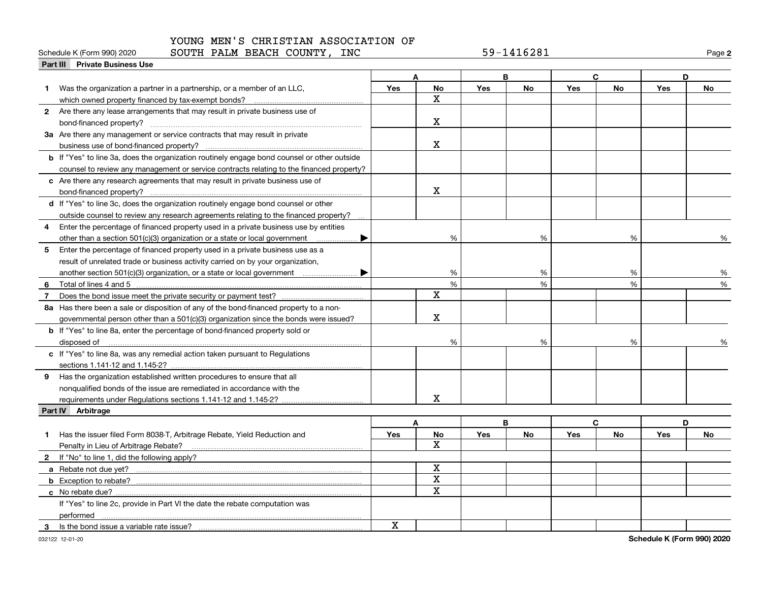# **Part III Private Business Use**<br>**Part III Private Business Use**

# YOUNG MEN'S CHRISTIAN ASSOCIATION OF

#### Schedule K (Form 990) 2020 **SOUTH PALM BEACH COUNTY, INC** 59-1416281 Page

|    | Part III Private Business Use                                                                      |             |                         |            |           |            |           |            |           |
|----|----------------------------------------------------------------------------------------------------|-------------|-------------------------|------------|-----------|------------|-----------|------------|-----------|
|    |                                                                                                    |             | A                       |            | B         |            | C.        |            | D         |
|    | Was the organization a partner in a partnership, or a member of an LLC,                            | <b>Yes</b>  | No                      | <b>Yes</b> | <b>No</b> | <b>Yes</b> | <b>No</b> | <b>Yes</b> | No        |
|    |                                                                                                    |             | $\mathbf x$             |            |           |            |           |            |           |
|    | 2 Are there any lease arrangements that may result in private business use of                      |             |                         |            |           |            |           |            |           |
|    |                                                                                                    |             | X                       |            |           |            |           |            |           |
|    | 3a Are there any management or service contracts that may result in private                        |             |                         |            |           |            |           |            |           |
|    |                                                                                                    |             | $\mathbf X$             |            |           |            |           |            |           |
|    | <b>b</b> If "Yes" to line 3a, does the organization routinely engage bond counsel or other outside |             |                         |            |           |            |           |            |           |
|    | counsel to review any management or service contracts relating to the financed property?           |             |                         |            |           |            |           |            |           |
|    | c Are there any research agreements that may result in private business use of                     |             |                         |            |           |            |           |            |           |
|    |                                                                                                    |             | $\mathbf X$             |            |           |            |           |            |           |
|    | d If "Yes" to line 3c, does the organization routinely engage bond counsel or other                |             |                         |            |           |            |           |            |           |
|    | outside counsel to review any research agreements relating to the financed property?               |             |                         |            |           |            |           |            |           |
|    | 4 Enter the percentage of financed property used in a private business use by entities             |             |                         |            |           |            |           |            |           |
|    |                                                                                                    |             | %                       |            | %         |            | %         |            | %         |
| 5  | Enter the percentage of financed property used in a private business use as a                      |             |                         |            |           |            |           |            |           |
|    | result of unrelated trade or business activity carried on by your organization,                    |             |                         |            |           |            |           |            |           |
|    |                                                                                                    |             | %                       |            | %         |            | %         |            | %         |
| 6  |                                                                                                    |             | $\%$                    |            | %         |            | %         |            | %         |
| 7  | Does the bond issue meet the private security or payment test?                                     |             | $\overline{\mathbf{x}}$ |            |           |            |           |            |           |
|    | 8a Has there been a sale or disposition of any of the bond-financed property to a non-             |             |                         |            |           |            |           |            |           |
|    | governmental person other than a 501(c)(3) organization since the bonds were issued?               |             | X                       |            |           |            |           |            |           |
|    | <b>b</b> If "Yes" to line 8a, enter the percentage of bond-financed property sold or               |             |                         |            |           |            |           |            |           |
|    | disposed of                                                                                        |             | %                       |            | %         |            | %         |            |           |
|    | c If "Yes" to line 8a, was any remedial action taken pursuant to Regulations                       |             |                         |            |           |            |           |            |           |
|    |                                                                                                    |             |                         |            |           |            |           |            |           |
|    | 9 Has the organization established written procedures to ensure that all                           |             |                         |            |           |            |           |            |           |
|    | nonqualified bonds of the issue are remediated in accordance with the                              |             |                         |            |           |            |           |            |           |
|    |                                                                                                    |             | X                       |            |           |            |           |            |           |
|    | Part IV Arbitrage                                                                                  |             |                         |            |           |            |           |            |           |
|    |                                                                                                    |             | A                       |            | B         |            | C         |            | D         |
| 1. | Has the issuer filed Form 8038-T, Arbitrage Rebate, Yield Reduction and                            | Yes         | <b>No</b>               | Yes        | <b>No</b> | Yes        | <b>No</b> | Yes        | <b>No</b> |
|    | Penalty in Lieu of Arbitrage Rebate?                                                               |             | x                       |            |           |            |           |            |           |
|    | 2 If "No" to line 1, did the following apply?                                                      |             |                         |            |           |            |           |            |           |
|    |                                                                                                    |             | $\mathbf X$             |            |           |            |           |            |           |
|    |                                                                                                    |             | $\overline{\mathbf{x}}$ |            |           |            |           |            |           |
|    |                                                                                                    |             | $\mathbf X$             |            |           |            |           |            |           |
|    | If "Yes" to line 2c, provide in Part VI the date the rebate computation was                        |             |                         |            |           |            |           |            |           |
|    | performed                                                                                          |             |                         |            |           |            |           |            |           |
| 3  | Is the bond issue a variable rate issue?                                                           | $\mathbf X$ |                         |            |           |            |           |            |           |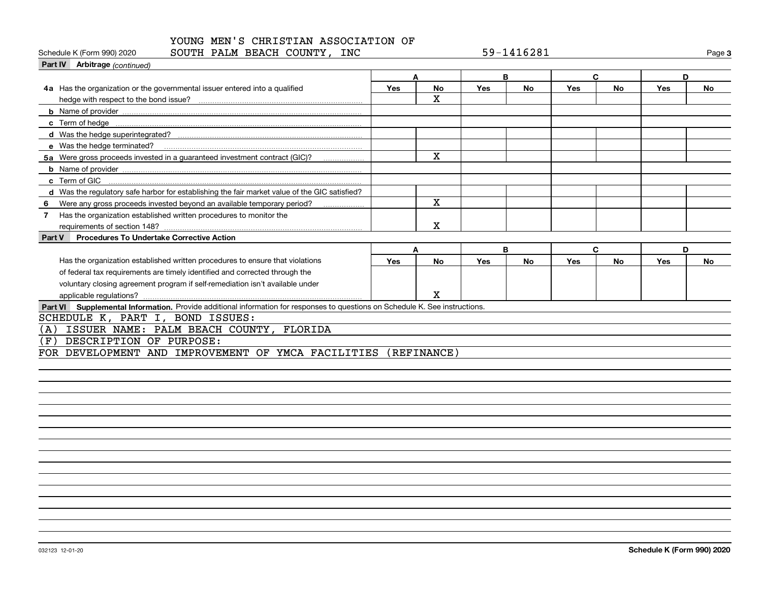Schedule K (Form 990) 2020 **SOUTH PALM BEACH COUNTY, INC** 59-1416281 Page

**3**

| <b>Part IV</b> Arbitrage (continued)                                                                                         |            |            |     |           |     |           |            |           |
|------------------------------------------------------------------------------------------------------------------------------|------------|------------|-----|-----------|-----|-----------|------------|-----------|
|                                                                                                                              | A          |            |     | B         |     | C         |            | D         |
| 4a Has the organization or the governmental issuer entered into a qualified                                                  | <b>Yes</b> | No         | Yes | No        | Yes | No        | <b>Yes</b> | No        |
|                                                                                                                              |            | X          |     |           |     |           |            |           |
|                                                                                                                              |            |            |     |           |     |           |            |           |
|                                                                                                                              |            |            |     |           |     |           |            |           |
|                                                                                                                              |            |            |     |           |     |           |            |           |
| e Was the hedge terminated?                                                                                                  |            |            |     |           |     |           |            |           |
| 5a Were gross proceeds invested in a guaranteed investment contract (GIC)?                                                   |            | X          |     |           |     |           |            |           |
|                                                                                                                              |            |            |     |           |     |           |            |           |
| c Term of GIC                                                                                                                |            |            |     |           |     |           |            |           |
| d Was the regulatory safe harbor for establishing the fair market value of the GIC satisfied?                                |            |            |     |           |     |           |            |           |
| Were any gross proceeds invested beyond an available temporary period?<br>6                                                  |            | X.         |     |           |     |           |            |           |
| Has the organization established written procedures to monitor the<br>7                                                      |            |            |     |           |     |           |            |           |
|                                                                                                                              |            | х          |     |           |     |           |            |           |
| <b>Procedures To Undertake Corrective Action</b><br>Part V                                                                   |            |            |     |           |     |           |            |           |
|                                                                                                                              | A          |            |     | B         |     | C         |            | D         |
| Has the organization established written procedures to ensure that violations                                                | Yes        | <b>No</b>  | Yes | <b>No</b> | Yes | <b>No</b> | Yes        | <b>No</b> |
| of federal tax requirements are timely identified and corrected through the                                                  |            |            |     |           |     |           |            |           |
| voluntary closing agreement program if self-remediation isn't available under                                                |            |            |     |           |     |           |            |           |
|                                                                                                                              |            | x          |     |           |     |           |            |           |
| Part VI Supplemental Information. Provide additional information for responses to questions on Schedule K. See instructions. |            |            |     |           |     |           |            |           |
| SCHEDULE K, PART I, BOND ISSUES:                                                                                             |            |            |     |           |     |           |            |           |
| ISSUER NAME: PALM BEACH COUNTY, FLORIDA<br>(A                                                                                |            |            |     |           |     |           |            |           |
| DESCRIPTION OF PURPOSE:<br>(F                                                                                                |            |            |     |           |     |           |            |           |
| FOR DEVELOPMENT AND IMPROVEMENT OF YMCA FACILITIES                                                                           |            | (REFTNAME) |     |           |     |           |            |           |
|                                                                                                                              |            |            |     |           |     |           |            |           |
|                                                                                                                              |            |            |     |           |     |           |            |           |
|                                                                                                                              |            |            |     |           |     |           |            |           |
|                                                                                                                              |            |            |     |           |     |           |            |           |
|                                                                                                                              |            |            |     |           |     |           |            |           |
|                                                                                                                              |            |            |     |           |     |           |            |           |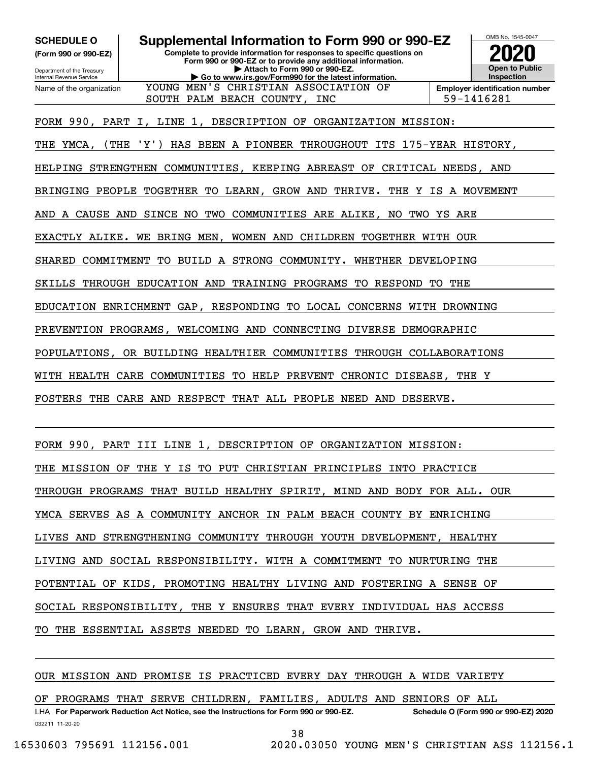**(Form 990 or 990-EZ)**

Department of the Treasury Internal Revenue Service Name of the organization

# **SCHEDULE O Supplemental Information to Form 990 or 990-EZ**

**Complete to provide information for responses to specific questions on Form 990 or 990-EZ or to provide any additional information. | Attach to Form 990 or 990-EZ. | Go to www.irs.gov/Form990 for the latest information.**

SOUTH PALM BEACH COUNTY, INC  $|59-1416281$ 



FORM 990, PART I, LINE 1, DESCRIPTION OF ORGANIZATION MISSION:

THE YMCA, (THE 'Y') HAS BEEN A PIONEER THROUGHOUT ITS 175-YEAR HISTORY,

YOUNG MEN'S CHRISTIAN ASSOCIATION OF

HELPING STRENGTHEN COMMUNITIES, KEEPING ABREAST OF CRITICAL NEEDS, AND

BRINGING PEOPLE TOGETHER TO LEARN, GROW AND THRIVE. THE Y IS A MOVEMENT

AND A CAUSE AND SINCE NO TWO COMMUNITIES ARE ALIKE, NO TWO YS ARE

EXACTLY ALIKE. WE BRING MEN, WOMEN AND CHILDREN TOGETHER WITH OUR

SHARED COMMITMENT TO BUILD A STRONG COMMUNITY. WHETHER DEVELOPING

SKILLS THROUGH EDUCATION AND TRAINING PROGRAMS TO RESPOND TO THE

EDUCATION ENRICHMENT GAP, RESPONDING TO LOCAL CONCERNS WITH DROWNING

PREVENTION PROGRAMS, WELCOMING AND CONNECTING DIVERSE DEMOGRAPHIC

POPULATIONS, OR BUILDING HEALTHIER COMMUNITIES THROUGH COLLABORATIONS

WITH HEALTH CARE COMMUNITIES TO HELP PREVENT CHRONIC DISEASE, THE Y

FOSTERS THE CARE AND RESPECT THAT ALL PEOPLE NEED AND DESERVE.

FORM 990, PART III LINE 1, DESCRIPTION OF ORGANIZATION MISSION: THE MISSION OF THE Y IS TO PUT CHRISTIAN PRINCIPLES INTO PRACTICE THROUGH PROGRAMS THAT BUILD HEALTHY SPIRIT, MIND AND BODY FOR ALL. OUR YMCA SERVES AS A COMMUNITY ANCHOR IN PALM BEACH COUNTY BY ENRICHING LIVES AND STRENGTHENING COMMUNITY THROUGH YOUTH DEVELOPMENT, HEALTHY LIVING AND SOCIAL RESPONSIBILITY. WITH A COMMITMENT TO NURTURING THE POTENTIAL OF KIDS, PROMOTING HEALTHY LIVING AND FOSTERING A SENSE OF SOCIAL RESPONSIBILITY, THE Y ENSURES THAT EVERY INDIVIDUAL HAS ACCESS TO THE ESSENTIAL ASSETS NEEDED TO LEARN, GROW AND THRIVE.

# OUR MISSION AND PROMISE IS PRACTICED EVERY DAY THROUGH A WIDE VARIETY

032211 11-20-20 LHA For Paperwork Reduction Act Notice, see the Instructions for Form 990 or 990-EZ. Schedule O (Form 990 or 990-EZ) 2020 OF PROGRAMS THAT SERVE CHILDREN, FAMILIES, ADULTS AND SENIORS OF ALL

38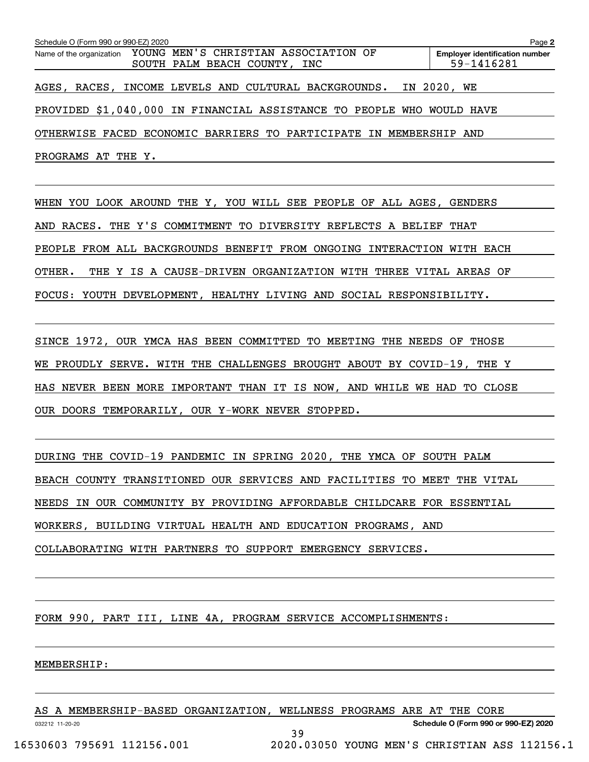| Schedule O (Form 990 or 990-EZ) 2020                                  |  |                              |  |                                                     | Page 2 |
|-----------------------------------------------------------------------|--|------------------------------|--|-----------------------------------------------------|--------|
| Name of the organization YOUNG MEN'S CHRISTIAN ASSOCIATION OF         |  | SOUTH PALM BEACH COUNTY, INC |  | <b>Employer identification number</b><br>59-1416281 |        |
| AGES, RACES, INCOME LEVELS AND CULTURAL BACKGROUNDS.                  |  |                              |  | IN 2020, WE                                         |        |
| PROVIDED \$1,040,000 IN FINANCIAL ASSISTANCE TO PEOPLE WHO WOULD HAVE |  |                              |  |                                                     |        |
| OTHERWISE FACED ECONOMIC BARRIERS TO PARTICIPATE IN MEMBERSHIP AND    |  |                              |  |                                                     |        |
| PROGRAMS AT THE Y.                                                    |  |                              |  |                                                     |        |

WHEN YOU LOOK AROUND THE Y, YOU WILL SEE PEOPLE OF ALL AGES, GENDERS AND RACES. THE Y'S COMMITMENT TO DIVERSITY REFLECTS A BELIEF THAT PEOPLE FROM ALL BACKGROUNDS BENEFIT FROM ONGOING INTERACTION WITH EACH OTHER. THE Y IS A CAUSE-DRIVEN ORGANIZATION WITH THREE VITAL AREAS OF FOCUS: YOUTH DEVELOPMENT, HEALTHY LIVING AND SOCIAL RESPONSIBILITY.

SINCE 1972, OUR YMCA HAS BEEN COMMITTED TO MEETING THE NEEDS OF THOSE WE PROUDLY SERVE. WITH THE CHALLENGES BROUGHT ABOUT BY COVID-19, THE Y HAS NEVER BEEN MORE IMPORTANT THAN IT IS NOW, AND WHILE WE HAD TO CLOSE OUR DOORS TEMPORARILY, OUR Y-WORK NEVER STOPPED.

DURING THE COVID-19 PANDEMIC IN SPRING 2020, THE YMCA OF SOUTH PALM BEACH COUNTY TRANSITIONED OUR SERVICES AND FACILITIES TO MEET THE VITAL NEEDS IN OUR COMMUNITY BY PROVIDING AFFORDABLE CHILDCARE FOR ESSENTIAL WORKERS, BUILDING VIRTUAL HEALTH AND EDUCATION PROGRAMS, AND COLLABORATING WITH PARTNERS TO SUPPORT EMERGENCY SERVICES.

FORM 990, PART III, LINE 4A, PROGRAM SERVICE ACCOMPLISHMENTS:

#### MEMBERSHIP:

|                            | AS A MEMBERSHIP-BASED ORGANIZATION, WELLNESS PROGRAMS ARE AT THE CORE |                                               |
|----------------------------|-----------------------------------------------------------------------|-----------------------------------------------|
| 032212 11-20-20            |                                                                       | Schedule O (Form 990 or 990-EZ) 2020          |
|                            |                                                                       |                                               |
| 16530603 795691 112156.001 |                                                                       | 2020.03050 YOUNG MEN'S CHRISTIAN ASS 112156.1 |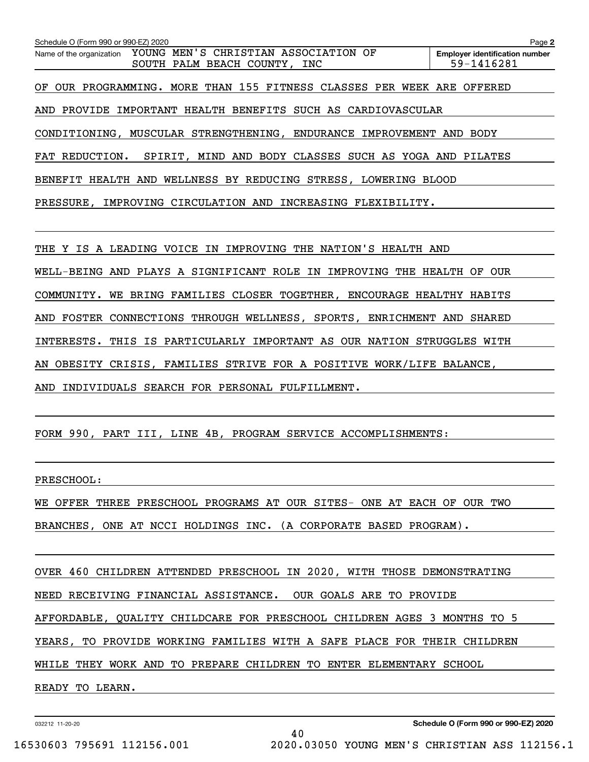| Schedule O (Form 990 or 990-EZ) 2020                                                             | Page 2                                              |
|--------------------------------------------------------------------------------------------------|-----------------------------------------------------|
| YOUNG MEN'S CHRISTIAN ASSOCIATION OF<br>Name of the organization<br>SOUTH PALM BEACH COUNTY, INC | <b>Employer identification number</b><br>59-1416281 |
| OF OUR PROGRAMMING. MORE THAN 155 FITNESS CLASSES PER WEEK ARE OFFERED                           |                                                     |
| AND PROVIDE IMPORTANT HEALTH BENEFITS SUCH AS CARDIOVASCULAR                                     |                                                     |
| CONDITIONING, MUSCULAR STRENGTHENING, ENDURANCE IMPROVEMENT AND BODY                             |                                                     |
| FAT REDUCTION. SPIRIT, MIND AND BODY CLASSES SUCH AS YOGA AND PILATES                            |                                                     |
| BENEFIT HEALTH AND WELLNESS BY REDUCING STRESS, LOWERING BLOOD                                   |                                                     |
| PRESSURE, IMPROVING CIRCULATION AND INCREASING FLEXIBILITY.                                      |                                                     |
|                                                                                                  |                                                     |
| THE Y IS A LEADING VOICE IN IMPROVING THE NATION'S HEALTH AND                                    |                                                     |
| WELL-BEING AND PLAYS A SIGNIFICANT ROLE IN IMPROVING THE HEALTH OF OUR                           |                                                     |
| COMMUNITY. WE BRING FAMILIES CLOSER TOGETHER, ENCOURAGE HEALTHY HABITS                           |                                                     |
| AND FOSTER CONNECTIONS THROUGH WELLNESS, SPORTS, ENRICHMENT AND SHARED                           |                                                     |
| INTERESTS. THIS IS PARTICULARLY IMPORTANT AS OUR NATION STRUGGLES WITH                           |                                                     |
| AN OBESITY CRISIS, FAMILIES STRIVE FOR A POSITIVE WORK/LIFE BALANCE,                             |                                                     |
|                                                                                                  |                                                     |

AND INDIVIDUALS SEARCH FOR PERSONAL FULFILLMENT.

FORM 990, PART III, LINE 4B, PROGRAM SERVICE ACCOMPLISHMENTS:

PRESCHOOL:

WE OFFER THREE PRESCHOOL PROGRAMS AT OUR SITES- ONE AT EACH OF OUR TWO

BRANCHES, ONE AT NCCI HOLDINGS INC. (A CORPORATE BASED PROGRAM).

OVER 460 CHILDREN ATTENDED PRESCHOOL IN 2020, WITH THOSE DEMONSTRATING NEED RECEIVING FINANCIAL ASSISTANCE. OUR GOALS ARE TO PROVIDE AFFORDABLE, QUALITY CHILDCARE FOR PRESCHOOL CHILDREN AGES 3 MONTHS TO 5 YEARS, TO PROVIDE WORKING FAMILIES WITH A SAFE PLACE FOR THEIR CHILDREN WHILE THEY WORK AND TO PREPARE CHILDREN TO ENTER ELEMENTARY SCHOOL READY TO LEARN.

40

032212 11-20-20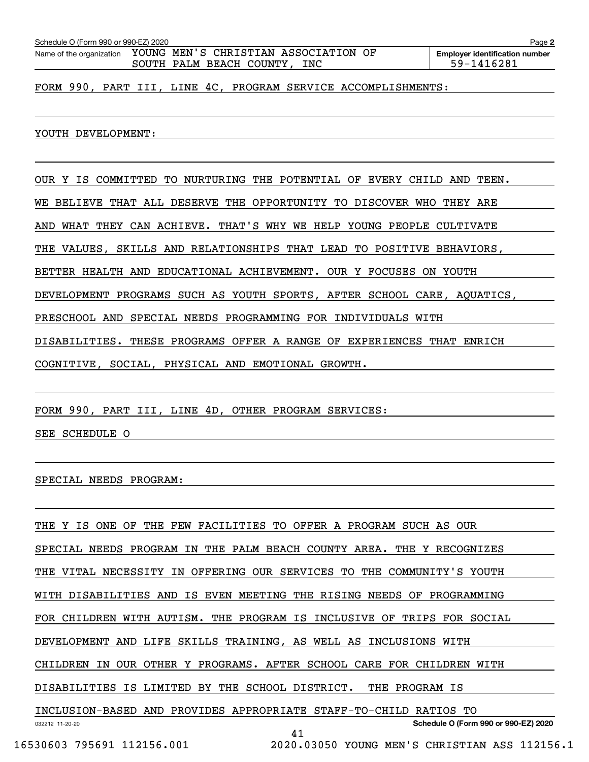| Name of the organization | YOUNG MEN'S CHRISTIAN ASSOCIATION OF<br>SOUTH PALM BEACH COUNTY, INC   | <b>Employer identification number</b><br>59-1416281 |
|--------------------------|------------------------------------------------------------------------|-----------------------------------------------------|
|                          |                                                                        |                                                     |
|                          | FORM 990, PART III, LINE 4C, PROGRAM SERVICE ACCOMPLISHMENTS:          |                                                     |
|                          |                                                                        |                                                     |
|                          |                                                                        |                                                     |
|                          |                                                                        |                                                     |
| YOUTH DEVELOPMENT:       |                                                                        |                                                     |
|                          |                                                                        |                                                     |
|                          |                                                                        |                                                     |
|                          | OUR Y IS COMMITTED TO NURTURING THE POTENTIAL OF EVERY CHILD AND TEEN. |                                                     |
|                          |                                                                        |                                                     |
| BELIEVE<br>WE.           | THAT ALL DESERVE THE OPPORTUNITY TO DISCOVER                           | WHO THEY ARE                                        |

**2**

AND WHAT THEY CAN ACHIEVE. THAT'S WHY WE HELP YOUNG PEOPLE CULTIVATE

THE VALUES, SKILLS AND RELATIONSHIPS THAT LEAD TO POSITIVE BEHAVIORS,

BETTER HEALTH AND EDUCATIONAL ACHIEVEMENT. OUR Y FOCUSES ON YOUTH

DEVELOPMENT PROGRAMS SUCH AS YOUTH SPORTS, AFTER SCHOOL CARE, AQUATICS,

PRESCHOOL AND SPECIAL NEEDS PROGRAMMING FOR INDIVIDUALS WITH

DISABILITIES. THESE PROGRAMS OFFER A RANGE OF EXPERIENCES THAT ENRICH

COGNITIVE, SOCIAL, PHYSICAL AND EMOTIONAL GROWTH.

FORM 990, PART III, LINE 4D, OTHER PROGRAM SERVICES:

SEE SCHEDULE O

SPECIAL NEEDS PROGRAM:

032212 11-20-20 **Schedule O (Form 990 or 990-EZ) 2020** THE Y IS ONE OF THE FEW FACILITIES TO OFFER A PROGRAM SUCH AS OUR SPECIAL NEEDS PROGRAM IN THE PALM BEACH COUNTY AREA. THE Y RECOGNIZES THE VITAL NECESSITY IN OFFERING OUR SERVICES TO THE COMMUNITY'S YOUTH WITH DISABILITIES AND IS EVEN MEETING THE RISING NEEDS OF PROGRAMMING FOR CHILDREN WITH AUTISM. THE PROGRAM IS INCLUSIVE OF TRIPS FOR SOCIAL DEVELOPMENT AND LIFE SKILLS TRAINING, AS WELL AS INCLUSIONS WITH CHILDREN IN OUR OTHER Y PROGRAMS. AFTER SCHOOL CARE FOR CHILDREN WITH DISABILITIES IS LIMITED BY THE SCHOOL DISTRICT. THE PROGRAM IS INCLUSION-BASED AND PROVIDES APPROPRIATE STAFF-TO-CHILD RATIOS TO 41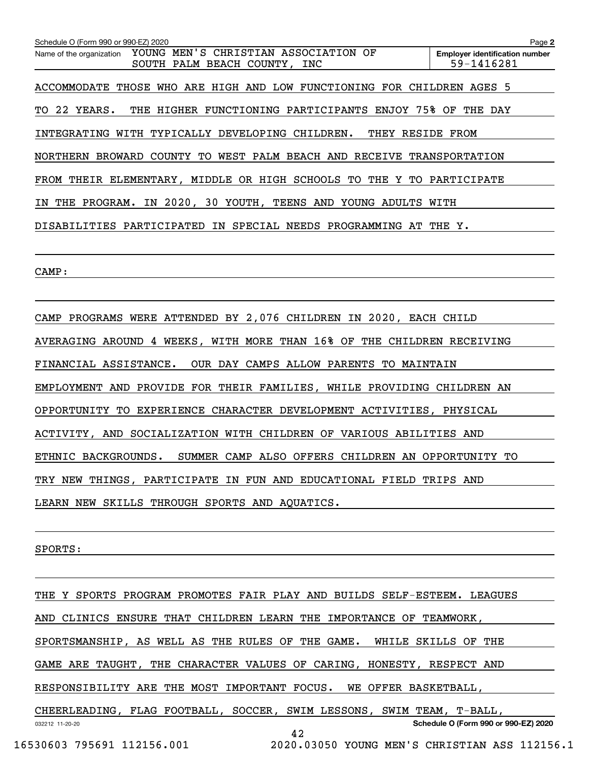| Schedule O (Form 990 or 990-EZ) 2020                                     | Page 2                                              |
|--------------------------------------------------------------------------|-----------------------------------------------------|
| Name of the organization YOUNG MEN'S CHRISTIAN ASSOCIATION OF            | <b>Employer identification number</b><br>59-1416281 |
| SOUTH PALM BEACH COUNTY, INC                                             |                                                     |
| ACCOMMODATE THOSE WHO ARE HIGH AND LOW FUNCTIONING FOR CHILDREN AGES 5   |                                                     |
| TO 22 YEARS.<br>THE HIGHER FUNCTIONING PARTICIPANTS ENJOY 75% OF THE DAY |                                                     |
| INTEGRATING WITH TYPICALLY DEVELOPING CHILDREN.<br>THEY RESIDE FROM      |                                                     |
| NORTHERN BROWARD COUNTY TO WEST PALM BEACH AND RECEIVE TRANSPORTATION    |                                                     |
| FROM THEIR ELEMENTARY, MIDDLE OR HIGH SCHOOLS TO THE Y TO PARTICIPATE    |                                                     |
| IN THE PROGRAM. IN 2020, 30 YOUTH, TEENS AND YOUNG ADULTS WITH           |                                                     |
| DISABILITIES PARTICIPATED IN SPECIAL NEEDS PROGRAMMING AT THE Y.         |                                                     |
|                                                                          |                                                     |
| CAMP:                                                                    |                                                     |
|                                                                          |                                                     |
| CAMP PROGRAMS WERE ATTENDED BY 2,076 CHILDREN IN 2020, EACH CHILD        |                                                     |
| AVERAGING AROUND 4 WEEKS, WITH MORE THAN 16% OF THE CHILDREN RECEIVING   |                                                     |
| FINANCIAL ASSISTANCE.<br>OUR DAY CAMPS ALLOW PARENTS TO MAINTAIN         |                                                     |

EMPLOYMENT AND PROVIDE FOR THEIR FAMILIES, WHILE PROVIDING CHILDREN AN

OPPORTUNITY TO EXPERIENCE CHARACTER DEVELOPMENT ACTIVITIES, PHYSICAL

ACTIVITY, AND SOCIALIZATION WITH CHILDREN OF VARIOUS ABILITIES AND

ETHNIC BACKGROUNDS. SUMMER CAMP ALSO OFFERS CHILDREN AN OPPORTUNITY TO

TRY NEW THINGS, PARTICIPATE IN FUN AND EDUCATIONAL FIELD TRIPS AND

LEARN NEW SKILLS THROUGH SPORTS AND AQUATICS.

SPORTS:

032212 11-20-20 **Schedule O (Form 990 or 990-EZ) 2020** THE Y SPORTS PROGRAM PROMOTES FAIR PLAY AND BUILDS SELF-ESTEEM. LEAGUES AND CLINICS ENSURE THAT CHILDREN LEARN THE IMPORTANCE OF TEAMWORK, SPORTSMANSHIP, AS WELL AS THE RULES OF THE GAME. WHILE SKILLS OF THE GAME ARE TAUGHT, THE CHARACTER VALUES OF CARING, HONESTY, RESPECT AND RESPONSIBILITY ARE THE MOST IMPORTANT FOCUS. WE OFFER BASKETBALL, CHEERLEADING, FLAG FOOTBALL, SOCCER, SWIM LESSONS, SWIM TEAM, T-BALL, 42

```
 16530603 795691 112156.001 2020.03050 YOUNG MEN'S CHRISTIAN ASS 112156.1
```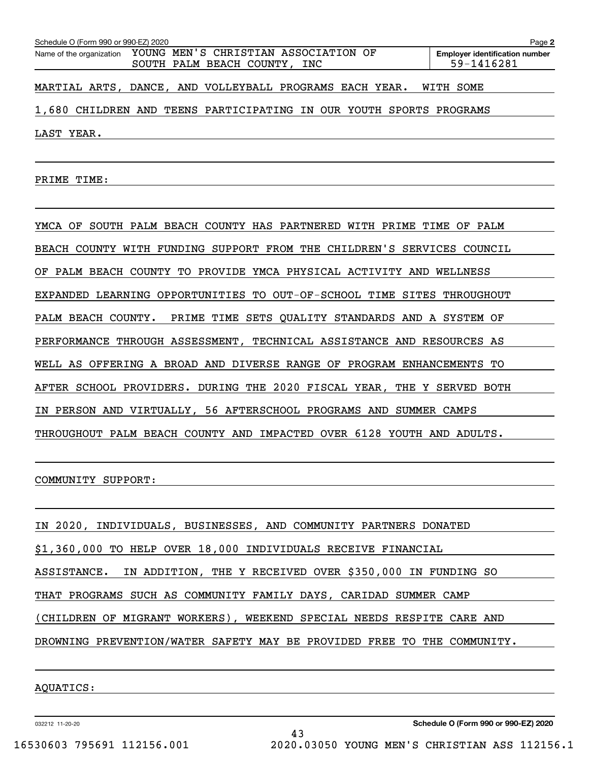| Schedule O (Form 990 or 990-EZ) 2020 |                                                                                               | Page 2                                              |  |  |  |
|--------------------------------------|-----------------------------------------------------------------------------------------------|-----------------------------------------------------|--|--|--|
|                                      | Name of the organization YOUNG MEN'S CHRISTIAN ASSOCIATION OF<br>SOUTH PALM BEACH COUNTY, INC | <b>Employer identification number</b><br>59-1416281 |  |  |  |
|                                      | MARTIAL ARTS, DANCE, AND VOLLEYBALL PROGRAMS EACH YEAR.                                       | WITH SOME                                           |  |  |  |
|                                      | 1,680 CHILDREN AND TEENS PARTICIPATING IN OUR YOUTH SPORTS PROGRAMS                           |                                                     |  |  |  |
| LAST YEAR.                           |                                                                                               |                                                     |  |  |  |
| PRIME<br>TIME:                       |                                                                                               |                                                     |  |  |  |

YMCA OF SOUTH PALM BEACH COUNTY HAS PARTNERED WITH PRIME TIME OF PALM BEACH COUNTY WITH FUNDING SUPPORT FROM THE CHILDREN'S SERVICES COUNCIL OF PALM BEACH COUNTY TO PROVIDE YMCA PHYSICAL ACTIVITY AND WELLNESS EXPANDED LEARNING OPPORTUNITIES TO OUT-OF-SCHOOL TIME SITES THROUGHOUT PALM BEACH COUNTY. PRIME TIME SETS QUALITY STANDARDS AND A SYSTEM OF PERFORMANCE THROUGH ASSESSMENT, TECHNICAL ASSISTANCE AND RESOURCES AS WELL AS OFFERING A BROAD AND DIVERSE RANGE OF PROGRAM ENHANCEMENTS TO AFTER SCHOOL PROVIDERS. DURING THE 2020 FISCAL YEAR, THE Y SERVED BOTH IN PERSON AND VIRTUALLY, 56 AFTERSCHOOL PROGRAMS AND SUMMER CAMPS THROUGHOUT PALM BEACH COUNTY AND IMPACTED OVER 6128 YOUTH AND ADULTS.

COMMUNITY SUPPORT:

IN 2020, INDIVIDUALS, BUSINESSES, AND COMMUNITY PARTNERS DONATED \$1,360,000 TO HELP OVER 18,000 INDIVIDUALS RECEIVE FINANCIAL ASSISTANCE. IN ADDITION, THE Y RECEIVED OVER \$350,000 IN FUNDING SO THAT PROGRAMS SUCH AS COMMUNITY FAMILY DAYS, CARIDAD SUMMER CAMP (CHILDREN OF MIGRANT WORKERS), WEEKEND SPECIAL NEEDS RESPITE CARE AND DROWNING PREVENTION/WATER SAFETY MAY BE PROVIDED FREE TO THE COMMUNITY.

43

AQUATICS:

032212 11-20-20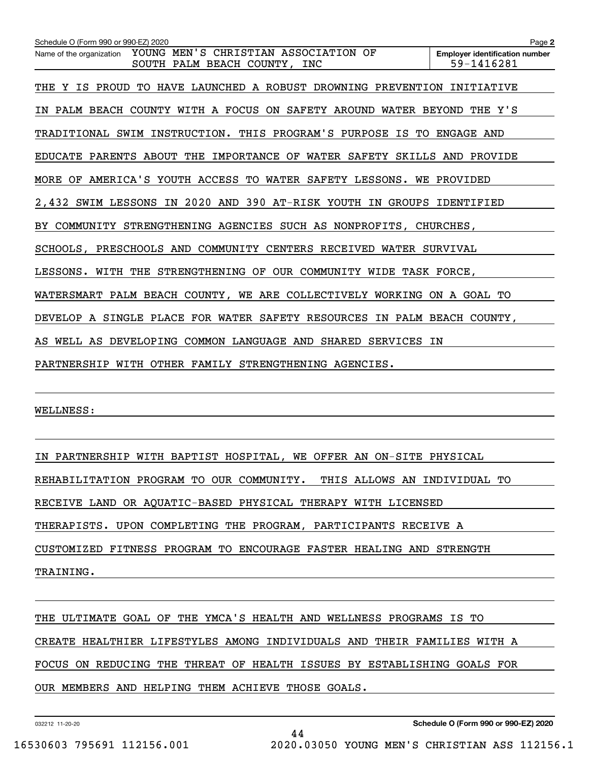| Schedule O (Form 990 or 990-EZ) 2020                                                             | Page 2                                              |
|--------------------------------------------------------------------------------------------------|-----------------------------------------------------|
| YOUNG MEN'S CHRISTIAN ASSOCIATION OF<br>Name of the organization<br>SOUTH PALM BEACH COUNTY, INC | <b>Employer identification number</b><br>59-1416281 |
| THE Y IS PROUD TO HAVE LAUNCHED A ROBUST DROWNING PREVENTION INITIATIVE                          |                                                     |
| IN PALM BEACH COUNTY WITH A FOCUS ON SAFETY AROUND WATER BEYOND THE Y'S                          |                                                     |
| TRADITIONAL SWIM INSTRUCTION. THIS PROGRAM'S PURPOSE IS TO ENGAGE AND                            |                                                     |
| EDUCATE PARENTS ABOUT THE IMPORTANCE OF WATER SAFETY SKILLS AND PROVIDE                          |                                                     |
| MORE OF AMERICA'S YOUTH ACCESS TO WATER SAFETY LESSONS. WE PROVIDED                              |                                                     |
| 2,432 SWIM LESSONS IN 2020 AND 390 AT-RISK YOUTH IN GROUPS IDENTIFIED                            |                                                     |
| BY COMMUNITY STRENGTHENING AGENCIES SUCH AS NONPROFITS, CHURCHES,                                |                                                     |
| SCHOOLS, PRESCHOOLS AND COMMUNITY CENTERS RECEIVED WATER SURVIVAL                                |                                                     |
| LESSONS. WITH THE STRENGTHENING OF OUR COMMUNITY WIDE TASK FORCE,                                |                                                     |
| WATERSMART PALM BEACH COUNTY, WE ARE COLLECTIVELY WORKING ON A GOAL TO                           |                                                     |
| DEVELOP A SINGLE PLACE FOR WATER SAFETY RESOURCES IN PALM BEACH COUNTY,                          |                                                     |
| AS WELL AS DEVELOPING COMMON LANGUAGE AND SHARED SERVICES IN                                     |                                                     |
| PARTNERSHIP WITH OTHER FAMILY STRENGTHENING AGENCIES.                                            |                                                     |
|                                                                                                  |                                                     |

WELLNESS:

IN PARTNERSHIP WITH BAPTIST HOSPITAL, WE OFFER AN ON-SITE PHYSICAL REHABILITATION PROGRAM TO OUR COMMUNITY. THIS ALLOWS AN INDIVIDUAL TO RECEIVE LAND OR AQUATIC-BASED PHYSICAL THERAPY WITH LICENSED

THERAPISTS. UPON COMPLETING THE PROGRAM, PARTICIPANTS RECEIVE A

CUSTOMIZED FITNESS PROGRAM TO ENCOURAGE FASTER HEALING AND STRENGTH

TRAINING.

THE ULTIMATE GOAL OF THE YMCA'S HEALTH AND WELLNESS PROGRAMS IS TO CREATE HEALTHIER LIFESTYLES AMONG INDIVIDUALS AND THEIR FAMILIES WITH A FOCUS ON REDUCING THE THREAT OF HEALTH ISSUES BY ESTABLISHING GOALS FOR OUR MEMBERS AND HELPING THEM ACHIEVE THOSE GOALS.

44

032212 11-20-20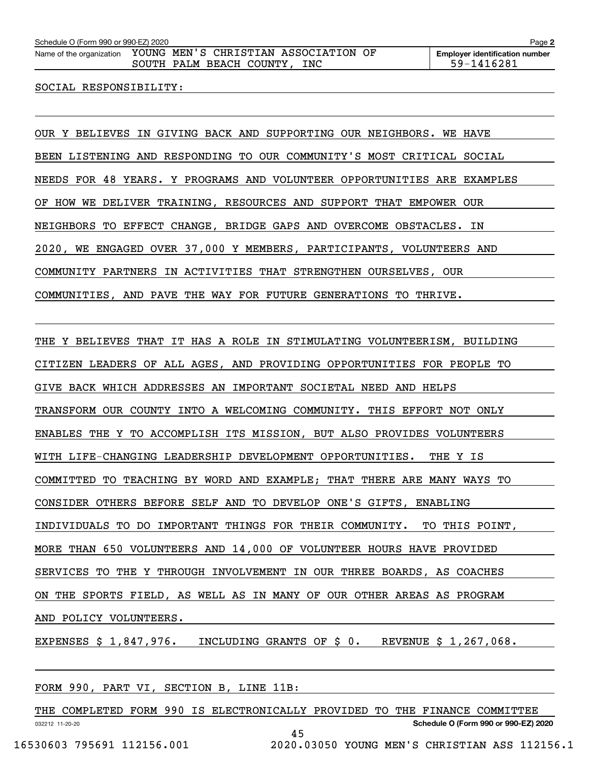#### SOCIAL RESPONSIBILITY:

OUR Y BELIEVES IN GIVING BACK AND SUPPORTING OUR NEIGHBORS. WE HAVE BEEN LISTENING AND RESPONDING TO OUR COMMUNITY'S MOST CRITICAL SOCIAL NEEDS FOR 48 YEARS. Y PROGRAMS AND VOLUNTEER OPPORTUNITIES ARE EXAMPLES OF HOW WE DELIVER TRAINING, RESOURCES AND SUPPORT THAT EMPOWER OUR NEIGHBORS TO EFFECT CHANGE, BRIDGE GAPS AND OVERCOME OBSTACLES. IN 2020, WE ENGAGED OVER 37,000 Y MEMBERS, PARTICIPANTS, VOLUNTEERS AND COMMUNITY PARTNERS IN ACTIVITIES THAT STRENGTHEN OURSELVES, OUR COMMUNITIES, AND PAVE THE WAY FOR FUTURE GENERATIONS TO THRIVE.

THE Y BELIEVES THAT IT HAS A ROLE IN STIMULATING VOLUNTEERISM, BUILDING CITIZEN LEADERS OF ALL AGES, AND PROVIDING OPPORTUNITIES FOR PEOPLE TO GIVE BACK WHICH ADDRESSES AN IMPORTANT SOCIETAL NEED AND HELPS TRANSFORM OUR COUNTY INTO A WELCOMING COMMUNITY. THIS EFFORT NOT ONLY ENABLES THE Y TO ACCOMPLISH ITS MISSION, BUT ALSO PROVIDES VOLUNTEERS WITH LIFE-CHANGING LEADERSHIP DEVELOPMENT OPPORTUNITIES. THE Y IS COMMITTED TO TEACHING BY WORD AND EXAMPLE; THAT THERE ARE MANY WAYS TO CONSIDER OTHERS BEFORE SELF AND TO DEVELOP ONE'S GIFTS, ENABLING INDIVIDUALS TO DO IMPORTANT THINGS FOR THEIR COMMUNITY. TO THIS POINT, MORE THAN 650 VOLUNTEERS AND 14,000 OF VOLUNTEER HOURS HAVE PROVIDED SERVICES TO THE Y THROUGH INVOLVEMENT IN OUR THREE BOARDS, AS COACHES ON THE SPORTS FIELD, AS WELL AS IN MANY OF OUR OTHER AREAS AS PROGRAM AND POLICY VOLUNTEERS.

EXPENSES \$ 1,847,976. INCLUDING GRANTS OF \$ 0. REVENUE \$ 1,267,068.

|                 |                            |  | FORM 990, PART VI, SECTION B, LINE 11B:                                    |                                               |  |                                      |  |  |
|-----------------|----------------------------|--|----------------------------------------------------------------------------|-----------------------------------------------|--|--------------------------------------|--|--|
|                 |                            |  | THE COMPLETED FORM 990 IS ELECTRONICALLY PROVIDED TO THE FINANCE COMMITTEE |                                               |  |                                      |  |  |
| 032212 11-20-20 |                            |  |                                                                            |                                               |  | Schedule O (Form 990 or 990-EZ) 2020 |  |  |
|                 |                            |  | 45                                                                         |                                               |  |                                      |  |  |
|                 | 16530603 795691 112156.001 |  |                                                                            | 2020.03050 YOUNG MEN'S CHRISTIAN ASS 112156.1 |  |                                      |  |  |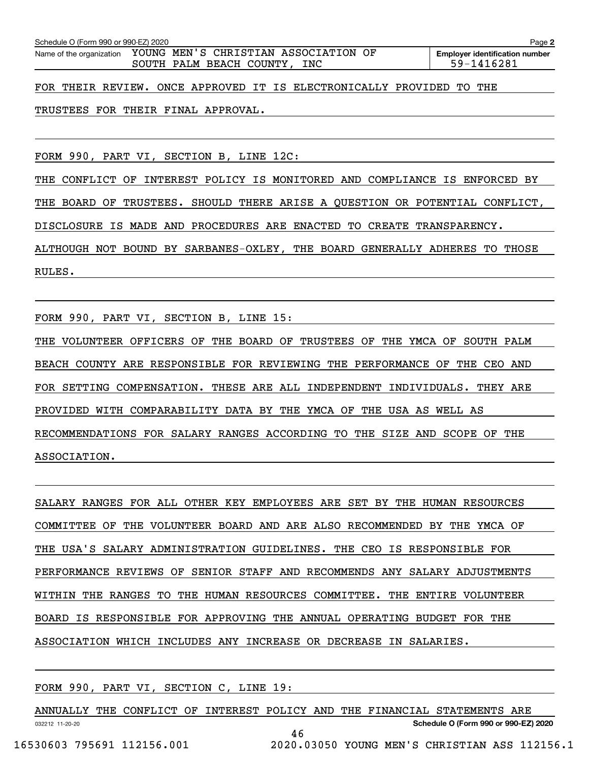| Schedule O (Form 990 or 990-EZ) 2020 | Page 2                                                                                        |                                                     |
|--------------------------------------|-----------------------------------------------------------------------------------------------|-----------------------------------------------------|
|                                      | Name of the organization YOUNG MEN'S CHRISTIAN ASSOCIATION OF<br>SOUTH PALM BEACH COUNTY, INC | <b>Employer identification number</b><br>59-1416281 |
|                                      | FOR THEIR REVIEW. ONCE APPROVED IT IS ELECTRONICALLY PROVIDED TO THE                          |                                                     |

TRUSTEES FOR THEIR FINAL APPROVAL.

FORM 990, PART VI, SECTION B, LINE 12C:

THE CONFLICT OF INTEREST POLICY IS MONITORED AND COMPLIANCE IS ENFORCED BY THE BOARD OF TRUSTEES. SHOULD THERE ARISE A QUESTION OR POTENTIAL CONFLICT, DISCLOSURE IS MADE AND PROCEDURES ARE ENACTED TO CREATE TRANSPARENCY. ALTHOUGH NOT BOUND BY SARBANES-OXLEY, THE BOARD GENERALLY ADHERES TO THOSE RULES.

FORM 990, PART VI, SECTION B, LINE 15:

THE VOLUNTEER OFFICERS OF THE BOARD OF TRUSTEES OF THE YMCA OF SOUTH PALM BEACH COUNTY ARE RESPONSIBLE FOR REVIEWING THE PERFORMANCE OF THE CEO AND FOR SETTING COMPENSATION. THESE ARE ALL INDEPENDENT INDIVIDUALS. THEY ARE PROVIDED WITH COMPARABILITY DATA BY THE YMCA OF THE USA AS WELL AS RECOMMENDATIONS FOR SALARY RANGES ACCORDING TO THE SIZE AND SCOPE OF THE ASSOCIATION.

SALARY RANGES FOR ALL OTHER KEY EMPLOYEES ARE SET BY THE HUMAN RESOURCES COMMITTEE OF THE VOLUNTEER BOARD AND ARE ALSO RECOMMENDED BY THE YMCA OF THE USA'S SALARY ADMINISTRATION GUIDELINES. THE CEO IS RESPONSIBLE FOR PERFORMANCE REVIEWS OF SENIOR STAFF AND RECOMMENDS ANY SALARY ADJUSTMENTS WITHIN THE RANGES TO THE HUMAN RESOURCES COMMITTEE. THE ENTIRE VOLUNTEER BOARD IS RESPONSIBLE FOR APPROVING THE ANNUAL OPERATING BUDGET FOR THE ASSOCIATION WHICH INCLUDES ANY INCREASE OR DECREASE IN SALARIES.

FORM 990, PART VI, SECTION C, LINE 19:

032212 11-20-20 **Schedule O (Form 990 or 990-EZ) 2020** ANNUALLY THE CONFLICT OF INTEREST POLICY AND THE FINANCIAL STATEMENTS ARE 46 16530603 795691 112156.001 2020.03050 YOUNG MEN'S CHRISTIAN ASS 112156.1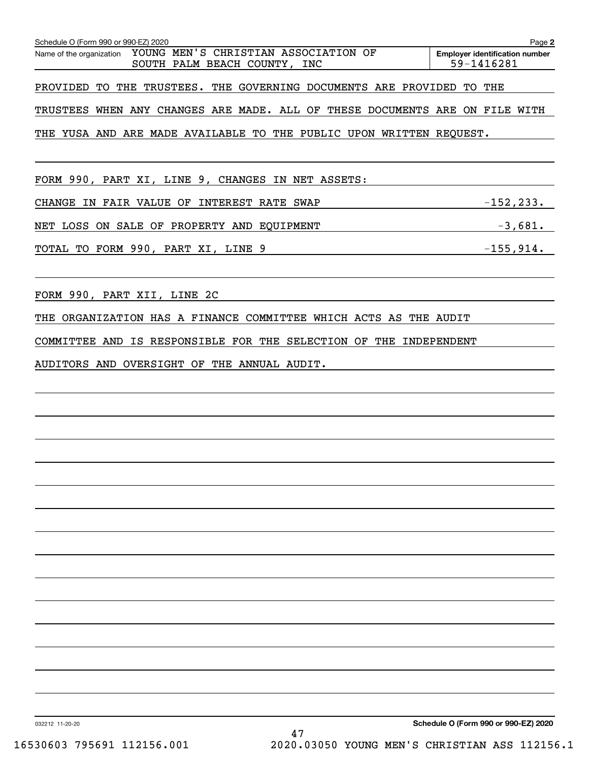| Schedule O (Form 990 or 990-EZ) 2020                                                             | Page 2                                              |
|--------------------------------------------------------------------------------------------------|-----------------------------------------------------|
| YOUNG MEN'S CHRISTIAN ASSOCIATION OF<br>Name of the organization<br>SOUTH PALM BEACH COUNTY, INC | <b>Employer identification number</b><br>59-1416281 |
|                                                                                                  |                                                     |
| PROVIDED TO THE TRUSTEES. THE GOVERNING DOCUMENTS ARE PROVIDED TO THE                            |                                                     |
| TRUSTEES WHEN ANY CHANGES ARE MADE. ALL OF THESE DOCUMENTS ARE ON FILE WITH                      |                                                     |
| THE YUSA AND ARE MADE AVAILABLE TO THE PUBLIC UPON WRITTEN REQUEST.                              |                                                     |
|                                                                                                  |                                                     |
| FORM 990, PART XI, LINE 9, CHANGES IN NET ASSETS:                                                |                                                     |
| CHANGE IN FAIR VALUE OF INTEREST RATE SWAP                                                       | $-152,233.$                                         |
| NET LOSS ON SALE OF PROPERTY AND EQUIPMENT                                                       | $-3,681.$                                           |
| $-155,914.$<br>TOTAL TO FORM 990, PART XI, LINE 9                                                |                                                     |
|                                                                                                  |                                                     |
| FORM 990, PART XII, LINE 2C                                                                      |                                                     |
| THE ORGANIZATION HAS A FINANCE COMMITTEE WHICH ACTS AS THE AUDIT                                 |                                                     |
|                                                                                                  |                                                     |
| COMMITTEE AND IS RESPONSIBLE FOR THE SELECTION OF THE INDEPENDENT                                |                                                     |
| AUDITORS AND OVERSIGHT OF THE ANNUAL AUDIT.                                                      |                                                     |
|                                                                                                  |                                                     |
|                                                                                                  |                                                     |
|                                                                                                  |                                                     |
|                                                                                                  |                                                     |
|                                                                                                  |                                                     |
|                                                                                                  |                                                     |
|                                                                                                  |                                                     |
|                                                                                                  |                                                     |
|                                                                                                  |                                                     |
|                                                                                                  |                                                     |
|                                                                                                  |                                                     |
|                                                                                                  |                                                     |
|                                                                                                  |                                                     |
|                                                                                                  |                                                     |
|                                                                                                  |                                                     |
|                                                                                                  |                                                     |
| 032212 11-20-20                                                                                  | Schedule O (Form 990 or 990-EZ) 2020                |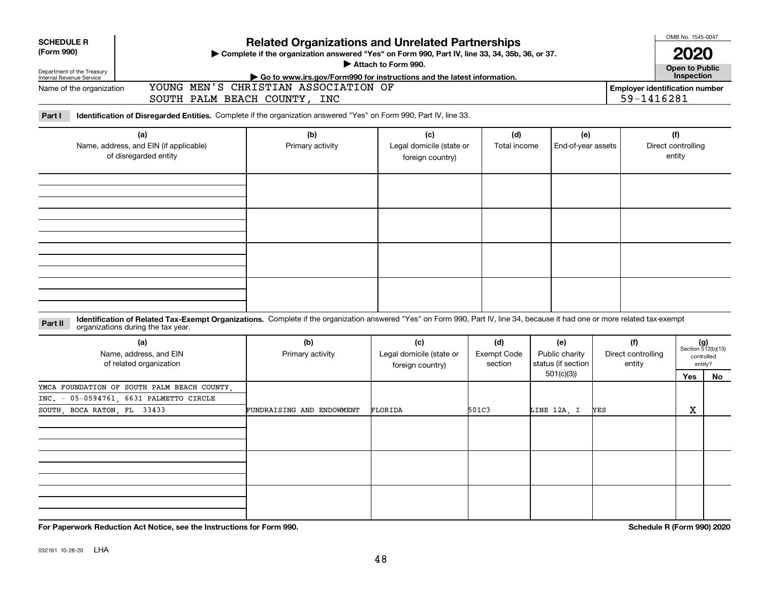| <b>SCHEDULE R</b><br>(Form 990)<br>Department of the Treasury<br>Internal Revenue Service |                                                                                                                                                                                                                    | <b>Related Organizations and Unrelated Partnerships</b><br>Complete if the organization answered "Yes" on Form 990, Part IV, line 33, 34, 35b, 36, or 37.<br>Attach to Form 990.<br>Go to www.irs.gov/Form990 for instructions and the latest information. |                                                     | OMB No. 1545-0047<br>2020<br>Open to Public<br>Inspection |                                                          |                                     |                                     |                                                            |  |  |
|-------------------------------------------------------------------------------------------|--------------------------------------------------------------------------------------------------------------------------------------------------------------------------------------------------------------------|------------------------------------------------------------------------------------------------------------------------------------------------------------------------------------------------------------------------------------------------------------|-----------------------------------------------------|-----------------------------------------------------------|----------------------------------------------------------|-------------------------------------|-------------------------------------|------------------------------------------------------------|--|--|
| Name of the organization                                                                  |                                                                                                                                                                                                                    | SOUTH PALM BEACH COUNTY, INC                                                                                                                                                                                                                               | YOUNG MEN'S CHRISTIAN ASSOCIATION OF                |                                                           |                                                          |                                     |                                     |                                                            |  |  |
| Part I                                                                                    | Identification of Disregarded Entities. Complete if the organization answered "Yes" on Form 990, Part IV, line 33.                                                                                                 |                                                                                                                                                                                                                                                            |                                                     |                                                           |                                                          |                                     |                                     |                                                            |  |  |
| (a)<br>Name, address, and EIN (if applicable)<br>of disregarded entity                    |                                                                                                                                                                                                                    | (b)<br>Primary activity                                                                                                                                                                                                                                    | (c)<br>Legal domicile (state or<br>foreign country) |                                                           | (e)<br>Total income<br>End-of-year assets                |                                     | (f)<br>Direct controlling<br>entity |                                                            |  |  |
|                                                                                           |                                                                                                                                                                                                                    |                                                                                                                                                                                                                                                            |                                                     |                                                           |                                                          |                                     |                                     |                                                            |  |  |
|                                                                                           |                                                                                                                                                                                                                    |                                                                                                                                                                                                                                                            |                                                     |                                                           |                                                          |                                     |                                     |                                                            |  |  |
| Part II                                                                                   | Identification of Related Tax-Exempt Organizations. Complete if the organization answered "Yes" on Form 990, Part IV, line 34, because it had one or more related tax-exempt<br>organizations during the tax year. |                                                                                                                                                                                                                                                            |                                                     |                                                           |                                                          |                                     |                                     |                                                            |  |  |
|                                                                                           | (a)<br>Name, address, and EIN<br>of related organization                                                                                                                                                           | (b)<br>Primary activity                                                                                                                                                                                                                                    | (c)<br>Legal domicile (state or<br>foreign country) | (d)<br><b>Exempt Code</b><br>section                      | (e)<br>Public charity<br>status (if section<br>501(c)(3) | (f)<br>Direct controlling<br>entity | Yes                                 | $(g)$<br>Section 512(b)(13)<br>controlled<br>entity?<br>No |  |  |
| SOUTH, BOCA RATON, FL 33433                                                               | YMCA FOUNDATION OF SOUTH PALM BEACH COUNTY.<br>INC. - 05-0594761, 6631 PALMETTO CIRCLE                                                                                                                             | FUNDRAISING AND ENDOWMENT                                                                                                                                                                                                                                  | FLORIDA                                             | 501C3                                                     | LINE 12A, I                                              | YES                                 | X                                   |                                                            |  |  |
|                                                                                           |                                                                                                                                                                                                                    |                                                                                                                                                                                                                                                            |                                                     |                                                           |                                                          |                                     |                                     |                                                            |  |  |
|                                                                                           |                                                                                                                                                                                                                    |                                                                                                                                                                                                                                                            |                                                     |                                                           |                                                          |                                     |                                     |                                                            |  |  |
|                                                                                           | For Paperwork Reduction Act Notice, see the Instructions for Form 990.                                                                                                                                             |                                                                                                                                                                                                                                                            |                                                     |                                                           |                                                          |                                     | Schedule R (Form 990) 2020          |                                                            |  |  |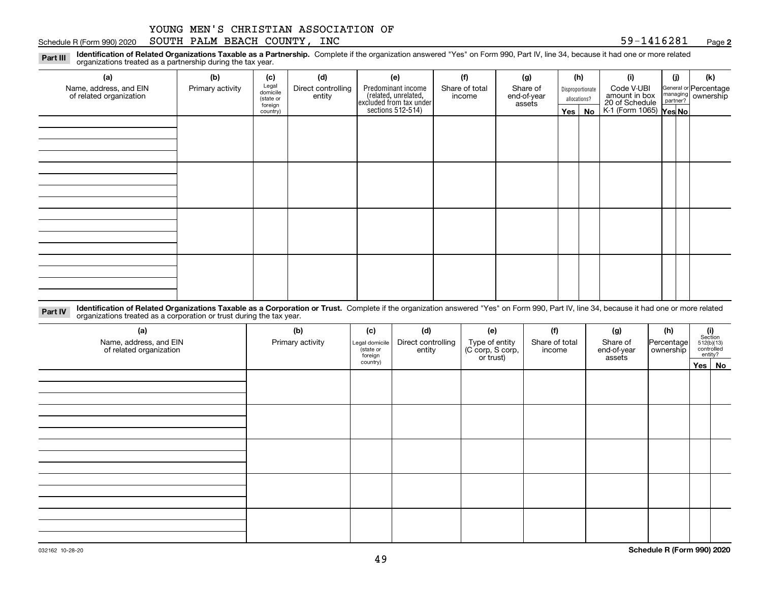#### Schedule R (Form 990) 2020  ${\tt SOUTH}$   ${\tt PALM}$   ${\tt BEACH}$   ${\tt COUNTY}$  ,  ${\tt INC}$   ${\tt NCC}$   ${\tt S9-1416281}$   ${\tt Page}$

**2**

**Identification of Related Organizations Taxable as a Partnership.** Complete if the organization answered "Yes" on Form 990, Part IV, line 34, because it had one or more related **Part III** organizations treated as a partnership during the tax year.

| (a)                                               | (b)              | (c)                  | (d)                          | (e)                                                                  | (f)                      | (g)                     |         | (h)              | (i)                                                       | (i) | (k)                                                       |  |  |  |  |  |  |  |
|---------------------------------------------------|------------------|----------------------|------------------------------|----------------------------------------------------------------------|--------------------------|-------------------------|---------|------------------|-----------------------------------------------------------|-----|-----------------------------------------------------------|--|--|--|--|--|--|--|
| Name, address, and EIN<br>of related organization | Primary activity | Legal<br>domicile    | Direct controlling<br>entity | Predominant income                                                   | Share of total<br>income | Share of<br>end-of-year |         | Disproportionate | Code V-UBI                                                |     | General or Percentage<br>managing<br>partner?<br>partner? |  |  |  |  |  |  |  |
|                                                   |                  | (state or<br>foreign |                              |                                                                      |                          | assets                  |         | allocations?     |                                                           |     |                                                           |  |  |  |  |  |  |  |
|                                                   |                  | country)             |                              | (related, unrelated,<br>excluded from tax under<br>sections 512-514) |                          |                         | Yes $ $ | No               | amount in box<br>20 of Schedule<br>K-1 (Form 1065) Yes No |     |                                                           |  |  |  |  |  |  |  |
|                                                   |                  |                      |                              |                                                                      |                          |                         |         |                  |                                                           |     |                                                           |  |  |  |  |  |  |  |
|                                                   |                  |                      |                              |                                                                      |                          |                         |         |                  |                                                           |     |                                                           |  |  |  |  |  |  |  |
|                                                   |                  |                      |                              |                                                                      |                          |                         |         |                  |                                                           |     |                                                           |  |  |  |  |  |  |  |
|                                                   |                  |                      |                              |                                                                      |                          |                         |         |                  |                                                           |     |                                                           |  |  |  |  |  |  |  |
|                                                   |                  |                      |                              |                                                                      |                          |                         |         |                  |                                                           |     |                                                           |  |  |  |  |  |  |  |
|                                                   |                  |                      |                              |                                                                      |                          |                         |         |                  |                                                           |     |                                                           |  |  |  |  |  |  |  |
|                                                   |                  |                      |                              |                                                                      |                          |                         |         |                  |                                                           |     |                                                           |  |  |  |  |  |  |  |
|                                                   |                  |                      |                              |                                                                      |                          |                         |         |                  |                                                           |     |                                                           |  |  |  |  |  |  |  |
|                                                   |                  |                      |                              |                                                                      |                          |                         |         |                  |                                                           |     |                                                           |  |  |  |  |  |  |  |
|                                                   |                  |                      |                              |                                                                      |                          |                         |         |                  |                                                           |     |                                                           |  |  |  |  |  |  |  |
|                                                   |                  |                      |                              |                                                                      |                          |                         |         |                  |                                                           |     |                                                           |  |  |  |  |  |  |  |
|                                                   |                  |                      |                              |                                                                      |                          |                         |         |                  |                                                           |     |                                                           |  |  |  |  |  |  |  |
|                                                   |                  |                      |                              |                                                                      |                          |                         |         |                  |                                                           |     |                                                           |  |  |  |  |  |  |  |
|                                                   |                  |                      |                              |                                                                      |                          |                         |         |                  |                                                           |     |                                                           |  |  |  |  |  |  |  |
|                                                   |                  |                      |                              |                                                                      |                          |                         |         |                  |                                                           |     |                                                           |  |  |  |  |  |  |  |
|                                                   |                  |                      |                              |                                                                      |                          |                         |         |                  |                                                           |     |                                                           |  |  |  |  |  |  |  |
|                                                   |                  |                      |                              |                                                                      |                          |                         |         |                  |                                                           |     |                                                           |  |  |  |  |  |  |  |

**Identification of Related Organizations Taxable as a Corporation or Trust.** Complete if the organization answered "Yes" on Form 990, Part IV, line 34, because it had one or more related **Part IV** organizations treated as a corporation or trust during the tax year.

| (a)<br>Name, address, and EIN<br>of related organization | (b)<br>Primary activity | (c)<br>Legal domicile<br>(state or<br>foreign | (d)<br>Direct controlling<br>entity | (e)<br>Type of entity<br>(C corp, S corp,<br>or trust) | (f)<br>Share of total<br>income | (g)<br>Share of<br>end-of-year<br>assets | (h)<br>Percentage<br>ownership | $\begin{array}{c} \textbf{(i)}\\ \text{Section}\\ 512 \text{(b)} \text{(13)}\\ \text{controlled}\\ \text{entity?} \end{array}$ |        |
|----------------------------------------------------------|-------------------------|-----------------------------------------------|-------------------------------------|--------------------------------------------------------|---------------------------------|------------------------------------------|--------------------------------|--------------------------------------------------------------------------------------------------------------------------------|--------|
|                                                          |                         | country)                                      |                                     |                                                        |                                 |                                          |                                |                                                                                                                                | Yes No |
|                                                          |                         |                                               |                                     |                                                        |                                 |                                          |                                |                                                                                                                                |        |
|                                                          |                         |                                               |                                     |                                                        |                                 |                                          |                                |                                                                                                                                |        |
|                                                          |                         |                                               |                                     |                                                        |                                 |                                          |                                |                                                                                                                                |        |
|                                                          |                         |                                               |                                     |                                                        |                                 |                                          |                                |                                                                                                                                |        |
|                                                          |                         |                                               |                                     |                                                        |                                 |                                          |                                |                                                                                                                                |        |
|                                                          |                         |                                               |                                     |                                                        |                                 |                                          |                                |                                                                                                                                |        |
|                                                          |                         |                                               |                                     |                                                        |                                 |                                          |                                |                                                                                                                                |        |
|                                                          |                         |                                               |                                     |                                                        |                                 |                                          |                                |                                                                                                                                |        |
|                                                          |                         |                                               |                                     |                                                        |                                 |                                          |                                |                                                                                                                                |        |
|                                                          |                         |                                               |                                     |                                                        |                                 |                                          |                                |                                                                                                                                |        |
|                                                          |                         |                                               |                                     |                                                        |                                 |                                          |                                |                                                                                                                                |        |
|                                                          |                         |                                               |                                     |                                                        |                                 |                                          |                                |                                                                                                                                |        |
|                                                          |                         |                                               |                                     |                                                        |                                 |                                          |                                |                                                                                                                                |        |
|                                                          |                         |                                               |                                     |                                                        |                                 |                                          |                                |                                                                                                                                |        |
|                                                          |                         |                                               |                                     |                                                        |                                 |                                          |                                |                                                                                                                                |        |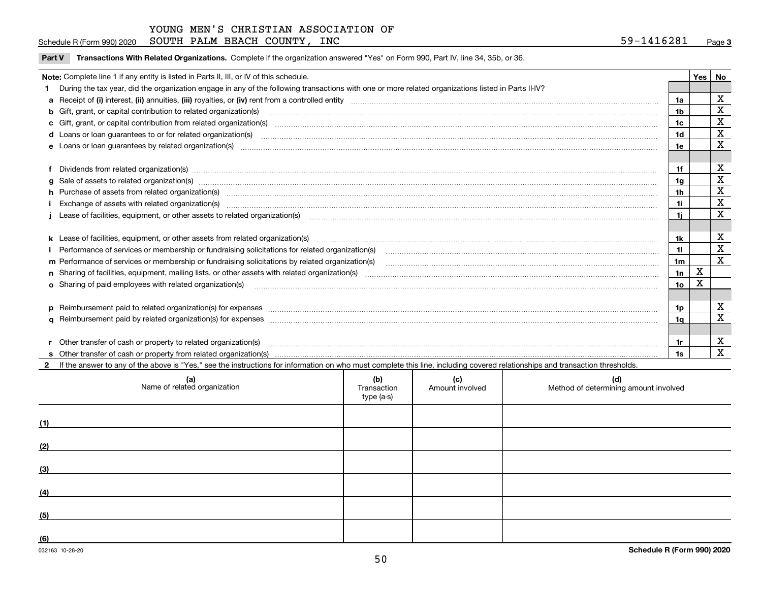Schedule R (Form 990) 2020  ${\tt SOUTH}$   ${\tt PALM}$   ${\tt BEACH}$   ${\tt COUNTY}$  ,  ${\tt INC}$   ${\tt NCC}$   ${\tt S9-1416281}$   ${\tt Page}$ 

 $\overline{\phantom{a}}$ 

**Part V** T**ransactions With Related Organizations.** Complete if the organization answered "Yes" on Form 990, Part IV, line 34, 35b, or 36.

| Note: Complete line 1 if any entity is listed in Parts II, III, or IV of this schedule.                                                                                                                                        |     | <b>Yes</b> | No          |
|--------------------------------------------------------------------------------------------------------------------------------------------------------------------------------------------------------------------------------|-----|------------|-------------|
| 1 During the tax year, did the organization engage in any of the following transactions with one or more related organizations listed in Parts II-IV?                                                                          |     |            |             |
|                                                                                                                                                                                                                                | 1a  |            | X           |
| <b>b</b> Gift, grant, or capital contribution to related organization(s)                                                                                                                                                       | 1b. |            | $\mathbf X$ |
| c Gift, grant, or capital contribution from related organization(s)                                                                                                                                                            | 1c  |            | X           |
|                                                                                                                                                                                                                                | 1d  |            | X           |
| <b>e</b> Loans or loan quarantees by related organization(s)                                                                                                                                                                   | 1e  |            | X           |
|                                                                                                                                                                                                                                |     |            |             |
|                                                                                                                                                                                                                                |     |            | х           |
|                                                                                                                                                                                                                                | 1a  |            | $\mathbf X$ |
| h Purchase of assets from related organization(s) manufactured and content to the content of the content of the content of the content of the content of the content of the content of the content of the content of the conte | 1h  |            | X           |
| Exchange of assets with related organization(s) www.array.com/www.array.com/www.array.com/www.array.com/www.array.com/www.array.com/www.array.com/www.array.com/www.array.com/www.array.com/www.array.com/www.array.com/www.ar | 1i. |            | $\mathbf X$ |
|                                                                                                                                                                                                                                | 1i. |            | X           |
|                                                                                                                                                                                                                                |     |            |             |
|                                                                                                                                                                                                                                | 1k  |            | X           |
| Performance of services or membership or fundraising solicitations for related organization(s)                                                                                                                                 | 11. |            | $\mathbf X$ |
| m Performance of services or membership or fundraising solicitations by related organization(s)                                                                                                                                | 1m  |            | X           |
|                                                                                                                                                                                                                                | 1n  | х          |             |
| <b>o</b> Sharing of paid employees with related organization(s)                                                                                                                                                                | 1o  | Χ          |             |
|                                                                                                                                                                                                                                |     |            |             |
|                                                                                                                                                                                                                                | 1p. |            | X           |
|                                                                                                                                                                                                                                | 1a  |            | X           |
|                                                                                                                                                                                                                                |     |            |             |
|                                                                                                                                                                                                                                |     |            | X           |
|                                                                                                                                                                                                                                | 1s  |            | X           |

**2**If the answer to any of the above is "Yes," see the instructions for information on who must complete this line, including covered relationships and transaction thresholds.

| (a)<br>Name of related organization | (b)<br>Transaction<br>type (a-s) | (c)<br>Amount involved | (d)<br>Method of determining amount involved |
|-------------------------------------|----------------------------------|------------------------|----------------------------------------------|
| (1)                                 |                                  |                        |                                              |
| (2)                                 |                                  |                        |                                              |
| (3)                                 |                                  |                        |                                              |
| (4)                                 |                                  |                        |                                              |
| (5)                                 |                                  |                        |                                              |
| (6)                                 |                                  |                        |                                              |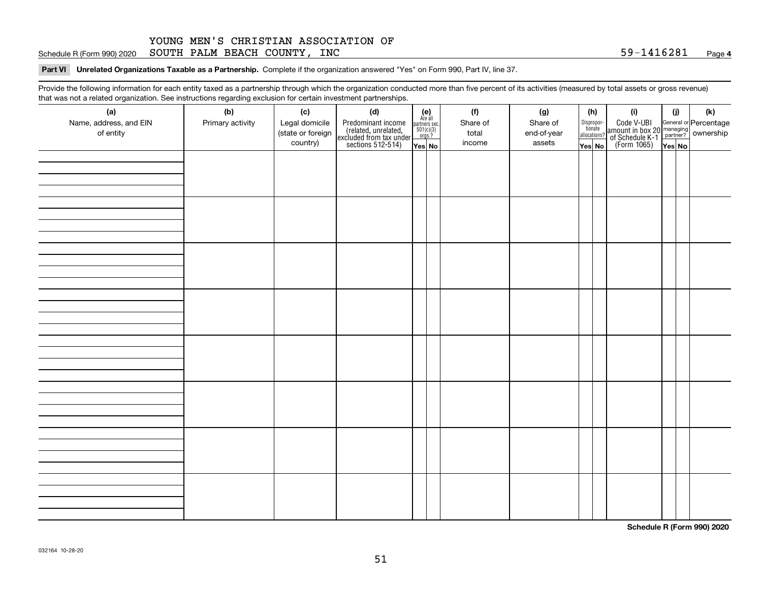#### **4**Schedule R (Form 990) 2020  ${\tt SOUTH}$   ${\tt PALM}$   ${\tt BEACH}$   ${\tt COUNTY}$  ,  ${\tt INC}$   ${\tt NCC}$   ${\tt S9-1416281}$   ${\tt Page}$

**Part VI Unrelated Organizations Taxable as a Partnership. Complete if the organization answered "Yes" on Form 990, Part IV, line 37.** 

Provide the following information for each entity taxed as a partnership through which the organization conducted more than five percent of its activities (measured by total assets or gross revenue) that was not a related organization. See instructions regarding exclusion for certain investment partnerships.

| ັ                      | ັ<br>ັ           |                   |                                                                                            |                                      |          |             | (h) |                                       |                                                                                              |        |     |
|------------------------|------------------|-------------------|--------------------------------------------------------------------------------------------|--------------------------------------|----------|-------------|-----|---------------------------------------|----------------------------------------------------------------------------------------------|--------|-----|
| (a)                    | (b)              | (c)               | (d)                                                                                        | (e)<br>Are all                       | (f)      | (g)         |     |                                       | (i)                                                                                          | (i)    | (k) |
| Name, address, and EIN | Primary activity | Legal domicile    | Predominant income<br>(related, unrelated,<br>excluded from tax under<br>sections 512-514) | partners sec.<br>501(c)(3)<br>orgs.? | Share of | Share of    |     | Dispropor-<br>tionate<br>allocations? | Code V-UBI<br>amount in box 20 managing<br>of Schedule K-1 partner?<br>(Form 1065)<br>ves No |        |     |
| of entity              |                  | (state or foreign |                                                                                            |                                      | total    | end-of-year |     |                                       |                                                                                              |        |     |
|                        |                  | country)          |                                                                                            | Yes No                               | income   | assets      |     | Yes No                                |                                                                                              | Yes No |     |
|                        |                  |                   |                                                                                            |                                      |          |             |     |                                       |                                                                                              |        |     |
|                        |                  |                   |                                                                                            |                                      |          |             |     |                                       |                                                                                              |        |     |
|                        |                  |                   |                                                                                            |                                      |          |             |     |                                       |                                                                                              |        |     |
|                        |                  |                   |                                                                                            |                                      |          |             |     |                                       |                                                                                              |        |     |
|                        |                  |                   |                                                                                            |                                      |          |             |     |                                       |                                                                                              |        |     |
|                        |                  |                   |                                                                                            |                                      |          |             |     |                                       |                                                                                              |        |     |
|                        |                  |                   |                                                                                            |                                      |          |             |     |                                       |                                                                                              |        |     |
|                        |                  |                   |                                                                                            |                                      |          |             |     |                                       |                                                                                              |        |     |
|                        |                  |                   |                                                                                            |                                      |          |             |     |                                       |                                                                                              |        |     |
|                        |                  |                   |                                                                                            |                                      |          |             |     |                                       |                                                                                              |        |     |
|                        |                  |                   |                                                                                            |                                      |          |             |     |                                       |                                                                                              |        |     |
|                        |                  |                   |                                                                                            |                                      |          |             |     |                                       |                                                                                              |        |     |
|                        |                  |                   |                                                                                            |                                      |          |             |     |                                       |                                                                                              |        |     |
|                        |                  |                   |                                                                                            |                                      |          |             |     |                                       |                                                                                              |        |     |
|                        |                  |                   |                                                                                            |                                      |          |             |     |                                       |                                                                                              |        |     |
|                        |                  |                   |                                                                                            |                                      |          |             |     |                                       |                                                                                              |        |     |
|                        |                  |                   |                                                                                            |                                      |          |             |     |                                       |                                                                                              |        |     |
|                        |                  |                   |                                                                                            |                                      |          |             |     |                                       |                                                                                              |        |     |
|                        |                  |                   |                                                                                            |                                      |          |             |     |                                       |                                                                                              |        |     |
|                        |                  |                   |                                                                                            |                                      |          |             |     |                                       |                                                                                              |        |     |
|                        |                  |                   |                                                                                            |                                      |          |             |     |                                       |                                                                                              |        |     |
|                        |                  |                   |                                                                                            |                                      |          |             |     |                                       |                                                                                              |        |     |
|                        |                  |                   |                                                                                            |                                      |          |             |     |                                       |                                                                                              |        |     |
|                        |                  |                   |                                                                                            |                                      |          |             |     |                                       |                                                                                              |        |     |
|                        |                  |                   |                                                                                            |                                      |          |             |     |                                       |                                                                                              |        |     |
|                        |                  |                   |                                                                                            |                                      |          |             |     |                                       |                                                                                              |        |     |
|                        |                  |                   |                                                                                            |                                      |          |             |     |                                       |                                                                                              |        |     |
|                        |                  |                   |                                                                                            |                                      |          |             |     |                                       |                                                                                              |        |     |
|                        |                  |                   |                                                                                            |                                      |          |             |     |                                       |                                                                                              |        |     |
|                        |                  |                   |                                                                                            |                                      |          |             |     |                                       |                                                                                              |        |     |
|                        |                  |                   |                                                                                            |                                      |          |             |     |                                       |                                                                                              |        |     |
|                        |                  |                   |                                                                                            |                                      |          |             |     |                                       |                                                                                              |        |     |
|                        |                  |                   |                                                                                            |                                      |          |             |     |                                       |                                                                                              |        |     |
|                        |                  |                   |                                                                                            |                                      |          |             |     |                                       |                                                                                              |        |     |
|                        |                  |                   |                                                                                            |                                      |          |             |     |                                       |                                                                                              |        |     |
|                        |                  |                   |                                                                                            |                                      |          |             |     |                                       |                                                                                              |        |     |

**Schedule R (Form 990) 2020**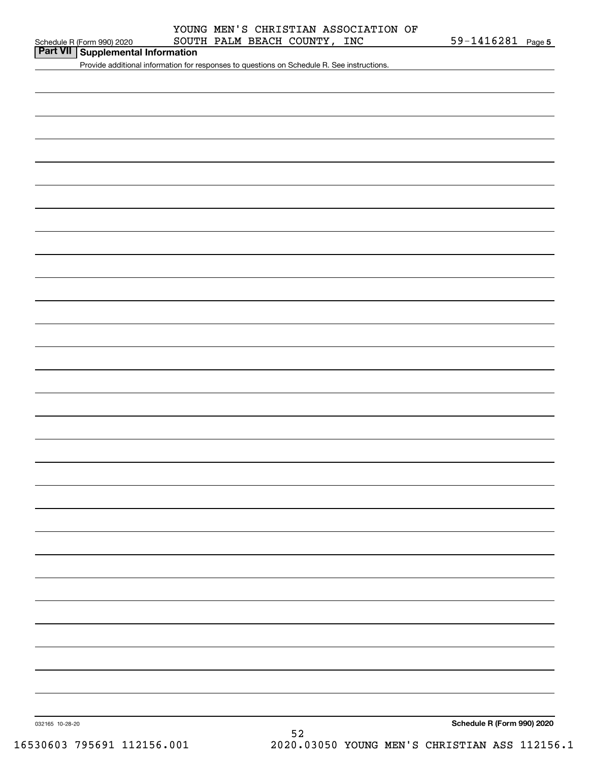| Part VII   Supplemental Information |  |
|-------------------------------------|--|
|-------------------------------------|--|

Provide additional information for responses to questions on Schedule R. See instructions.

**Schedule R (Form 990) 2020**

032165 10-28-20